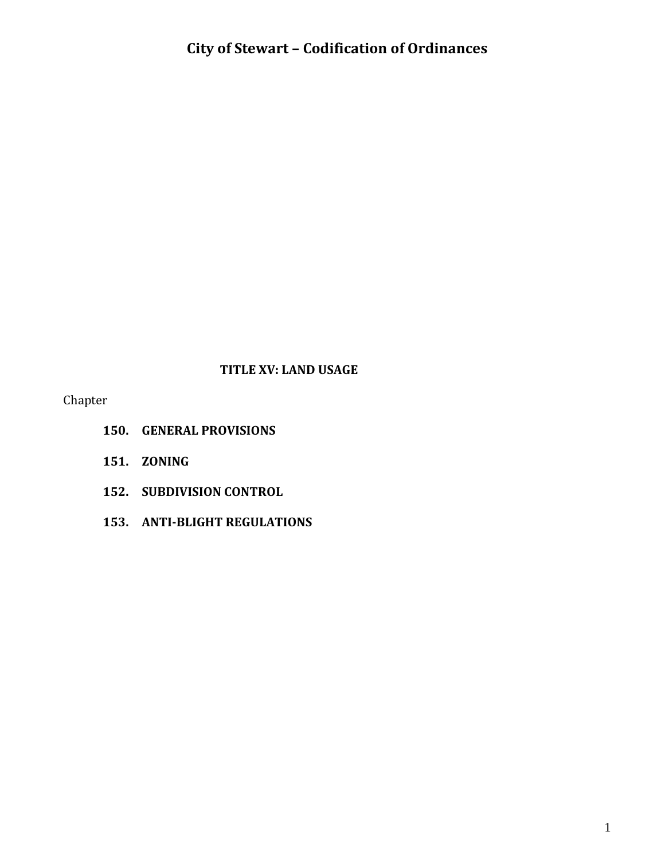#### **TITLE XV: LAND USAGE**

Chapter

- **150. GENERAL PROVISIONS**
- **151. ZONING**
- **152. SUBDIVISION CONTROL**
- **153. ANTI-BLIGHT REGULATIONS**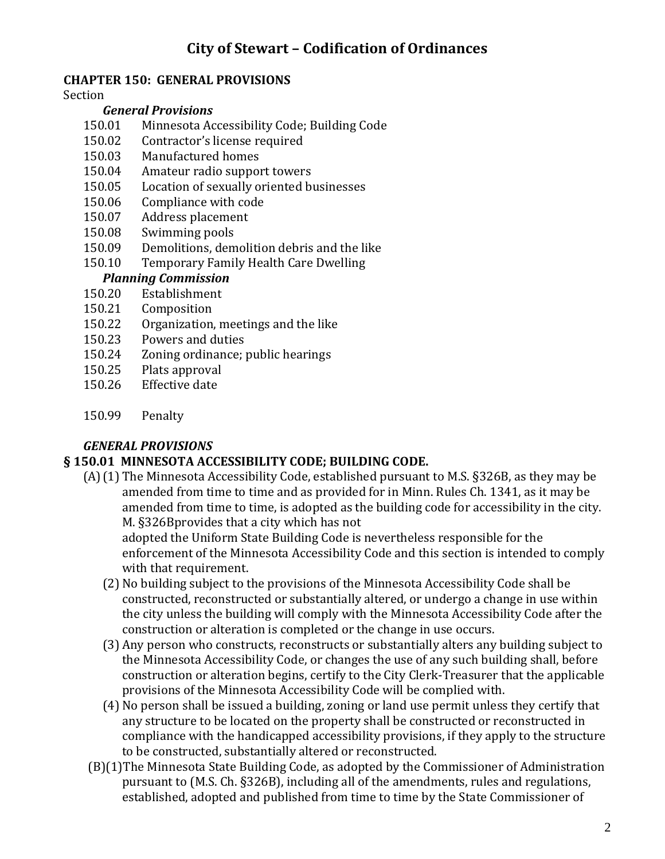#### **CHAPTER 150: GENERAL PROVISIONS**

#### Section

#### *General Provisions*

- 150.01 Minnesota Accessibility Code; Building Code
- 150.02 Contractor's license required
- 150.03 Manufactured homes
- 150.04 Amateur radio support towers
- 150.05 Location of sexually oriented businesses
- 150.06 Compliance with code
- 150.07 Address placement
- 150.08 Swimming pools
- 150.09 Demolitions, demolition debris and the like
- 150.10 Temporary Family Health Care Dwelling

#### *Planning Commission*

- 150.20 Establishment
- 150.21 Composition
- 150.22 Organization, meetings and the like
- 150.23 Powers and duties
- 150.24 Zoning ordinance; public hearings
- 150.25 Plats approval
- 150.26 Effective date
- 150.99 Penalty

#### *GENERAL PROVISIONS*

#### **§ 150.01 MINNESOTA ACCESSIBILITY CODE; BUILDING CODE.**

(A)(1) The Minnesota Accessibility Code, established pursuant to M.S. §326B, as they may be amended from time to time and as provided for in Minn. Rules Ch. 1341, as it may be amended from time to time, is adopted as the building code for accessibility in the city. M. §326Bprovides that a city which has not

adopted the Uniform State Building Code is nevertheless responsible for the enforcement of the Minnesota Accessibility Code and this section is intended to comply with that requirement.

- (2) No building subject to the provisions of the Minnesota Accessibility Code shall be constructed, reconstructed or substantially altered, or undergo a change in use within the city unless the building will comply with the Minnesota Accessibility Code after the construction or alteration is completed or the change in use occurs.
- (3) Any person who constructs, reconstructs or substantially alters any building subject to the Minnesota Accessibility Code, or changes the use of any such building shall, before construction or alteration begins, certify to the City Clerk-Treasurer that the applicable provisions of the Minnesota Accessibility Code will be complied with.
- (4) No person shall be issued a building, zoning or land use permit unless they certify that any structure to be located on the property shall be constructed or reconstructed in compliance with the handicapped accessibility provisions, if they apply to the structure to be constructed, substantially altered or reconstructed.
- (B)(1)The Minnesota State Building Code, as adopted by the Commissioner of Administration pursuant to (M.S. Ch. §326B), including all of the amendments, rules and regulations, established, adopted and published from time to time by the State Commissioner of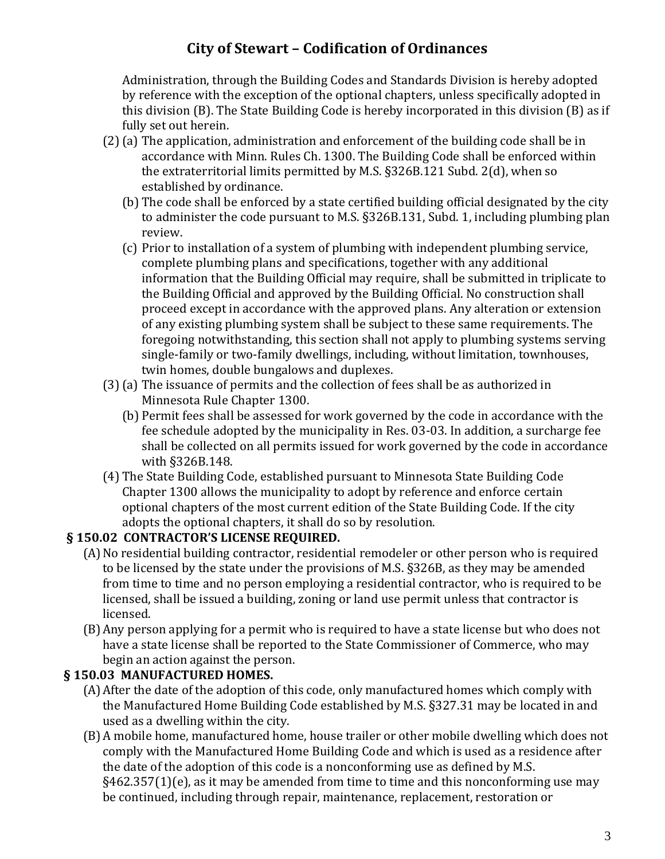Administration, through the Building Codes and Standards Division is hereby adopted by reference with the exception of the optional chapters, unless specifically adopted in this division (B). The State Building Code is hereby incorporated in this division (B) as if fully set out herein.

- (2)(a) The application, administration and enforcement of the building code shall be in accordance with Minn. Rules Ch. 1300. The Building Code shall be enforced within the extraterritorial limits permitted by M.S. §326B.121 Subd. 2(d), when so established by ordinance.
	- (b) The code shall be enforced by a state certified building official designated by the city to administer the code pursuant to M.S. §326B.131, Subd. 1, including plumbing plan review.
	- (c) Prior to installation of a system of plumbing with independent plumbing service, complete plumbing plans and specifications, together with any additional information that the Building Official may require, shall be submitted in triplicate to the Building Official and approved by the Building Official. No construction shall proceed except in accordance with the approved plans. Any alteration or extension of any existing plumbing system shall be subject to these same requirements. The foregoing notwithstanding, this section shall not apply to plumbing systems serving single-family or two-family dwellings, including, without limitation, townhouses, twin homes, double bungalows and duplexes.
- (3)(a) The issuance of permits and the collection of fees shall be as authorized in Minnesota Rule Chapter 1300.
	- (b) Permit fees shall be assessed for work governed by the code in accordance with the fee schedule adopted by the municipality in Res. 03-03. In addition, a surcharge fee shall be collected on all permits issued for work governed by the code in accordance with §326B.148.
- (4) The State Building Code, established pursuant to Minnesota State Building Code Chapter 1300 allows the municipality to adopt by reference and enforce certain optional chapters of the most current edition of the State Building Code. If the city adopts the optional chapters, it shall do so by resolution.

#### **§ 150.02 CONTRACTOR'S LICENSE REQUIRED.**

- (A)No residential building contractor, residential remodeler or other person who is required to be licensed by the state under the provisions of M.S. §326B, as they may be amended from time to time and no person employing a residential contractor, who is required to be licensed, shall be issued a building, zoning or land use permit unless that contractor is licensed.
- (B)Any person applying for a permit who is required to have a state license but who does not have a state license shall be reported to the State Commissioner of Commerce, who may begin an action against the person.

#### **§ 150.03 MANUFACTURED HOMES.**

- (A)After the date of the adoption of this code, only manufactured homes which comply with the Manufactured Home Building Code established by M.S. §327.31 may be located in and used as a dwelling within the city.
- (B)A mobile home, manufactured home, house trailer or other mobile dwelling which does not comply with the Manufactured Home Building Code and which is used as a residence after the date of the adoption of this code is a nonconforming use as defined by M.S. §462.357(1)(e), as it may be amended from time to time and this nonconforming use may be continued, including through repair, maintenance, replacement, restoration or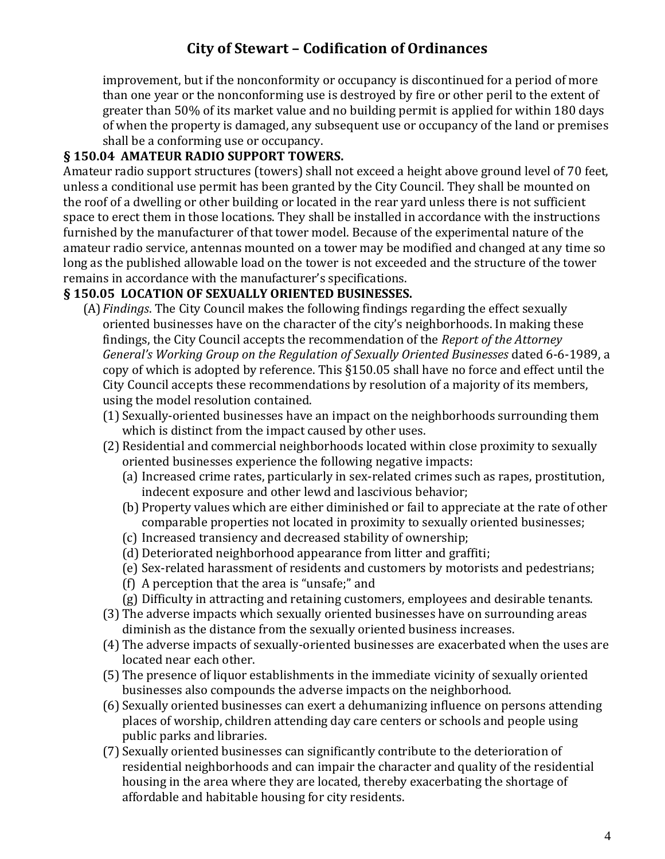improvement, but if the nonconformity or occupancy is discontinued for a period of more than one year or the nonconforming use is destroyed by fire or other peril to the extent of greater than 50% of its market value and no building permit is applied for within 180 days of when the property is damaged, any subsequent use or occupancy of the land or premises shall be a conforming use or occupancy.

#### **§ 150.04 AMATEUR RADIO SUPPORT TOWERS.**

Amateur radio support structures (towers) shall not exceed a height above ground level of 70 feet, unless a conditional use permit has been granted by the City Council. They shall be mounted on the roof of a dwelling or other building or located in the rear yard unless there is not sufficient space to erect them in those locations. They shall be installed in accordance with the instructions furnished by the manufacturer of that tower model. Because of the experimental nature of the amateur radio service, antennas mounted on a tower may be modified and changed at any time so long as the published allowable load on the tower is not exceeded and the structure of the tower remains in accordance with the manufacturer's specifications.

#### **§ 150.05 LOCATION OF SEXUALLY ORIENTED BUSINESSES.**

- (A)*Findings*. The City Council makes the following findings regarding the effect sexually oriented businesses have on the character of the city's neighborhoods. In making these findings, the City Council accepts the recommendation of the *Report of the Attorney General's Working Group on the Regulation of Sexually Oriented Businesses* dated 6-6-1989, a copy of which is adopted by reference. This §150.05 shall have no force and effect until the City Council accepts these recommendations by resolution of a majority of its members, using the model resolution contained.
	- (1) Sexually-oriented businesses have an impact on the neighborhoods surrounding them which is distinct from the impact caused by other uses.
	- (2) Residential and commercial neighborhoods located within close proximity to sexually oriented businesses experience the following negative impacts:
		- (a) Increased crime rates, particularly in sex-related crimes such as rapes, prostitution, indecent exposure and other lewd and lascivious behavior;
		- (b) Property values which are either diminished or fail to appreciate at the rate of other comparable properties not located in proximity to sexually oriented businesses;
		- (c) Increased transiency and decreased stability of ownership;
		- (d) Deteriorated neighborhood appearance from litter and graffiti;
		- (e) Sex-related harassment of residents and customers by motorists and pedestrians;
		- (f) A perception that the area is "unsafe;" and
		- (g) Difficulty in attracting and retaining customers, employees and desirable tenants.
	- (3) The adverse impacts which sexually oriented businesses have on surrounding areas diminish as the distance from the sexually oriented business increases.
	- (4) The adverse impacts of sexually-oriented businesses are exacerbated when the uses are located near each other.
	- (5) The presence of liquor establishments in the immediate vicinity of sexually oriented businesses also compounds the adverse impacts on the neighborhood.
	- (6) Sexually oriented businesses can exert a dehumanizing influence on persons attending places of worship, children attending day care centers or schools and people using public parks and libraries.
	- (7) Sexually oriented businesses can significantly contribute to the deterioration of residential neighborhoods and can impair the character and quality of the residential housing in the area where they are located, thereby exacerbating the shortage of affordable and habitable housing for city residents.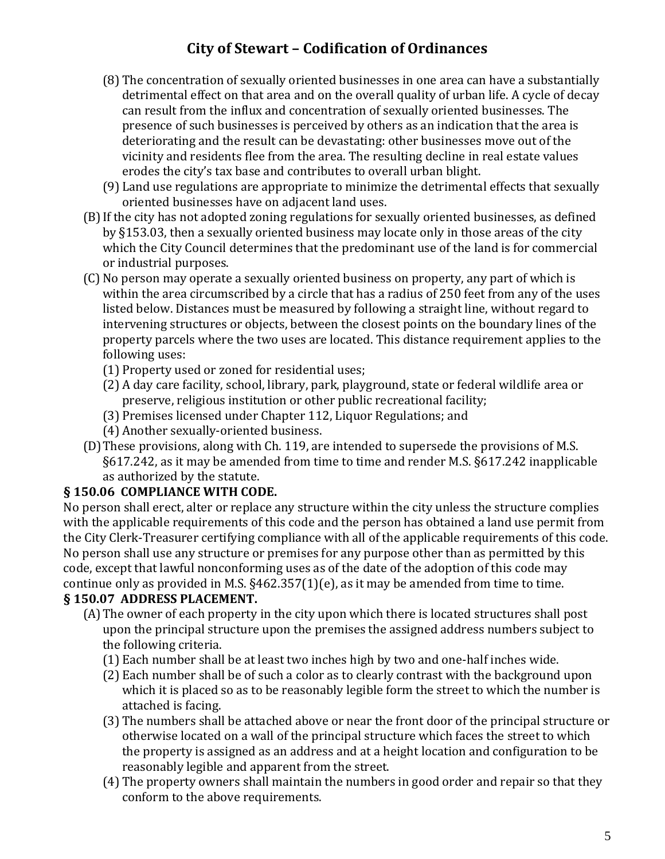- (8) The concentration of sexually oriented businesses in one area can have a substantially detrimental effect on that area and on the overall quality of urban life. A cycle of decay can result from the influx and concentration of sexually oriented businesses. The presence of such businesses is perceived by others as an indication that the area is deteriorating and the result can be devastating: other businesses move out of the vicinity and residents flee from the area. The resulting decline in real estate values erodes the city's tax base and contributes to overall urban blight.
- (9) Land use regulations are appropriate to minimize the detrimental effects that sexually oriented businesses have on adjacent land uses.
- (B)If the city has not adopted zoning regulations for sexually oriented businesses, as defined by §153.03, then a sexually oriented business may locate only in those areas of the city which the City Council determines that the predominant use of the land is for commercial or industrial purposes.
- (C) No person may operate a sexually oriented business on property, any part of which is within the area circumscribed by a circle that has a radius of 250 feet from any of the uses listed below. Distances must be measured by following a straight line, without regard to intervening structures or objects, between the closest points on the boundary lines of the property parcels where the two uses are located. This distance requirement applies to the following uses:
	- (1) Property used or zoned for residential uses;
	- (2) A day care facility, school, library, park, playground, state or federal wildlife area or preserve, religious institution or other public recreational facility;
	- (3) Premises licensed under Chapter 112, Liquor Regulations; and
	- (4) Another sexually-oriented business.
- (D)These provisions, along with Ch. 119, are intended to supersede the provisions of M.S. §617.242, as it may be amended from time to time and render M.S. §617.242 inapplicable as authorized by the statute.

#### **§ 150.06 COMPLIANCE WITH CODE.**

No person shall erect, alter or replace any structure within the city unless the structure complies with the applicable requirements of this code and the person has obtained a land use permit from the City Clerk-Treasurer certifying compliance with all of the applicable requirements of this code. No person shall use any structure or premises for any purpose other than as permitted by this code, except that lawful nonconforming uses as of the date of the adoption of this code may continue only as provided in M.S. §462.357(1)(e), as it may be amended from time to time.

#### **§ 150.07 ADDRESS PLACEMENT.**

- (A)The owner of each property in the city upon which there is located structures shall post upon the principal structure upon the premises the assigned address numbers subject to the following criteria.
	- (1) Each number shall be at least two inches high by two and one-half inches wide.
	- (2) Each number shall be of such a color as to clearly contrast with the background upon which it is placed so as to be reasonably legible form the street to which the number is attached is facing.
	- (3) The numbers shall be attached above or near the front door of the principal structure or otherwise located on a wall of the principal structure which faces the street to which the property is assigned as an address and at a height location and configuration to be reasonably legible and apparent from the street.
	- (4) The property owners shall maintain the numbers in good order and repair so that they conform to the above requirements.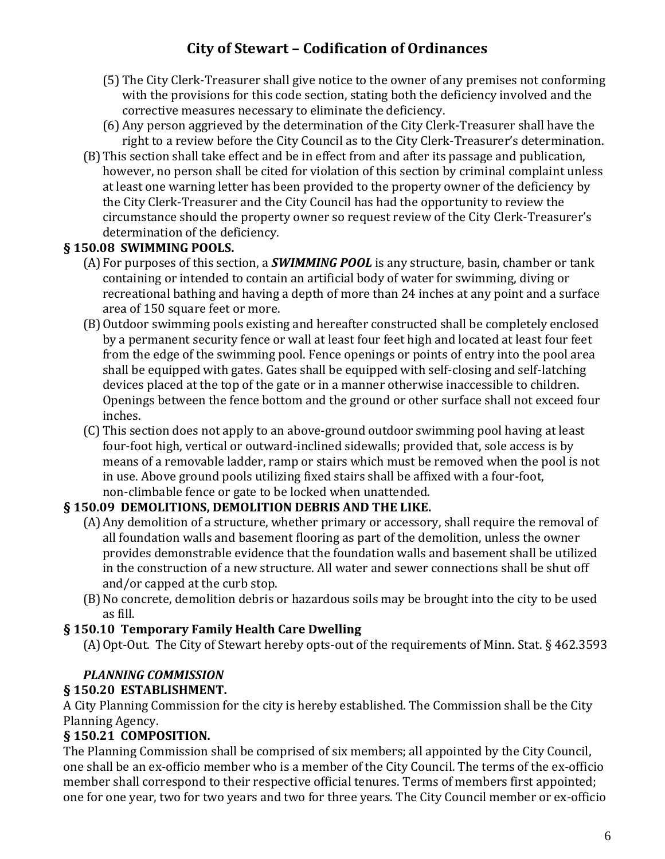- (5) The City Clerk-Treasurer shall give notice to the owner of any premises not conforming with the provisions for this code section, stating both the deficiency involved and the corrective measures necessary to eliminate the deficiency.
- (6) Any person aggrieved by the determination of the City Clerk-Treasurer shall have the right to a review before the City Council as to the City Clerk-Treasurer's determination.
- (B)This section shall take effect and be in effect from and after its passage and publication, however, no person shall be cited for violation of this section by criminal complaint unless at least one warning letter has been provided to the property owner of the deficiency by the City Clerk-Treasurer and the City Council has had the opportunity to review the circumstance should the property owner so request review of the City Clerk-Treasurer's determination of the deficiency.

#### **§ 150.08 SWIMMING POOLS.**

- (A)For purposes of this section, a *SWIMMING POOL* is any structure, basin, chamber or tank containing or intended to contain an artificial body of water for swimming, diving or recreational bathing and having a depth of more than 24 inches at any point and a surface area of 150 square feet or more.
- (B)Outdoor swimming pools existing and hereafter constructed shall be completely enclosed by a permanent security fence or wall at least four feet high and located at least four feet from the edge of the swimming pool. Fence openings or points of entry into the pool area shall be equipped with gates. Gates shall be equipped with self-closing and self-latching devices placed at the top of the gate or in a manner otherwise inaccessible to children. Openings between the fence bottom and the ground or other surface shall not exceed four inches.
- (C) This section does not apply to an above-ground outdoor swimming pool having at least four-foot high, vertical or outward-inclined sidewalls; provided that, sole access is by means of a removable ladder, ramp or stairs which must be removed when the pool is not in use. Above ground pools utilizing fixed stairs shall be affixed with a four-foot, non-climbable fence or gate to be locked when unattended.

#### **§ 150.09 DEMOLITIONS, DEMOLITION DEBRIS AND THE LIKE.**

- (A)Any demolition of a structure, whether primary or accessory, shall require the removal of all foundation walls and basement flooring as part of the demolition, unless the owner provides demonstrable evidence that the foundation walls and basement shall be utilized in the construction of a new structure. All water and sewer connections shall be shut off and/or capped at the curb stop.
- (B)No concrete, demolition debris or hazardous soils may be brought into the city to be used as fill.

#### **§ 150.10 Temporary Family Health Care Dwelling**

(A)Opt-Out. The City of Stewart hereby opts-out of the requirements of Minn. Stat. § 462.3593

#### *PLANNING COMMISSION*

#### **§ 150.20 ESTABLISHMENT.**

A City Planning Commission for the city is hereby established. The Commission shall be the City Planning Agency.

#### **§ 150.21 COMPOSITION.**

The Planning Commission shall be comprised of six members; all appointed by the City Council, one shall be an ex-officio member who is a member of the City Council. The terms of the ex-officio member shall correspond to their respective official tenures. Terms of members first appointed; one for one year, two for two years and two for three years. The City Council member or ex-officio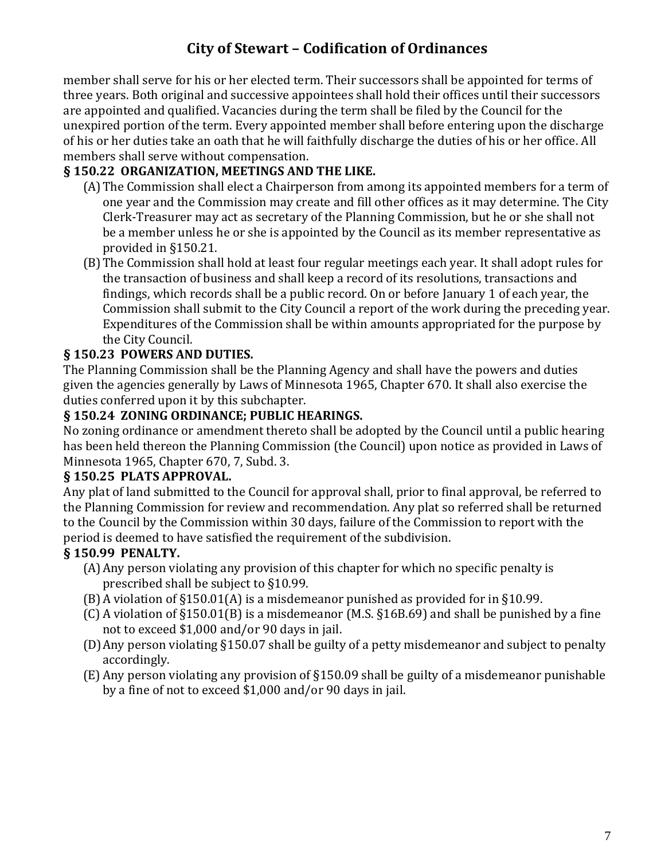member shall serve for his or her elected term. Their successors shall be appointed for terms of three years. Both original and successive appointees shall hold their offices until their successors are appointed and qualified. Vacancies during the term shall be filed by the Council for the unexpired portion of the term. Every appointed member shall before entering upon the discharge of his or her duties take an oath that he will faithfully discharge the duties of his or her office. All members shall serve without compensation.

#### **§ 150.22 ORGANIZATION, MEETINGS AND THE LIKE.**

- (A)The Commission shall elect a Chairperson from among its appointed members for a term of one year and the Commission may create and fill other offices as it may determine. The City Clerk-Treasurer may act as secretary of the Planning Commission, but he or she shall not be a member unless he or she is appointed by the Council as its member representative as provided in §150.21.
- (B)The Commission shall hold at least four regular meetings each year. It shall adopt rules for the transaction of business and shall keep a record of its resolutions, transactions and findings, which records shall be a public record. On or before January 1 of each year, the Commission shall submit to the City Council a report of the work during the preceding year. Expenditures of the Commission shall be within amounts appropriated for the purpose by the City Council.

#### **§ 150.23 POWERS AND DUTIES.**

The Planning Commission shall be the Planning Agency and shall have the powers and duties given the agencies generally by Laws of Minnesota 1965, Chapter 670. It shall also exercise the duties conferred upon it by this subchapter.

#### **§ 150.24 ZONING ORDINANCE; PUBLIC HEARINGS.**

No zoning ordinance or amendment thereto shall be adopted by the Council until a public hearing has been held thereon the Planning Commission (the Council) upon notice as provided in Laws of Minnesota 1965, Chapter 670, 7, Subd. 3.

#### **§ 150.25 PLATS APPROVAL.**

Any plat of land submitted to the Council for approval shall, prior to final approval, be referred to the Planning Commission for review and recommendation. Any plat so referred shall be returned to the Council by the Commission within 30 days, failure of the Commission to report with the period is deemed to have satisfied the requirement of the subdivision.

#### **§ 150.99 PENALTY.**

- (A)Any person violating any provision of this chapter for which no specific penalty is prescribed shall be subject to §10.99.
- (B)A violation of §150.01(A) is a misdemeanor punished as provided for in §10.99.
- (C) A violation of §150.01(B) is a misdemeanor (M.S. §16B.69) and shall be punished by a fine not to exceed \$1,000 and/or 90 days in jail.
- (D)Any person violating §150.07 shall be guilty of a petty misdemeanor and subject to penalty accordingly.
- (E) Any person violating any provision of §150.09 shall be guilty of a misdemeanor punishable by a fine of not to exceed \$1,000 and/or 90 days in jail.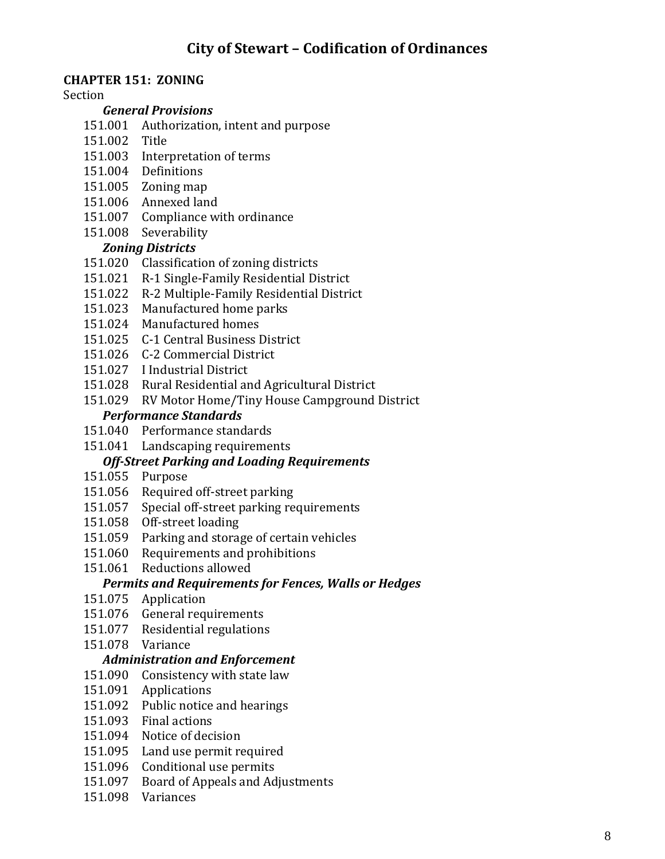#### **CHAPTER 151: ZONING**

#### Section

#### *General Provisions*

- 151.001 Authorization, intent and purpose
- 151.002 Title
- 151.003 Interpretation of terms
- 151.004 Definitions
- 151.005 Zoning map
- 151.006 Annexed land
- 151.007 Compliance with ordinance
- 151.008 Severability

#### *Zoning Districts*

- 151.020 Classification of zoning districts
- 151.021 R-1 Single-Family Residential District
- 151.022 R-2 Multiple-Family Residential District
- 151.023 Manufactured home parks
- 151.024 Manufactured homes
- 151.025 C-1 Central Business District
- 151.026 C-2 Commercial District
- 151.027 I Industrial District
- 151.028 Rural Residential and Agricultural District
- 151.029 RV Motor Home/Tiny House Campground District *Performance Standards*
- 151.040 Performance standards
- 151.041 Landscaping requirements

#### *Off-Street Parking and Loading Requirements*

- 151.055 Purpose
- 151.056 Required off-street parking
- 151.057 Special off-street parking requirements
- 151.058 Off-street loading
- 151.059 Parking and storage of certain vehicles
- 151.060 Requirements and prohibitions
- 151.061 Reductions allowed

#### *Permits and Requirements for Fences, Walls or Hedges*

- 151.075 Application
- 151.076 General requirements
- 151.077 Residential regulations
- 151.078 Variance

#### *Administration and Enforcement*

- 151.090 Consistency with state law
- 151.091 Applications
- 151.092 Public notice and hearings
- 151.093 Final actions
- 151.094 Notice of decision
- 151.095 Land use permit required
- 151.096 Conditional use permits
- 151.097 Board of Appeals and Adjustments
- 151.098 Variances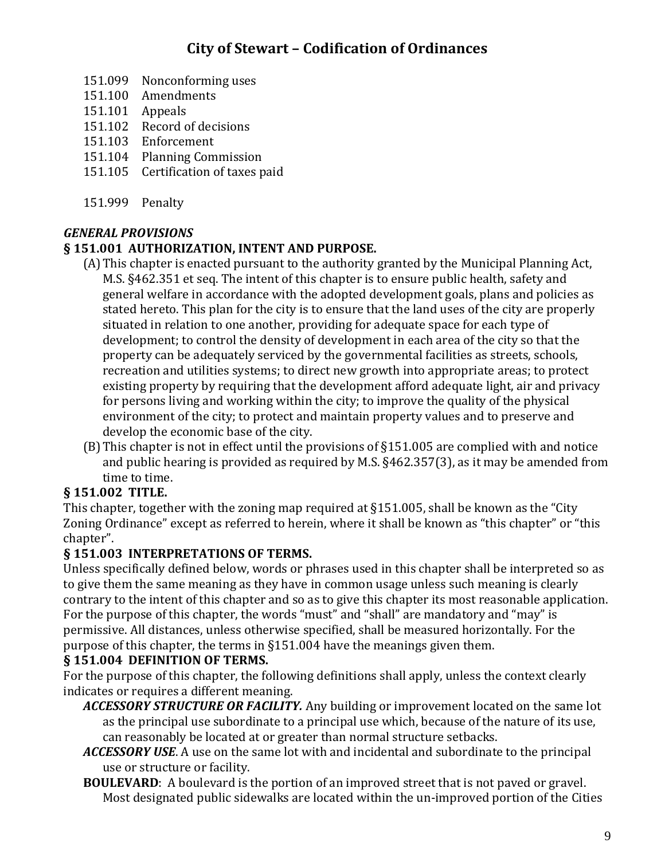- 151.099 Nonconforming uses
- 151.100 Amendments
- 151.101 Appeals
- 151.102 Record of decisions
- 151.103 Enforcement
- 151.104 Planning Commission
- 151.105 Certification of taxes paid
- 151.999 Penalty

#### *GENERAL PROVISIONS*

#### **§ 151.001 AUTHORIZATION, INTENT AND PURPOSE.**

- (A)This chapter is enacted pursuant to the authority granted by the Municipal Planning Act, M.S. §462.351 et seq. The intent of this chapter is to ensure public health, safety and general welfare in accordance with the adopted development goals, plans and policies as stated hereto. This plan for the city is to ensure that the land uses of the city are properly situated in relation to one another, providing for adequate space for each type of development; to control the density of development in each area of the city so that the property can be adequately serviced by the governmental facilities as streets, schools, recreation and utilities systems; to direct new growth into appropriate areas; to protect existing property by requiring that the development afford adequate light, air and privacy for persons living and working within the city; to improve the quality of the physical environment of the city; to protect and maintain property values and to preserve and develop the economic base of the city.
- (B)This chapter is not in effect until the provisions of §151.005 are complied with and notice and public hearing is provided as required by M.S. §462.357(3), as it may be amended from time to time.

#### **§ 151.002 TITLE.**

This chapter, together with the zoning map required at §151.005, shall be known as the "City Zoning Ordinance" except as referred to herein, where it shall be known as "this chapter" or "this chapter".

#### **§ 151.003 INTERPRETATIONS OF TERMS.**

Unless specifically defined below, words or phrases used in this chapter shall be interpreted so as to give them the same meaning as they have in common usage unless such meaning is clearly contrary to the intent of this chapter and so as to give this chapter its most reasonable application. For the purpose of this chapter, the words "must" and "shall" are mandatory and "may" is permissive. All distances, unless otherwise specified, shall be measured horizontally. For the purpose of this chapter, the terms in §151.004 have the meanings given them.

#### **§ 151.004 DEFINITION OF TERMS.**

For the purpose of this chapter, the following definitions shall apply, unless the context clearly indicates or requires a different meaning.

- *ACCESSORY STRUCTURE OR FACILITY.* Any building or improvement located on the same lot as the principal use subordinate to a principal use which, because of the nature of its use, can reasonably be located at or greater than normal structure setbacks.
- *ACCESSORY USE*. A use on the same lot with and incidental and subordinate to the principal use or structure or facility.
- **BOULEVARD**: A boulevard is the portion of an improved street that is not paved or gravel. Most designated public sidewalks are located within the un-improved portion of the Cities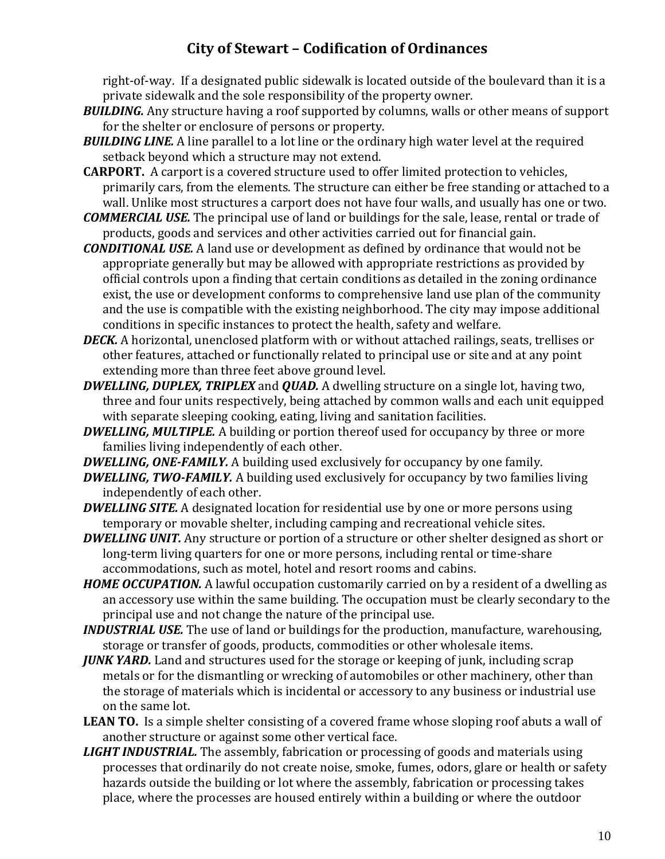right-of-way. If a designated public sidewalk is located outside of the boulevard than it is a private sidewalk and the sole responsibility of the property owner.

- *BUILDING.* Any structure having a roof supported by columns, walls or other means of support for the shelter or enclosure of persons or property.
- *BUILDING LINE.* A line parallel to a lot line or the ordinary high water level at the required setback beyond which a structure may not extend.
- **CARPORT.** A carport is a covered structure used to offer limited protection to vehicles, primarily cars, from the elements. The structure can either be free standing or attached to a wall. Unlike most structures a carport does not have four walls, and usually has one or two.
- *COMMERCIAL USE.* The principal use of land or buildings for the sale, lease, rental or trade of products, goods and services and other activities carried out for financial gain.
- *CONDITIONAL USE.* A land use or development as defined by ordinance that would not be appropriate generally but may be allowed with appropriate restrictions as provided by official controls upon a finding that certain conditions as detailed in the zoning ordinance exist, the use or development conforms to comprehensive land use plan of the community and the use is compatible with the existing neighborhood. The city may impose additional conditions in specific instances to protect the health, safety and welfare.
- *DECK.* A horizontal, unenclosed platform with or without attached railings, seats, trellises or other features, attached or functionally related to principal use or site and at any point extending more than three feet above ground level.
- *DWELLING, DUPLEX, TRIPLEX* and *QUAD.* A dwelling structure on a single lot, having two, three and four units respectively, being attached by common walls and each unit equipped with separate sleeping cooking, eating, living and sanitation facilities.
- *DWELLING, MULTIPLE.* A building or portion thereof used for occupancy by three or more families living independently of each other.
- *DWELLING, ONE-FAMILY.* A building used exclusively for occupancy by one family.
- *DWELLING, TWO-FAMILY.* A building used exclusively for occupancy by two families living independently of each other.
- *DWELLING SITE.* A designated location for residential use by one or more persons using temporary or movable shelter, including camping and recreational vehicle sites.
- *DWELLING UNIT.* Any structure or portion of a structure or other shelter designed as short or long-term living quarters for one or more persons, including rental or time-share accommodations, such as motel, hotel and resort rooms and cabins.
- **HOME OCCUPATION.** A lawful occupation customarily carried on by a resident of a dwelling as an accessory use within the same building. The occupation must be clearly secondary to the principal use and not change the nature of the principal use.
- *INDUSTRIAL USE.* The use of land or buildings for the production, manufacture, warehousing, storage or transfer of goods, products, commodities or other wholesale items.
- *JUNK YARD.* Land and structures used for the storage or keeping of junk, including scrap metals or for the dismantling or wrecking of automobiles or other machinery, other than the storage of materials which is incidental or accessory to any business or industrial use on the same lot.
- LEAN TO. Is a simple shelter consisting of a covered frame whose sloping roof abuts a wall of another structure or against some other vertical face.
- *LIGHT INDUSTRIAL.* The assembly, fabrication or processing of goods and materials using processes that ordinarily do not create noise, smoke, fumes, odors, glare or health or safety hazards outside the building or lot where the assembly, fabrication or processing takes place, where the processes are housed entirely within a building or where the outdoor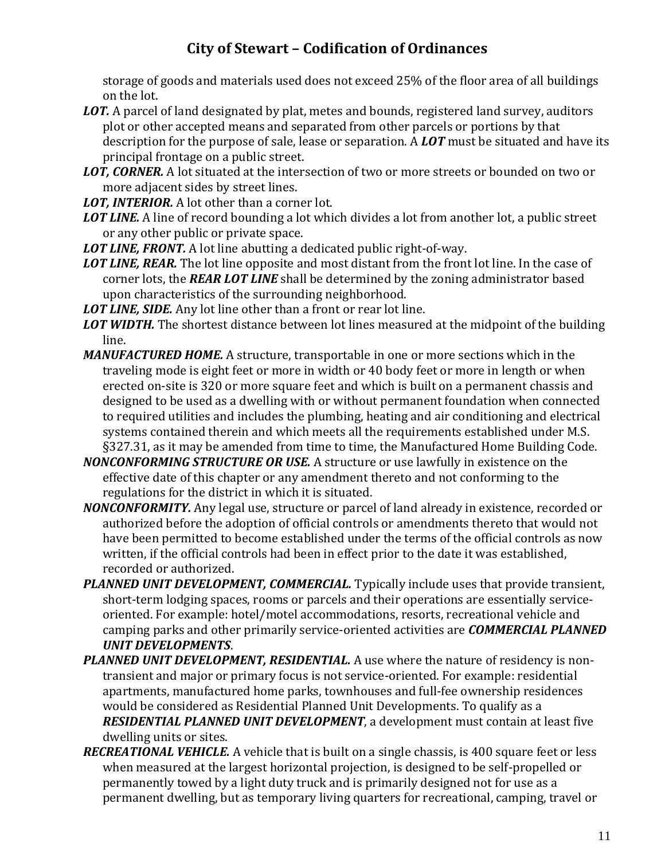storage of goods and materials used does not exceed 25% of the floor area of all buildings on the lot.

- **LOT.** A parcel of land designated by plat, metes and bounds, registered land survey, auditors plot or other accepted means and separated from other parcels or portions by that description for the purpose of sale, lease or separation. A *LOT* must be situated and have its principal frontage on a public street.
- *LOT, CORNER.* A lot situated at the intersection of two or more streets or bounded on two or more adjacent sides by street lines.
- *LOT, INTERIOR.* A lot other than a corner lot.
- *LOT LINE.* A line of record bounding a lot which divides a lot from another lot, a public street or any other public or private space.
- *LOT LINE, FRONT.* A lot line abutting a dedicated public right-of-way.
- *LOT LINE, REAR.* The lot line opposite and most distant from the front lot line. In the case of corner lots, the *REAR LOT LINE* shall be determined by the zoning administrator based upon characteristics of the surrounding neighborhood.
- *LOT LINE, SIDE.* Any lot line other than a front or rear lot line.
- *LOT WIDTH.* The shortest distance between lot lines measured at the midpoint of the building line.
- *MANUFACTURED HOME.* A structure, transportable in one or more sections which in the traveling mode is eight feet or more in width or 40 body feet or more in length or when erected on-site is 320 or more square feet and which is built on a permanent chassis and designed to be used as a dwelling with or without permanent foundation when connected to required utilities and includes the plumbing, heating and air conditioning and electrical systems contained therein and which meets all the requirements established under M.S. §327.31, as it may be amended from time to time, the Manufactured Home Building Code.
- *NONCONFORMING STRUCTURE OR USE.* A structure or use lawfully in existence on the effective date of this chapter or any amendment thereto and not conforming to the regulations for the district in which it is situated.
- *NONCONFORMITY.* Any legal use, structure or parcel of land already in existence, recorded or authorized before the adoption of official controls or amendments thereto that would not have been permitted to become established under the terms of the official controls as now written, if the official controls had been in effect prior to the date it was established, recorded or authorized.
- **PLANNED UNIT DEVELOPMENT, COMMERCIAL.** Typically include uses that provide transient, short-term lodging spaces, rooms or parcels and their operations are essentially serviceoriented. For example: hotel/motel accommodations, resorts, recreational vehicle and camping parks and other primarily service-oriented activities are *COMMERCIAL PLANNED UNIT DEVELOPMENTS*.
- *PLANNED UNIT DEVELOPMENT, RESIDENTIAL.* A use where the nature of residency is nontransient and major or primary focus is not service-oriented. For example: residential apartments, manufactured home parks, townhouses and full-fee ownership residences would be considered as Residential Planned Unit Developments. To qualify as a *RESIDENTIAL PLANNED UNIT DEVELOPMENT*, a development must contain at least five dwelling units or sites.
- *RECREATIONAL VEHICLE.* A vehicle that is built on a single chassis, is 400 square feet or less when measured at the largest horizontal projection, is designed to be self-propelled or permanently towed by a light duty truck and is primarily designed not for use as a permanent dwelling, but as temporary living quarters for recreational, camping, travel or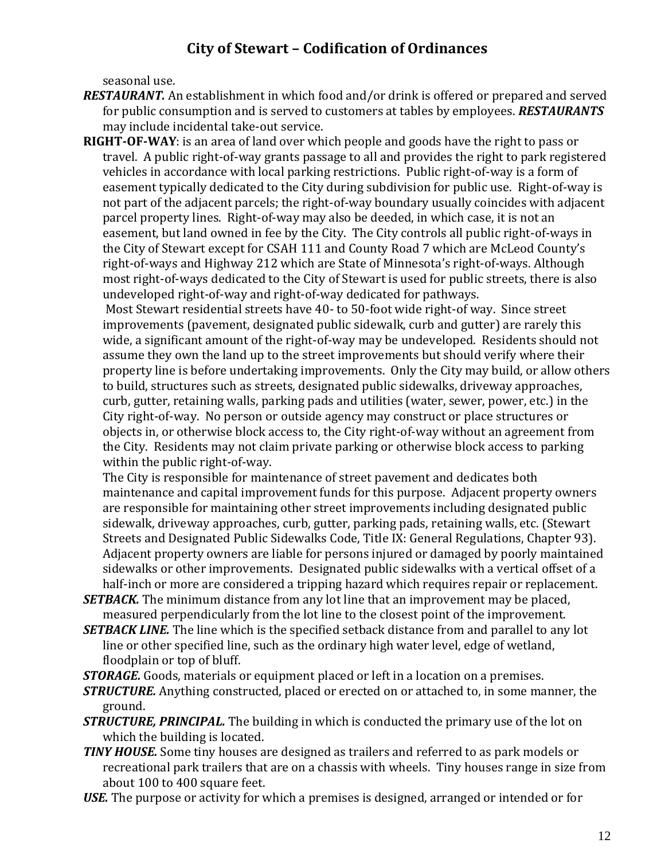seasonal use.

- *RESTAURANT.* An establishment in which food and/or drink is offered or prepared and served for public consumption and is served to customers at tables by employees. *RESTAURANTS*  may include incidental take-out service.
- **RIGHT-OF-WAY**: is an area of land over which people and goods have the right to pass or travel. A public right-of-way grants passage to all and provides the right to park registered vehicles in accordance with local parking restrictions. Public right-of-way is a form of easement typically dedicated to the City during subdivision for public use. Right-of-way is not part of the adjacent parcels; the right-of-way boundary usually coincides with adjacent parcel property lines. Right-of-way may also be deeded, in which case, it is not an easement, but land owned in fee by the City. The City controls all public right-of-ways in the City of Stewart except for CSAH 111 and County Road 7 which are McLeod County's right-of-ways and Highway 212 which are State of Minnesota's right-of-ways. Although most right-of-ways dedicated to the City of Stewart is used for public streets, there is also undeveloped right-of-way and right-of-way dedicated for pathways.

Most Stewart residential streets have 40- to 50-foot wide right-of way. Since street improvements (pavement, designated public sidewalk, curb and gutter) are rarely this wide, a significant amount of the right-of-way may be undeveloped. Residents should not assume they own the land up to the street improvements but should verify where their property line is before undertaking improvements. Only the City may build, or allow others to build, structures such as streets, designated public sidewalks, driveway approaches, curb, gutter, retaining walls, parking pads and utilities (water, sewer, power, etc.) in the City right-of-way. No person or outside agency may construct or place structures or objects in, or otherwise block access to, the City right-of-way without an agreement from the City. Residents may not claim private parking or otherwise block access to parking within the public right-of-way.

The City is responsible for maintenance of street pavement and dedicates both maintenance and capital improvement funds for this purpose. Adjacent property owners are responsible for maintaining other street improvements including designated public sidewalk, driveway approaches, curb, gutter, parking pads, retaining walls, etc. (Stewart Streets and Designated Public Sidewalks Code, Title IX: General Regulations, Chapter 93). Adjacent property owners are liable for persons injured or damaged by poorly maintained sidewalks or other improvements. Designated public sidewalks with a vertical offset of a half-inch or more are considered a tripping hazard which requires repair or replacement.

- *SETBACK*. The minimum distance from any lot line that an improvement may be placed, measured perpendicularly from the lot line to the closest point of the improvement.
- *SETBACK LINE.* The line which is the specified setback distance from and parallel to any lot line or other specified line, such as the ordinary high water level, edge of wetland, floodplain or top of bluff.

*STORAGE.* Goods, materials or equipment placed or left in a location on a premises.

- *STRUCTURE.* Anything constructed, placed or erected on or attached to, in some manner, the ground.
- *STRUCTURE, PRINCIPAL.* The building in which is conducted the primary use of the lot on which the building is located.
- *TINY HOUSE.* Some tiny houses are designed as trailers and referred to as park models or recreational park trailers that are on a chassis with wheels. Tiny houses range in size from about 100 to 400 square feet.

*USE.* The purpose or activity for which a premises is designed, arranged or intended or for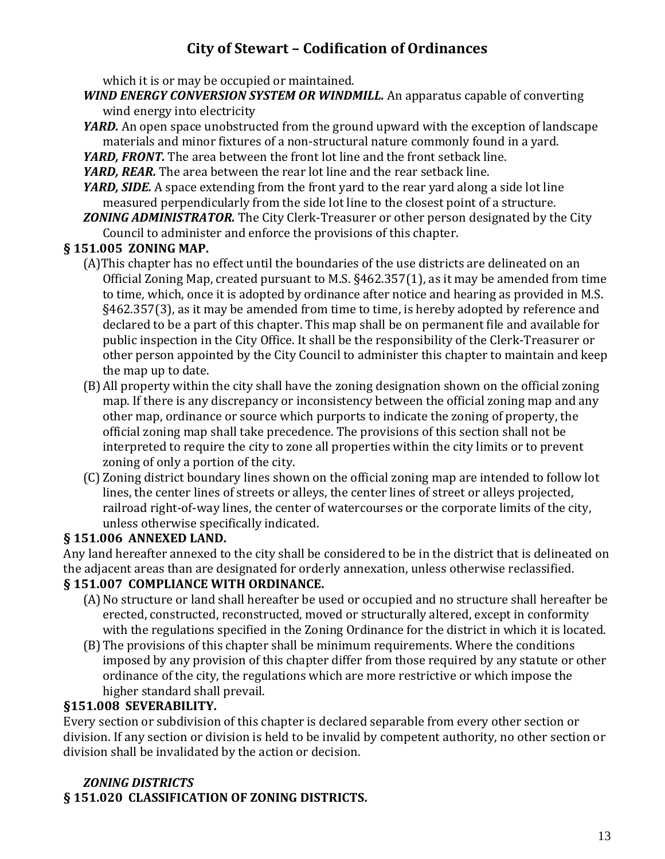which it is or may be occupied or maintained.

- *WIND ENERGY CONVERSION SYSTEM OR WINDMILL.* An apparatus capable of converting wind energy into electricity
- *YARD.* An open space unobstructed from the ground upward with the exception of landscape materials and minor fixtures of a non-structural nature commonly found in a yard.
- *YARD, FRONT.* The area between the front lot line and the front setback line.
- *YARD, REAR.* The area between the rear lot line and the rear setback line.
- *YARD, SIDE.* A space extending from the front yard to the rear yard along a side lot line measured perpendicularly from the side lot line to the closest point of a structure.
- *ZONING ADMINISTRATOR.* The City Clerk-Treasurer or other person designated by the City Council to administer and enforce the provisions of this chapter.

#### **§ 151.005 ZONING MAP.**

- (A)This chapter has no effect until the boundaries of the use districts are delineated on an Official Zoning Map, created pursuant to M.S. §462.357(1), as it may be amended from time to time, which, once it is adopted by ordinance after notice and hearing as provided in M.S. §462.357(3), as it may be amended from time to time, is hereby adopted by reference and declared to be a part of this chapter. This map shall be on permanent file and available for public inspection in the City Office. It shall be the responsibility of the Clerk-Treasurer or other person appointed by the City Council to administer this chapter to maintain and keep the map up to date.
- (B)All property within the city shall have the zoning designation shown on the official zoning map. If there is any discrepancy or inconsistency between the official zoning map and any other map, ordinance or source which purports to indicate the zoning of property, the official zoning map shall take precedence. The provisions of this section shall not be interpreted to require the city to zone all properties within the city limits or to prevent zoning of only a portion of the city.
- (C) Zoning district boundary lines shown on the official zoning map are intended to follow lot lines, the center lines of streets or alleys, the center lines of street or alleys projected, railroad right-of-way lines, the center of watercourses or the corporate limits of the city, unless otherwise specifically indicated.

#### **§ 151.006 ANNEXED LAND.**

Any land hereafter annexed to the city shall be considered to be in the district that is delineated on the adjacent areas than are designated for orderly annexation, unless otherwise reclassified.

### **§ 151.007 COMPLIANCE WITH ORDINANCE.**

- (A)No structure or land shall hereafter be used or occupied and no structure shall hereafter be erected, constructed, reconstructed, moved or structurally altered, except in conformity with the regulations specified in the Zoning Ordinance for the district in which it is located.
- (B)The provisions of this chapter shall be minimum requirements. Where the conditions imposed by any provision of this chapter differ from those required by any statute or other ordinance of the city, the regulations which are more restrictive or which impose the higher standard shall prevail.

#### **§151.008 SEVERABILITY.**

Every section or subdivision of this chapter is declared separable from every other section or division. If any section or division is held to be invalid by competent authority, no other section or division shall be invalidated by the action or decision.

### *ZONING DISTRICTS*

**§ 151.020 CLASSIFICATION OF ZONING DISTRICTS.**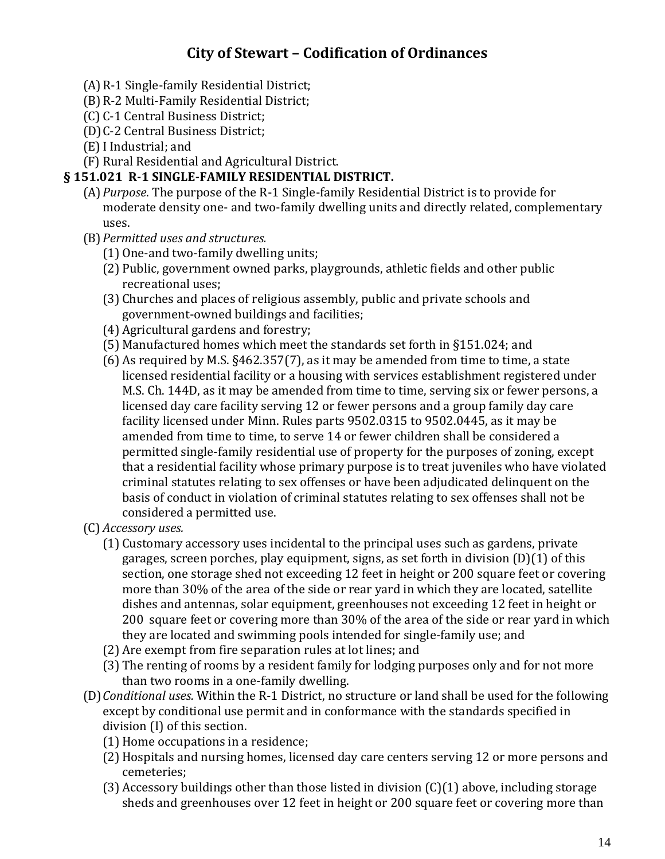- (A)R-1 Single-family Residential District;
- (B)R-2 Multi-Family Residential District;
- (C) C-1 Central Business District;
- (D)C-2 Central Business District;
- (E)I Industrial; and
- (F) Rural Residential and Agricultural District.

#### **§ 151.021 R-1 SINGLE-FAMILY RESIDENTIAL DISTRICT.**

- (A)*Purpose*. The purpose of the R-1 Single-family Residential District is to provide for moderate density one- and two-family dwelling units and directly related, complementary uses.
- (B)*Permitted uses and structures.*
	- (1) One-and two-family dwelling units;
	- (2) Public, government owned parks, playgrounds, athletic fields and other public recreational uses;
	- (3) Churches and places of religious assembly, public and private schools and government-owned buildings and facilities;
	- (4) Agricultural gardens and forestry;
	- (5) Manufactured homes which meet the standards set forth in §151.024; and
	- (6) As required by M.S. §462.357(7), as it may be amended from time to time, a state licensed residential facility or a housing with services establishment registered under M.S. Ch. 144D, as it may be amended from time to time, serving six or fewer persons, a licensed day care facility serving 12 or fewer persons and a group family day care facility licensed under Minn. Rules parts 9502.0315 to 9502.0445, as it may be amended from time to time, to serve 14 or fewer children shall be considered a permitted single-family residential use of property for the purposes of zoning, except that a residential facility whose primary purpose is to treat juveniles who have violated criminal statutes relating to sex offenses or have been adjudicated delinquent on the basis of conduct in violation of criminal statutes relating to sex offenses shall not be considered a permitted use.
- (C) *Accessory uses.*
	- (1) Customary accessory uses incidental to the principal uses such as gardens, private garages, screen porches, play equipment, signs, as set forth in division (D)(1) of this section, one storage shed not exceeding 12 feet in height or 200 square feet or covering more than 30% of the area of the side or rear yard in which they are located, satellite dishes and antennas, solar equipment, greenhouses not exceeding 12 feet in height or 200 square feet or covering more than 30% of the area of the side or rear yard in which they are located and swimming pools intended for single-family use; and
	- (2) Are exempt from fire separation rules at lot lines; and
	- (3) The renting of rooms by a resident family for lodging purposes only and for not more than two rooms in a one-family dwelling.
- (D)*Conditional uses.* Within the R-1 District, no structure or land shall be used for the following except by conditional use permit and in conformance with the standards specified in division (I) of this section.
	- (1) Home occupations in a residence;
	- (2) Hospitals and nursing homes, licensed day care centers serving 12 or more persons and cemeteries;
	- (3) Accessory buildings other than those listed in division (C)(1) above, including storage sheds and greenhouses over 12 feet in height or 200 square feet or covering more than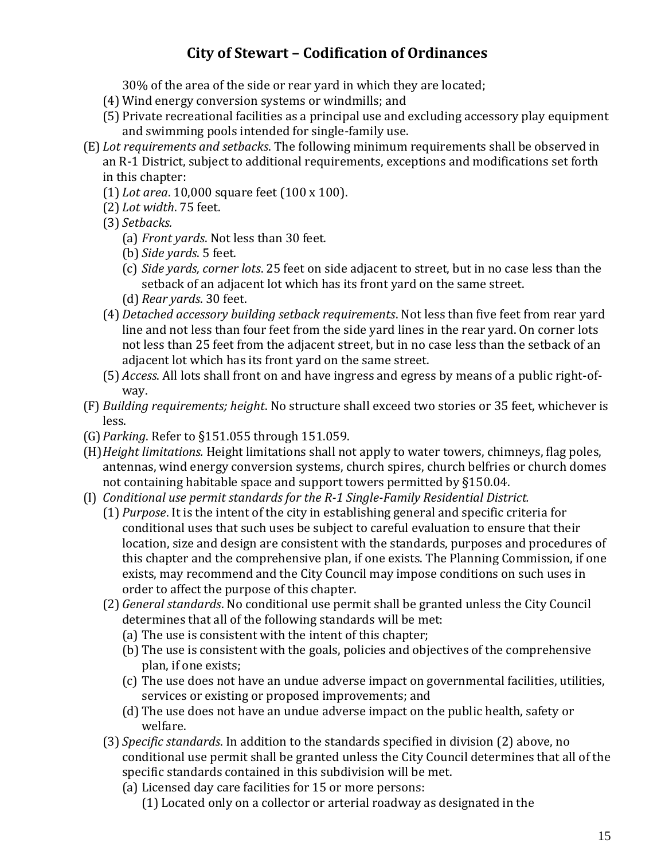30% of the area of the side or rear yard in which they are located;

- (4) Wind energy conversion systems or windmills; and
- (5) Private recreational facilities as a principal use and excluding accessory play equipment and swimming pools intended for single-family use.
- (E) *Lot requirements and setbacks*. The following minimum requirements shall be observed in an R-1 District, subject to additional requirements, exceptions and modifications set forth in this chapter:
	- (1) *Lot area*. 10,000 square feet (100 x 100).
	- (2) *Lot width*. 75 feet.
	- (3) *Setbacks.*
		- (a) *Front yards*. Not less than 30 feet.
		- (b) *Side yards*. 5 feet.
		- (c) *Side yards, corner lots*. 25 feet on side adjacent to street, but in no case less than the setback of an adjacent lot which has its front yard on the same street.
		- (d) *Rear yards*. 30 feet.
	- (4) *Detached accessory building setback requirements*. Not less than five feet from rear yard line and not less than four feet from the side yard lines in the rear yard. On corner lots not less than 25 feet from the adjacent street, but in no case less than the setback of an adjacent lot which has its front yard on the same street.
	- (5) *Access*. All lots shall front on and have ingress and egress by means of a public right-ofway.
- (F) *Building requirements; height*. No structure shall exceed two stories or 35 feet, whichever is less.
- (G)*Parking*. Refer to §151.055 through 151.059.
- (H)*Height limitations.* Height limitations shall not apply to water towers, chimneys, flag poles, antennas, wind energy conversion systems, church spires, church belfries or church domes not containing habitable space and support towers permitted by §150.04.
- (I) *Conditional use permit standards for the R-1 Single-Family Residential District.*
	- (1) *Purpose*. It is the intent of the city in establishing general and specific criteria for conditional uses that such uses be subject to careful evaluation to ensure that their location, size and design are consistent with the standards, purposes and procedures of this chapter and the comprehensive plan, if one exists. The Planning Commission, if one exists, may recommend and the City Council may impose conditions on such uses in order to affect the purpose of this chapter.
	- (2) *General standards*. No conditional use permit shall be granted unless the City Council determines that all of the following standards will be met:
		- (a) The use is consistent with the intent of this chapter;
		- (b) The use is consistent with the goals, policies and objectives of the comprehensive plan, if one exists;
		- (c) The use does not have an undue adverse impact on governmental facilities, utilities, services or existing or proposed improvements; and
		- (d) The use does not have an undue adverse impact on the public health, safety or welfare.
	- (3) *Specific standards*. In addition to the standards specified in division (2) above, no conditional use permit shall be granted unless the City Council determines that all of the specific standards contained in this subdivision will be met.
		- (a) Licensed day care facilities for 15 or more persons:
			- (1) Located only on a collector or arterial roadway as designated in the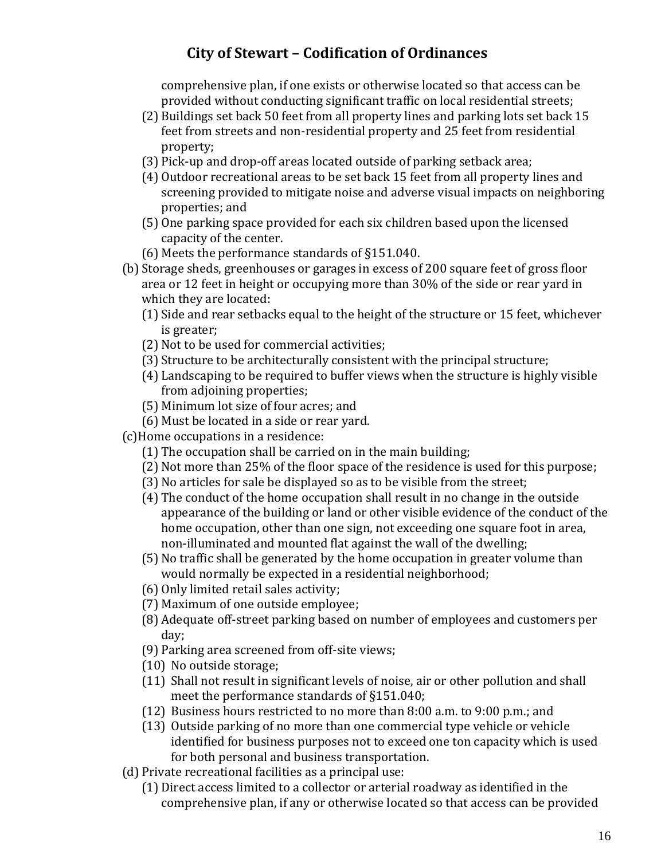comprehensive plan, if one exists or otherwise located so that access can be provided without conducting significant traffic on local residential streets;

- (2) Buildings set back 50 feet from all property lines and parking lots set back 15 feet from streets and non-residential property and 25 feet from residential property;
- (3) Pick-up and drop-off areas located outside of parking setback area;
- (4) Outdoor recreational areas to be set back 15 feet from all property lines and screening provided to mitigate noise and adverse visual impacts on neighboring properties; and
- (5) One parking space provided for each six children based upon the licensed capacity of the center.
- (6) Meets the performance standards of §151.040.
- (b) Storage sheds, greenhouses or garages in excess of 200 square feet of gross floor area or 12 feet in height or occupying more than 30% of the side or rear yard in which they are located:
	- (1) Side and rear setbacks equal to the height of the structure or 15 feet, whichever is greater;
	- (2) Not to be used for commercial activities;
	- (3) Structure to be architecturally consistent with the principal structure;
	- (4) Landscaping to be required to buffer views when the structure is highly visible from adjoining properties;
	- (5) Minimum lot size of four acres; and
	- (6) Must be located in a side or rear yard.
- (c)Home occupations in a residence:
	- (1) The occupation shall be carried on in the main building;
	- (2) Not more than 25% of the floor space of the residence is used for this purpose;
	- (3) No articles for sale be displayed so as to be visible from the street;
	- (4) The conduct of the home occupation shall result in no change in the outside appearance of the building or land or other visible evidence of the conduct of the home occupation, other than one sign, not exceeding one square foot in area, non-illuminated and mounted flat against the wall of the dwelling;
	- (5) No traffic shall be generated by the home occupation in greater volume than would normally be expected in a residential neighborhood;
	- (6) Only limited retail sales activity;
	- (7) Maximum of one outside employee;
	- (8) Adequate off-street parking based on number of employees and customers per day;
	- (9) Parking area screened from off-site views;
	- (10) No outside storage;
	- (11) Shall not result in significant levels of noise, air or other pollution and shall meet the performance standards of §151.040;
	- (12) Business hours restricted to no more than 8:00 a.m. to 9:00 p.m.; and
	- (13) Outside parking of no more than one commercial type vehicle or vehicle identified for business purposes not to exceed one ton capacity which is used for both personal and business transportation.
- (d) Private recreational facilities as a principal use:
	- (1) Direct access limited to a collector or arterial roadway as identified in the comprehensive plan, if any or otherwise located so that access can be provided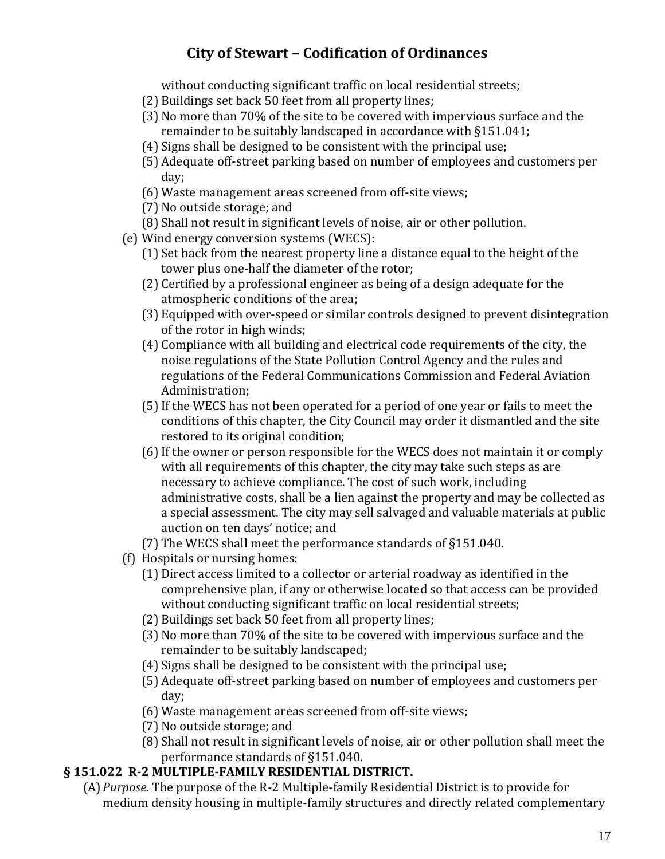without conducting significant traffic on local residential streets;

- (2) Buildings set back 50 feet from all property lines;
- (3) No more than 70% of the site to be covered with impervious surface and the remainder to be suitably landscaped in accordance with §151.041;
- (4) Signs shall be designed to be consistent with the principal use;
- (5) Adequate off-street parking based on number of employees and customers per day;
- (6) Waste management areas screened from off-site views;
- (7) No outside storage; and
- (8) Shall not result in significant levels of noise, air or other pollution.
- (e) Wind energy conversion systems (WECS):
	- (1) Set back from the nearest property line a distance equal to the height of the tower plus one-half the diameter of the rotor;
	- (2) Certified by a professional engineer as being of a design adequate for the atmospheric conditions of the area;
	- (3) Equipped with over-speed or similar controls designed to prevent disintegration of the rotor in high winds;
	- (4) Compliance with all building and electrical code requirements of the city, the noise regulations of the State Pollution Control Agency and the rules and regulations of the Federal Communications Commission and Federal Aviation Administration;
	- (5)If the WECS has not been operated for a period of one year or fails to meet the conditions of this chapter, the City Council may order it dismantled and the site restored to its original condition;
	- (6)If the owner or person responsible for the WECS does not maintain it or comply with all requirements of this chapter, the city may take such steps as are necessary to achieve compliance. The cost of such work, including administrative costs, shall be a lien against the property and may be collected as a special assessment. The city may sell salvaged and valuable materials at public auction on ten days' notice; and
	- (7) The WECS shall meet the performance standards of §151.040.
- (f) Hospitals or nursing homes:
	- (1) Direct access limited to a collector or arterial roadway as identified in the comprehensive plan, if any or otherwise located so that access can be provided without conducting significant traffic on local residential streets;
	- (2) Buildings set back 50 feet from all property lines;
	- (3) No more than 70% of the site to be covered with impervious surface and the remainder to be suitably landscaped;
	- (4) Signs shall be designed to be consistent with the principal use;
	- (5) Adequate off-street parking based on number of employees and customers per day;
	- (6) Waste management areas screened from off-site views;
	- (7) No outside storage; and
	- (8) Shall not result in significant levels of noise, air or other pollution shall meet the performance standards of §151.040.

#### **§ 151.022 R-2 MULTIPLE-FAMILY RESIDENTIAL DISTRICT.**

(A)*Purpose*. The purpose of the R-2 Multiple-family Residential District is to provide for medium density housing in multiple-family structures and directly related complementary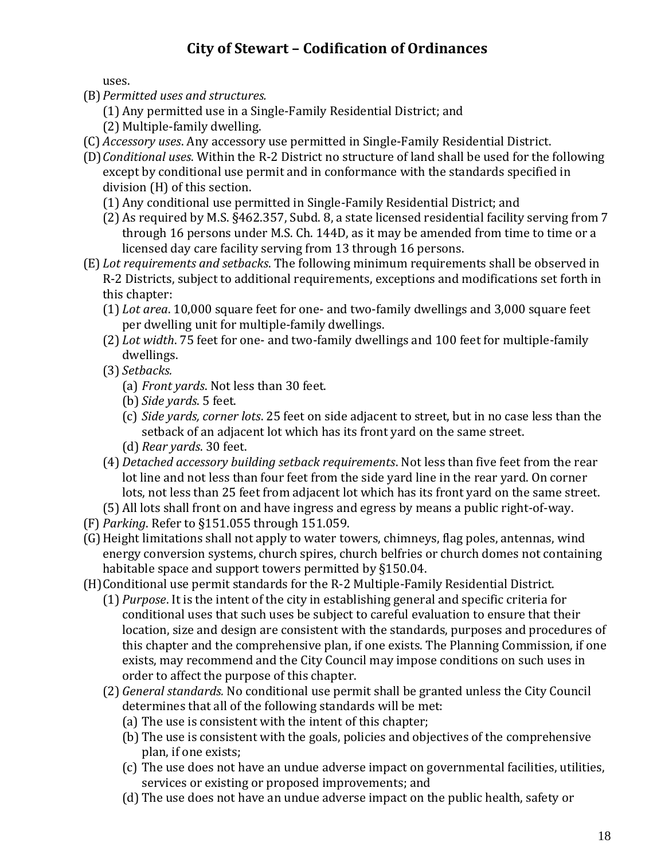uses.

- (B)*Permitted uses and structures.*
	- (1) Any permitted use in a Single-Family Residential District; and
	- (2) Multiple-family dwelling.
- (C) *Accessory uses*. Any accessory use permitted in Single-Family Residential District.
- (D)*Conditional uses*. Within the R-2 District no structure of land shall be used for the following except by conditional use permit and in conformance with the standards specified in division (H) of this section.
	- (1) Any conditional use permitted in Single-Family Residential District; and
	- (2) As required by M.S. §462.357, Subd. 8, a state licensed residential facility serving from 7 through 16 persons under M.S. Ch. 144D, as it may be amended from time to time or a licensed day care facility serving from 13 through 16 persons.
- (E) *Lot requirements and setbacks*. The following minimum requirements shall be observed in R-2 Districts, subject to additional requirements, exceptions and modifications set forth in this chapter:
	- (1) *Lot area*. 10,000 square feet for one- and two-family dwellings and 3,000 square feet per dwelling unit for multiple-family dwellings.
	- (2) *Lot width*. 75 feet for one- and two-family dwellings and 100 feet for multiple-family dwellings.
	- (3) *Setbacks.*
		- (a) *Front yards*. Not less than 30 feet.
		- (b) *Side yards*. 5 feet.
		- (c) *Side yards, corner lots*. 25 feet on side adjacent to street, but in no case less than the setback of an adjacent lot which has its front yard on the same street.
		- (d) *Rear yards*. 30 feet.
	- (4) *Detached accessory building setback requirements*. Not less than five feet from the rear lot line and not less than four feet from the side yard line in the rear yard. On corner lots, not less than 25 feet from adjacent lot which has its front yard on the same street.
	- (5) All lots shall front on and have ingress and egress by means a public right-of-way.
- (F) *Parking*. Refer to §151.055 through 151.059.
- (G)Height limitations shall not apply to water towers, chimneys, flag poles, antennas, wind energy conversion systems, church spires, church belfries or church domes not containing habitable space and support towers permitted by §150.04.
- (H)Conditional use permit standards for the R-2 Multiple-Family Residential District.
	- (1) *Purpose*. It is the intent of the city in establishing general and specific criteria for conditional uses that such uses be subject to careful evaluation to ensure that their location, size and design are consistent with the standards, purposes and procedures of this chapter and the comprehensive plan, if one exists. The Planning Commission, if one exists, may recommend and the City Council may impose conditions on such uses in order to affect the purpose of this chapter.
	- (2) *General standards.* No conditional use permit shall be granted unless the City Council determines that all of the following standards will be met:
		- (a) The use is consistent with the intent of this chapter;
		- (b) The use is consistent with the goals, policies and objectives of the comprehensive plan, if one exists;
		- (c) The use does not have an undue adverse impact on governmental facilities, utilities, services or existing or proposed improvements; and
		- (d) The use does not have an undue adverse impact on the public health, safety or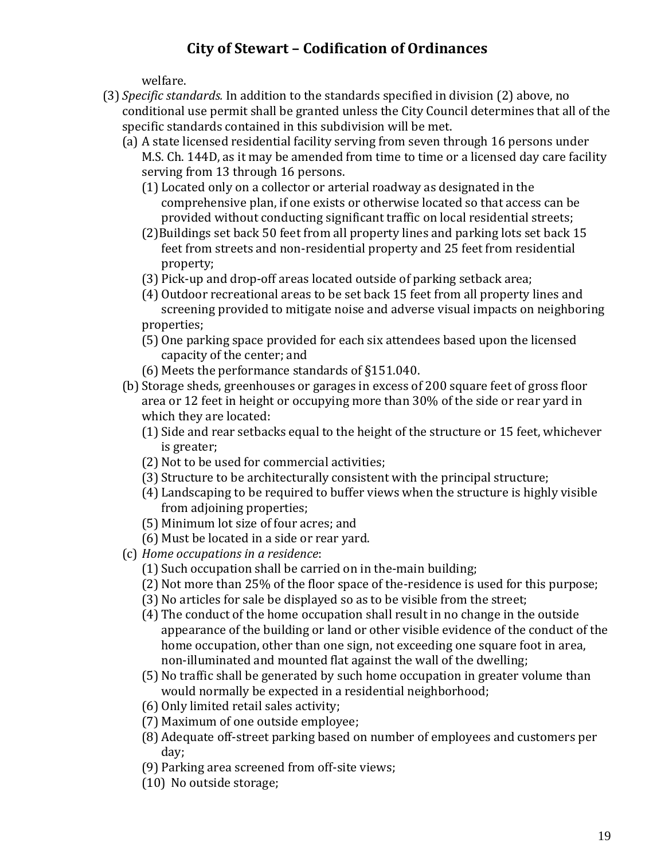welfare.

- (3) *Specific standards.* In addition to the standards specified in division (2) above, no conditional use permit shall be granted unless the City Council determines that all of the specific standards contained in this subdivision will be met.
	- (a) A state licensed residential facility serving from seven through 16 persons under M.S. Ch. 144D, as it may be amended from time to time or a licensed day care facility serving from 13 through 16 persons.
		- (1) Located only on a collector or arterial roadway as designated in the comprehensive plan, if one exists or otherwise located so that access can be provided without conducting significant traffic on local residential streets;
		- (2)Buildings set back 50 feet from all property lines and parking lots set back 15 feet from streets and non-residential property and 25 feet from residential property;
		- (3) Pick-up and drop-off areas located outside of parking setback area;
		- (4) Outdoor recreational areas to be set back 15 feet from all property lines and screening provided to mitigate noise and adverse visual impacts on neighboring properties;
		- (5) One parking space provided for each six attendees based upon the licensed capacity of the center; and
		- (6) Meets the performance standards of §151.040.
	- (b) Storage sheds, greenhouses or garages in excess of 200 square feet of gross floor area or 12 feet in height or occupying more than 30% of the side or rear yard in which they are located:
		- (1) Side and rear setbacks equal to the height of the structure or 15 feet, whichever is greater;
		- (2) Not to be used for commercial activities;
		- (3) Structure to be architecturally consistent with the principal structure;
		- (4) Landscaping to be required to buffer views when the structure is highly visible from adjoining properties;
		- (5) Minimum lot size of four acres; and
		- (6) Must be located in a side or rear yard.
	- (c) *Home occupations in a residence*:
		- (1) Such occupation shall be carried on in the-main building;
		- (2) Not more than 25% of the floor space of the-residence is used for this purpose;
		- (3) No articles for sale be displayed so as to be visible from the street;
		- (4) The conduct of the home occupation shall result in no change in the outside appearance of the building or land or other visible evidence of the conduct of the home occupation, other than one sign, not exceeding one square foot in area, non-illuminated and mounted flat against the wall of the dwelling;
		- (5) No traffic shall be generated by such home occupation in greater volume than would normally be expected in a residential neighborhood;
		- (6) Only limited retail sales activity;
		- (7) Maximum of one outside employee;
		- (8) Adequate off-street parking based on number of employees and customers per day;
		- (9) Parking area screened from off-site views;
		- (10) No outside storage;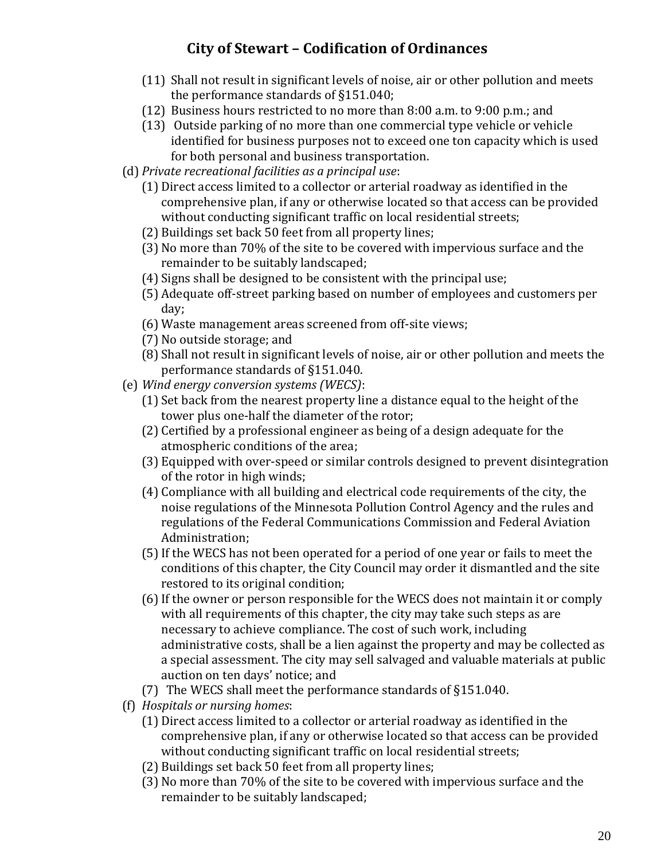- (11) Shall not result in significant levels of noise, air or other pollution and meets the performance standards of §151.040;
- (12) Business hours restricted to no more than 8:00 a.m. to 9:00 p.m.; and
- (13) Outside parking of no more than one commercial type vehicle or vehicle identified for business purposes not to exceed one ton capacity which is used for both personal and business transportation.
- (d) *Private recreational facilities as a principal use*:
	- (1) Direct access limited to a collector or arterial roadway as identified in the comprehensive plan, if any or otherwise located so that access can be provided without conducting significant traffic on local residential streets;
	- (2) Buildings set back 50 feet from all property lines;
	- (3) No more than 70% of the site to be covered with impervious surface and the remainder to be suitably landscaped;
	- (4) Signs shall be designed to be consistent with the principal use;
	- (5) Adequate off-street parking based on number of employees and customers per day;
	- (6) Waste management areas screened from off-site views;
	- (7) No outside storage; and
	- (8) Shall not result in significant levels of noise, air or other pollution and meets the performance standards of §151.040.
- (e) *Wind energy conversion systems (WECS)*:
	- (1) Set back from the nearest property line a distance equal to the height of the tower plus one-half the diameter of the rotor;
	- (2) Certified by a professional engineer as being of a design adequate for the atmospheric conditions of the area;
	- (3) Equipped with over-speed or similar controls designed to prevent disintegration of the rotor in high winds;
	- (4) Compliance with all building and electrical code requirements of the city, the noise regulations of the Minnesota Pollution Control Agency and the rules and regulations of the Federal Communications Commission and Federal Aviation Administration;
	- (5)If the WECS has not been operated for a period of one year or fails to meet the conditions of this chapter, the City Council may order it dismantled and the site restored to its original condition;
	- (6)If the owner or person responsible for the WECS does not maintain it or comply with all requirements of this chapter, the city may take such steps as are necessary to achieve compliance. The cost of such work, including administrative costs, shall be a lien against the property and may be collected as a special assessment. The city may sell salvaged and valuable materials at public auction on ten days' notice; and
	- (7) The WECS shall meet the performance standards of §151.040.
- (f) *Hospitals or nursing homes*:
	- (1) Direct access limited to a collector or arterial roadway as identified in the comprehensive plan, if any or otherwise located so that access can be provided without conducting significant traffic on local residential streets;
	- (2) Buildings set back 50 feet from all property lines;
	- (3) No more than 70% of the site to be covered with impervious surface and the remainder to be suitably landscaped;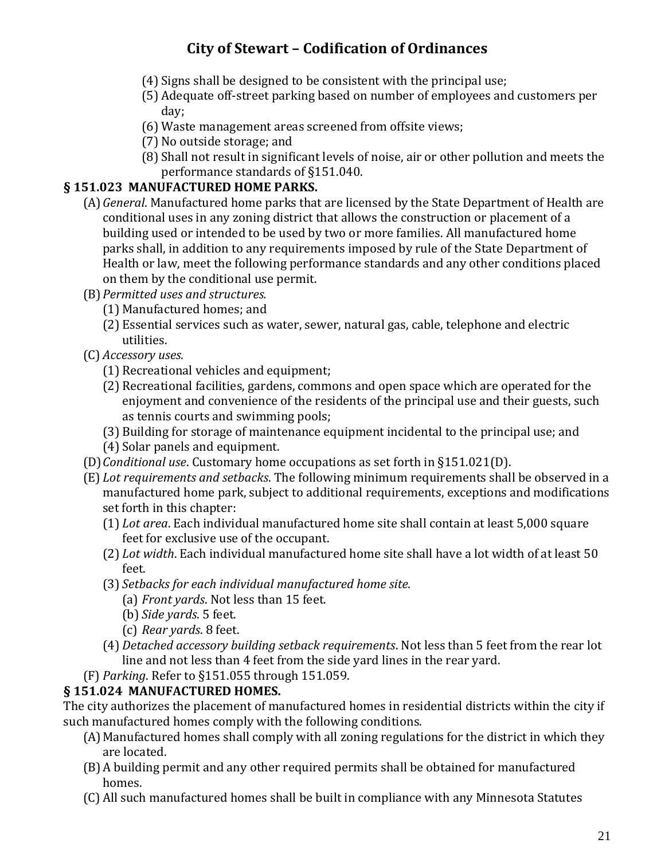- (4) Signs shall be designed to be consistent with the principal use;
- (5) Adequate off-street parking based on number of employees and customers per day;
- (6) Waste management areas screened from offsite views;
- (7) No outside storage; and
- (8) Shall not result in significant levels of noise, air or other pollution and meets the performance standards of §151.040.

### **§ 151.023 MANUFACTURED HOME PARKS.**

- (A)*General*. Manufactured home parks that are licensed by the State Department of Health are conditional uses in any zoning district that allows the construction or placement of a building used or intended to be used by two or more families. All manufactured home parks shall, in addition to any requirements imposed by rule of the State Department of Health or law, meet the following performance standards and any other conditions placed on them by the conditional use permit.
- (B)*Permitted uses and structures.*
	- (1) Manufactured homes; and
	- (2) Essential services such as water, sewer, natural gas, cable, telephone and electric utilities.
- (C) *Accessory uses.*
	- (1) Recreational vehicles and equipment;
	- (2) Recreational facilities, gardens, commons and open space which are operated for the enjoyment and convenience of the residents of the principal use and their guests, such as tennis courts and swimming pools;
	- (3) Building for storage of maintenance equipment incidental to the principal use; and
	- (4) Solar panels and equipment.
- (D)*Conditional use*. Customary home occupations as set forth in §151.021(D).
- (E) *Lot requirements and setbacks*. The following minimum requirements shall be observed in a manufactured home park, subject to additional requirements, exceptions and modifications set forth in this chapter:
	- (1) *Lot area*. Each individual manufactured home site shall contain at least 5,000 square feet for exclusive use of the occupant.
	- (2) *Lot width*. Each individual manufactured home site shall have a lot width of at least 50 feet.
	- (3) *Setbacks for each individual manufactured home site.*
		- (a) *Front yards*. Not less than 15 feet.
		- (b) *Side yards*. 5 feet.
		- (c) *Rear yards*. 8 feet.
	- (4) *Detached accessory building setback requirements*. Not less than 5 feet from the rear lot line and not less than 4 feet from the side yard lines in the rear yard.
- (F) *Parking*. Refer to §151.055 through 151.059.

#### **§ 151.024 MANUFACTURED HOMES.**

The city authorizes the placement of manufactured homes in residential districts within the city if such manufactured homes comply with the following conditions.

- (A)Manufactured homes shall comply with all zoning regulations for the district in which they are located.
- (B)A building permit and any other required permits shall be obtained for manufactured homes.
- (C) All such manufactured homes shall be built in compliance with any Minnesota Statutes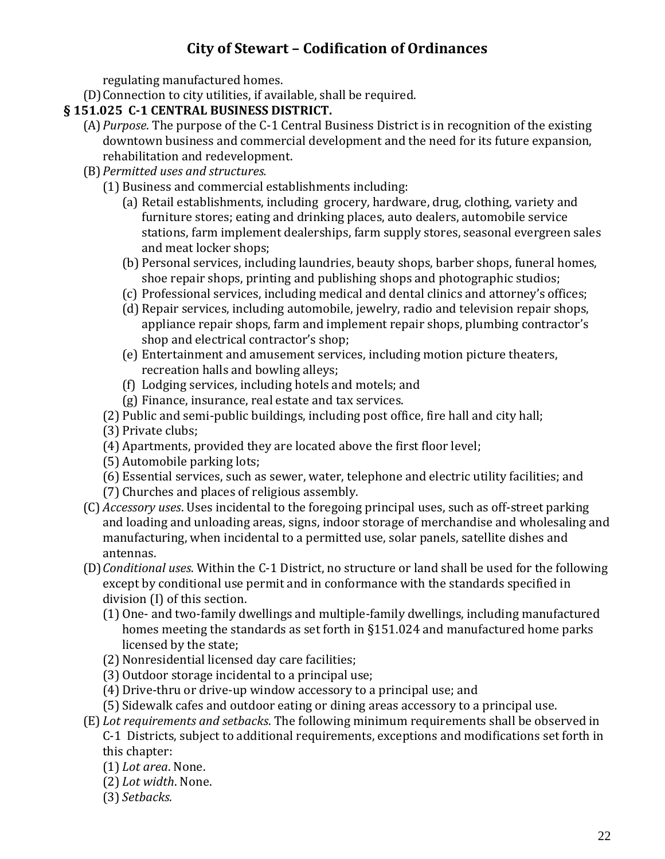regulating manufactured homes.

(D)Connection to city utilities, if available, shall be required.

### **§ 151.025 C-1 CENTRAL BUSINESS DISTRICT.**

- (A)*Purpose*. The purpose of the C-1 Central Business District is in recognition of the existing downtown business and commercial development and the need for its future expansion, rehabilitation and redevelopment.
- (B)*Permitted uses and structures.*
	- (1) Business and commercial establishments including:
		- (a) Retail establishments, including grocery, hardware, drug, clothing, variety and furniture stores; eating and drinking places, auto dealers, automobile service stations, farm implement dealerships, farm supply stores, seasonal evergreen sales and meat locker shops;
		- (b) Personal services, including laundries, beauty shops, barber shops, funeral homes, shoe repair shops, printing and publishing shops and photographic studios;
		- (c) Professional services, including medical and dental clinics and attorney's offices;
		- (d) Repair services, including automobile, jewelry, radio and television repair shops, appliance repair shops, farm and implement repair shops, plumbing contractor's shop and electrical contractor's shop;
		- (e) Entertainment and amusement services, including motion picture theaters, recreation halls and bowling alleys;
		- (f) Lodging services, including hotels and motels; and
		- (g) Finance, insurance, real estate and tax services.
	- (2) Public and semi-public buildings, including post office, fire hall and city hall;
	- (3) Private clubs;
	- (4) Apartments, provided they are located above the first floor level;
	- (5) Automobile parking lots;
	- (6) Essential services, such as sewer, water, telephone and electric utility facilities; and
	- (7) Churches and places of religious assembly.
- (C) *Accessory uses*. Uses incidental to the foregoing principal uses, such as off-street parking and loading and unloading areas, signs, indoor storage of merchandise and wholesaling and manufacturing, when incidental to a permitted use, solar panels, satellite dishes and antennas.
- (D)*Conditional uses*. Within the C-1 District, no structure or land shall be used for the following except by conditional use permit and in conformance with the standards specified in division (I) of this section.
	- (1) One- and two-family dwellings and multiple-family dwellings, including manufactured homes meeting the standards as set forth in §151.024 and manufactured home parks licensed by the state;
	- (2) Nonresidential licensed day care facilities;
	- (3) Outdoor storage incidental to a principal use;
	- (4) Drive-thru or drive-up window accessory to a principal use; and
	- (5) Sidewalk cafes and outdoor eating or dining areas accessory to a principal use.
- (E) *Lot requirements and setbacks*. The following minimum requirements shall be observed in C-1 Districts, subject to additional requirements, exceptions and modifications set forth in this chapter:
	- (1) *Lot area*. None.
	- (2) *Lot width*. None.
	- (3) *Setbacks.*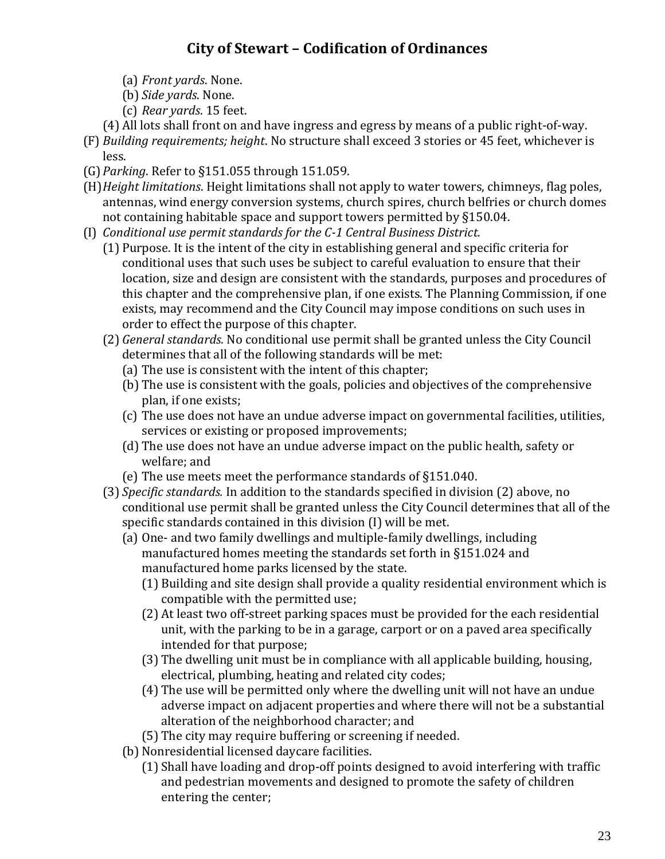- (a) *Front yards*. None.
- (b) *Side yards*. None.
- (c) *Rear yards*. 15 feet.
- (4) All lots shall front on and have ingress and egress by means of a public right-of-way.
- (F) *Building requirements; height*. No structure shall exceed 3 stories or 45 feet, whichever is less.
- (G)*Parking*. Refer to §151.055 through 151.059.
- (H)*Height limitations*. Height limitations shall not apply to water towers, chimneys, flag poles, antennas, wind energy conversion systems, church spires, church belfries or church domes not containing habitable space and support towers permitted by §150.04.
- (I) *Conditional use permit standards for the C-1 Central Business District.*
	- (1) Purpose. It is the intent of the city in establishing general and specific criteria for conditional uses that such uses be subject to careful evaluation to ensure that their location, size and design are consistent with the standards, purposes and procedures of this chapter and the comprehensive plan, if one exists. The Planning Commission, if one exists, may recommend and the City Council may impose conditions on such uses in order to effect the purpose of this chapter.
	- (2) *General standards.* No conditional use permit shall be granted unless the City Council determines that all of the following standards will be met:
		- (a) The use is consistent with the intent of this chapter;
		- (b) The use is consistent with the goals, policies and objectives of the comprehensive plan, if one exists;
		- (c) The use does not have an undue adverse impact on governmental facilities, utilities, services or existing or proposed improvements;
		- (d) The use does not have an undue adverse impact on the public health, safety or welfare; and
		- (e) The use meets meet the performance standards of §151.040.
	- (3) *Specific standards.* In addition to the standards specified in division (2) above, no conditional use permit shall be granted unless the City Council determines that all of the specific standards contained in this division (I) will be met.
		- (a) One- and two family dwellings and multiple-family dwellings, including manufactured homes meeting the standards set forth in §151.024 and manufactured home parks licensed by the state.
			- (1) Building and site design shall provide a quality residential environment which is compatible with the permitted use;
			- (2) At least two off-street parking spaces must be provided for the each residential unit, with the parking to be in a garage, carport or on a paved area specifically intended for that purpose;
			- (3) The dwelling unit must be in compliance with all applicable building, housing, electrical, plumbing, heating and related city codes;
			- (4) The use will be permitted only where the dwelling unit will not have an undue adverse impact on adjacent properties and where there will not be a substantial alteration of the neighborhood character; and
			- (5) The city may require buffering or screening if needed.
		- (b) Nonresidential licensed daycare facilities.
			- (1) Shall have loading and drop-off points designed to avoid interfering with traffic and pedestrian movements and designed to promote the safety of children entering the center;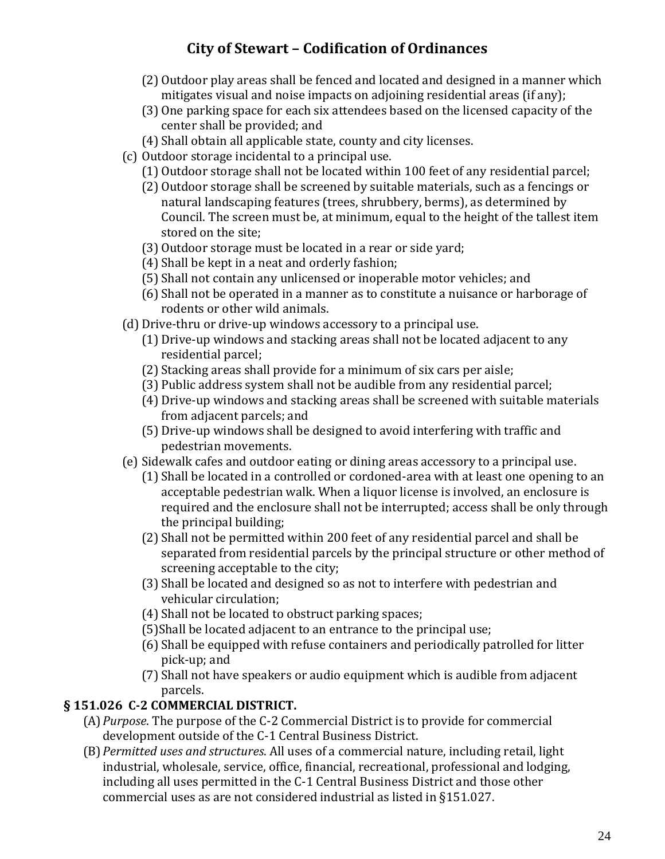- (2) Outdoor play areas shall be fenced and located and designed in a manner which mitigates visual and noise impacts on adjoining residential areas (if any);
- (3) One parking space for each six attendees based on the licensed capacity of the center shall be provided; and
- (4) Shall obtain all applicable state, county and city licenses.
- (c) Outdoor storage incidental to a principal use.
	- (1) Outdoor storage shall not be located within 100 feet of any residential parcel;
	- (2) Outdoor storage shall be screened by suitable materials, such as a fencings or natural landscaping features (trees, shrubbery, berms), as determined by Council. The screen must be, at minimum, equal to the height of the tallest item stored on the site;
	- (3) Outdoor storage must be located in a rear or side yard;
	- (4) Shall be kept in a neat and orderly fashion;
	- (5) Shall not contain any unlicensed or inoperable motor vehicles; and
	- (6) Shall not be operated in a manner as to constitute a nuisance or harborage of rodents or other wild animals.
- (d) Drive-thru or drive-up windows accessory to a principal use.
	- (1) Drive-up windows and stacking areas shall not be located adjacent to any residential parcel;
	- (2) Stacking areas shall provide for a minimum of six cars per aisle;
	- (3) Public address system shall not be audible from any residential parcel;
	- (4) Drive-up windows and stacking areas shall be screened with suitable materials from adjacent parcels; and
	- (5) Drive-up windows shall be designed to avoid interfering with traffic and pedestrian movements.
- (e) Sidewalk cafes and outdoor eating or dining areas accessory to a principal use.
	- (1) Shall be located in a controlled or cordoned-area with at least one opening to an acceptable pedestrian walk. When a liquor license is involved, an enclosure is required and the enclosure shall not be interrupted; access shall be only through the principal building;
	- (2) Shall not be permitted within 200 feet of any residential parcel and shall be separated from residential parcels by the principal structure or other method of screening acceptable to the city;
	- (3) Shall be located and designed so as not to interfere with pedestrian and vehicular circulation;
	- (4) Shall not be located to obstruct parking spaces;
	- (5)Shall be located adjacent to an entrance to the principal use;
	- (6) Shall be equipped with refuse containers and periodically patrolled for litter pick-up; and
	- (7) Shall not have speakers or audio equipment which is audible from adjacent parcels.

### **§ 151.026 C-2 COMMERCIAL DISTRICT.**

- (A)*Purpose*. The purpose of the C-2 Commercial District is to provide for commercial development outside of the C-1 Central Business District.
- (B)*Permitted uses and structures*. All uses of a commercial nature, including retail, light industrial, wholesale, service, office, financial, recreational, professional and lodging, including all uses permitted in the C-1 Central Business District and those other commercial uses as are not considered industrial as listed in §151.027.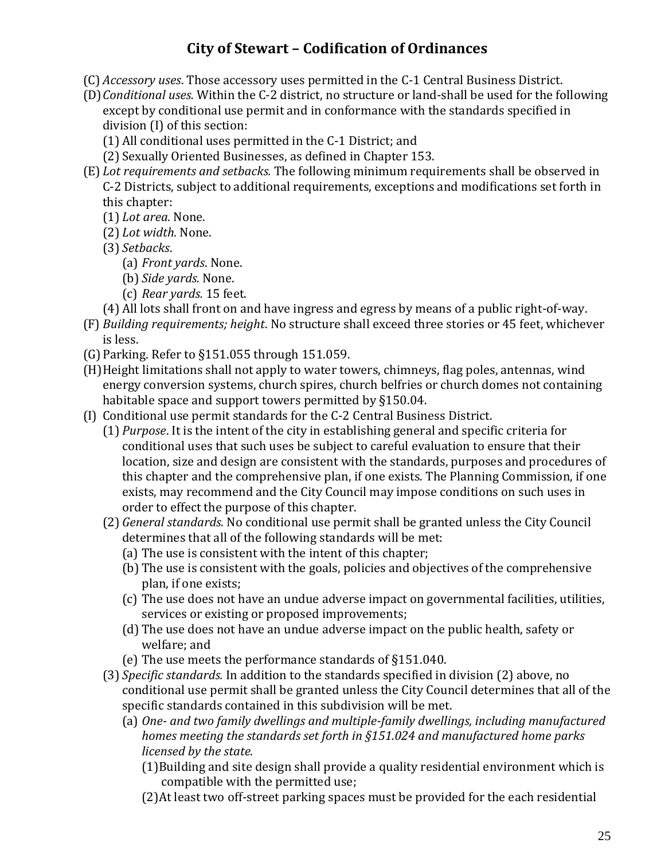- (C) *Accessory uses*. Those accessory uses permitted in the C-1 Central Business District.
- (D)*Conditional uses.* Within the C-2 district, no structure or land-shall be used for the following except by conditional use permit and in conformance with the standards specified in division (I) of this section:
	- (1) All conditional uses permitted in the C-1 District; and
	- (2) Sexually Oriented Businesses, as defined in Chapter 153.
- (E) *Lot requirements and setbacks.* The following minimum requirements shall be observed in C-2 Districts, subject to additional requirements, exceptions and modifications set forth in this chapter:
	- (1) *Lot area.* None.
	- (2) *Lot width.* None.
	- (3) *Setbacks*.
		- (a) *Front yards*. None.
		- (b) *Side yards.* None.
		- (c) *Rear yards.* 15 feet.
	- (4) All lots shall front on and have ingress and egress by means of a public right-of-way.
- (F) *Building requirements; height*. No structure shall exceed three stories or 45 feet, whichever is less.
- (G)Parking. Refer to §151.055 through 151.059.
- (H)Height limitations shall not apply to water towers, chimneys, flag poles, antennas, wind energy conversion systems, church spires, church belfries or church domes not containing habitable space and support towers permitted by §150.04.
- (I) Conditional use permit standards for the C-2 Central Business District.
	- (1) *Purpose*. It is the intent of the city in establishing general and specific criteria for conditional uses that such uses be subject to careful evaluation to ensure that their location, size and design are consistent with the standards, purposes and procedures of this chapter and the comprehensive plan, if one exists. The Planning Commission, if one exists, may recommend and the City Council may impose conditions on such uses in order to effect the purpose of this chapter.
	- (2) *General standards.* No conditional use permit shall be granted unless the City Council determines that all of the following standards will be met:
		- (a) The use is consistent with the intent of this chapter;
		- (b) The use is consistent with the goals, policies and objectives of the comprehensive plan, if one exists;
		- (c) The use does not have an undue adverse impact on governmental facilities, utilities, services or existing or proposed improvements;
		- (d) The use does not have an undue adverse impact on the public health, safety or welfare; and
		- (e) The use meets the performance standards of §151.040.
	- (3) *Specific standards.* In addition to the standards specified in division (2) above, no conditional use permit shall be granted unless the City Council determines that all of the specific standards contained in this subdivision will be met.
		- (a) *One- and two family dwellings and multiple-family dwellings, including manufactured homes meeting the standards set forth in §151.024 and manufactured home parks licensed by the state.*
			- (1)Building and site design shall provide a quality residential environment which is compatible with the permitted use;
			- (2)At least two off-street parking spaces must be provided for the each residential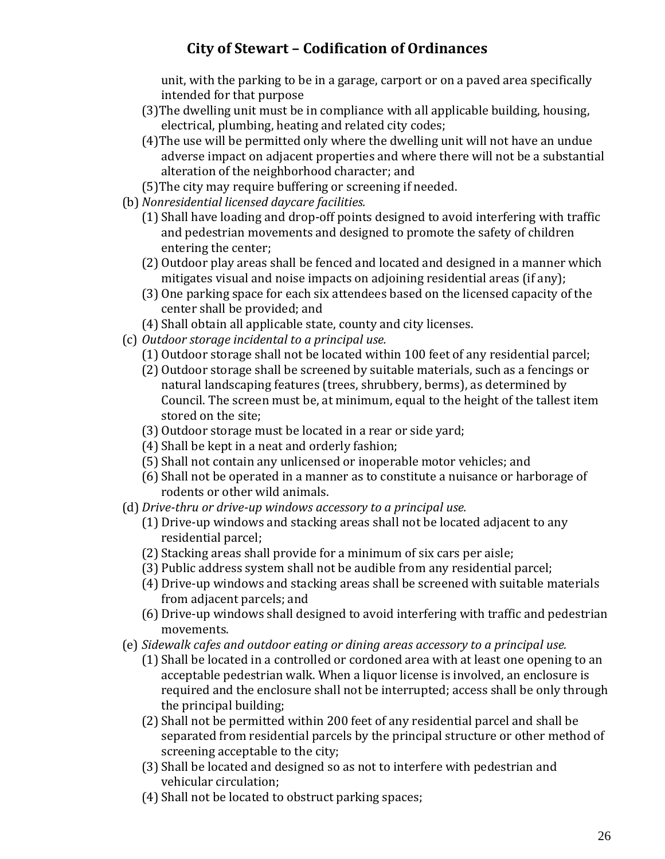unit, with the parking to be in a garage, carport or on a paved area specifically intended for that purpose

- (3)The dwelling unit must be in compliance with all applicable building, housing, electrical, plumbing, heating and related city codes;
- (4)The use will be permitted only where the dwelling unit will not have an undue adverse impact on adjacent properties and where there will not be a substantial alteration of the neighborhood character; and
- (5)The city may require buffering or screening if needed.
- (b) *Nonresidential licensed daycare facilities.*
	- (1) Shall have loading and drop-off points designed to avoid interfering with traffic and pedestrian movements and designed to promote the safety of children entering the center;
	- (2) Outdoor play areas shall be fenced and located and designed in a manner which mitigates visual and noise impacts on adjoining residential areas (if any);
	- (3) One parking space for each six attendees based on the licensed capacity of the center shall be provided; and
	- (4) Shall obtain all applicable state, county and city licenses.
- (c) *Outdoor storage incidental to a principal use.*
	- (1) Outdoor storage shall not be located within 100 feet of any residential parcel;
	- (2) Outdoor storage shall be screened by suitable materials, such as a fencings or natural landscaping features (trees, shrubbery, berms), as determined by Council. The screen must be, at minimum, equal to the height of the tallest item stored on the site;
	- (3) Outdoor storage must be located in a rear or side yard;
	- (4) Shall be kept in a neat and orderly fashion;
	- (5) Shall not contain any unlicensed or inoperable motor vehicles; and
	- (6) Shall not be operated in a manner as to constitute a nuisance or harborage of rodents or other wild animals.
- (d) *Drive-thru or drive-up windows accessory to a principal use.*
	- (1) Drive-up windows and stacking areas shall not be located adjacent to any residential parcel;
	- (2) Stacking areas shall provide for a minimum of six cars per aisle;
	- (3) Public address system shall not be audible from any residential parcel;
	- (4) Drive-up windows and stacking areas shall be screened with suitable materials from adjacent parcels; and
	- (6) Drive-up windows shall designed to avoid interfering with traffic and pedestrian movements.
- (e) *Sidewalk cafes and outdoor eating or dining areas accessory to a principal use.*
	- (1) Shall be located in a controlled or cordoned area with at least one opening to an acceptable pedestrian walk. When a liquor license is involved, an enclosure is required and the enclosure shall not be interrupted; access shall be only through the principal building;
	- (2) Shall not be permitted within 200 feet of any residential parcel and shall be separated from residential parcels by the principal structure or other method of screening acceptable to the city;
	- (3) Shall be located and designed so as not to interfere with pedestrian and vehicular circulation;
	- (4) Shall not be located to obstruct parking spaces;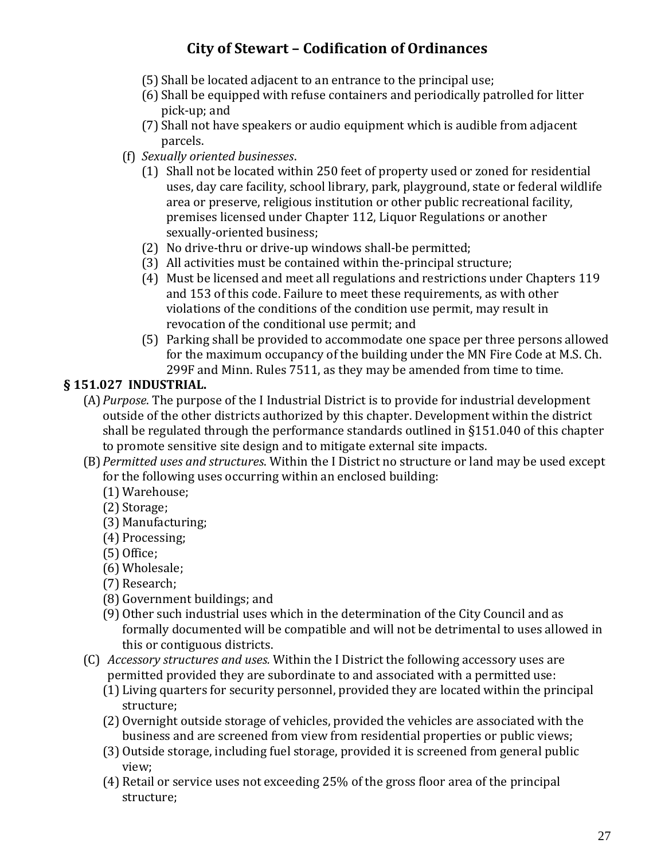- (5) Shall be located adjacent to an entrance to the principal use;
- (6) Shall be equipped with refuse containers and periodically patrolled for litter pick-up; and
- (7) Shall not have speakers or audio equipment which is audible from adjacent parcels.
- (f) *Sexually oriented businesses*.
	- (1) Shall not be located within 250 feet of property used or zoned for residential uses, day care facility, school library, park, playground, state or federal wildlife area or preserve, religious institution or other public recreational facility, premises licensed under Chapter 112, Liquor Regulations or another sexually-oriented business;
	- (2) No drive-thru or drive-up windows shall-be permitted;
	- (3) All activities must be contained within the-principal structure;
	- (4) Must be licensed and meet all regulations and restrictions under Chapters 119 and 153 of this code. Failure to meet these requirements, as with other violations of the conditions of the condition use permit, may result in revocation of the conditional use permit; and
	- (5) Parking shall be provided to accommodate one space per three persons allowed for the maximum occupancy of the building under the MN Fire Code at M.S. Ch. 299F and Minn. Rules 7511, as they may be amended from time to time.

### **§ 151.027 INDUSTRIAL.**

- (A)*Purpose*. The purpose of the I Industrial District is to provide for industrial development outside of the other districts authorized by this chapter. Development within the district shall be regulated through the performance standards outlined in §151.040 of this chapter to promote sensitive site design and to mitigate external site impacts.
- (B)*Permitted uses and structures*. Within the I District no structure or land may be used except for the following uses occurring within an enclosed building:
	- (1) Warehouse;
	- (2) Storage;
	- (3) Manufacturing;
	- (4) Processing;
	- (5) Office;
	- (6) Wholesale;
	- (7) Research;
	- (8) Government buildings; and
	- (9) Other such industrial uses which in the determination of the City Council and as formally documented will be compatible and will not be detrimental to uses allowed in this or contiguous districts.
- (C) *Accessory structures and uses.* Within the I District the following accessory uses are permitted provided they are subordinate to and associated with a permitted use:
	- (1) Living quarters for security personnel, provided they are located within the principal structure;
	- (2) Overnight outside storage of vehicles, provided the vehicles are associated with the business and are screened from view from residential properties or public views;
	- (3) Outside storage, including fuel storage, provided it is screened from general public view;
	- (4) Retail or service uses not exceeding 25% of the gross floor area of the principal structure;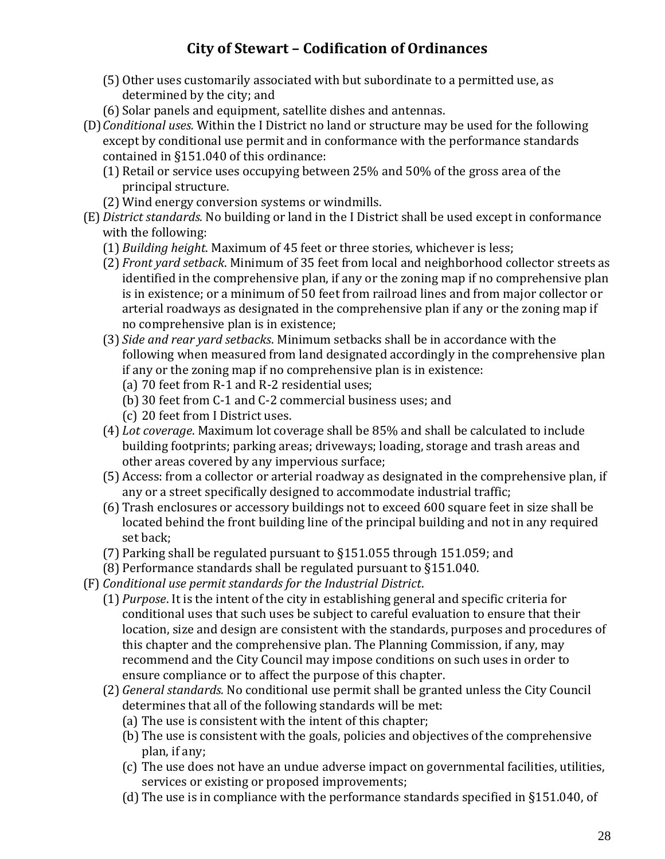- (5) Other uses customarily associated with but subordinate to a permitted use, as determined by the city; and
- (6) Solar panels and equipment, satellite dishes and antennas.
- (D)*Conditional uses.* Within the I District no land or structure may be used for the following except by conditional use permit and in conformance with the performance standards contained in §151.040 of this ordinance:
	- (1) Retail or service uses occupying between 25% and 50% of the gross area of the principal structure.
	- (2) Wind energy conversion systems or windmills.
- (E)*District standards.* No building or land in the I District shall be used except in conformance with the following:
	- (1) *Building height*. Maximum of 45 feet or three stories, whichever is less;
	- (2) *Front yard setback*. Minimum of 35 feet from local and neighborhood collector streets as identified in the comprehensive plan, if any or the zoning map if no comprehensive plan is in existence; or a minimum of 50 feet from railroad lines and from major collector or arterial roadways as designated in the comprehensive plan if any or the zoning map if no comprehensive plan is in existence;
	- (3) *Side and rear yard setbacks*. Minimum setbacks shall be in accordance with the following when measured from land designated accordingly in the comprehensive plan if any or the zoning map if no comprehensive plan is in existence:
		- (a) 70 feet from R-1 and R-2 residential uses;
		- (b) 30 feet from C-1 and C-2 commercial business uses; and
		- (c) 20 feet from I District uses.
	- (4) *Lot coverage*. Maximum lot coverage shall be 85% and shall be calculated to include building footprints; parking areas; driveways; loading, storage and trash areas and other areas covered by any impervious surface;
	- (5) Access: from a collector or arterial roadway as designated in the comprehensive plan, if any or a street specifically designed to accommodate industrial traffic;
	- (6) Trash enclosures or accessory buildings not to exceed 600 square feet in size shall be located behind the front building line of the principal building and not in any required set back;
	- (7) Parking shall be regulated pursuant to §151.055 through 151.059; and
	- (8) Performance standards shall be regulated pursuant to §151.040.
- (F) *Conditional use permit standards for the Industrial District*.
	- (1) *Purpose*. It is the intent of the city in establishing general and specific criteria for conditional uses that such uses be subject to careful evaluation to ensure that their location, size and design are consistent with the standards, purposes and procedures of this chapter and the comprehensive plan. The Planning Commission, if any, may recommend and the City Council may impose conditions on such uses in order to ensure compliance or to affect the purpose of this chapter.
	- (2) *General standards.* No conditional use permit shall be granted unless the City Council determines that all of the following standards will be met:
		- (a) The use is consistent with the intent of this chapter;
		- (b) The use is consistent with the goals, policies and objectives of the comprehensive plan, if any;
		- (c) The use does not have an undue adverse impact on governmental facilities, utilities, services or existing or proposed improvements;
		- (d) The use is in compliance with the performance standards specified in §151.040, of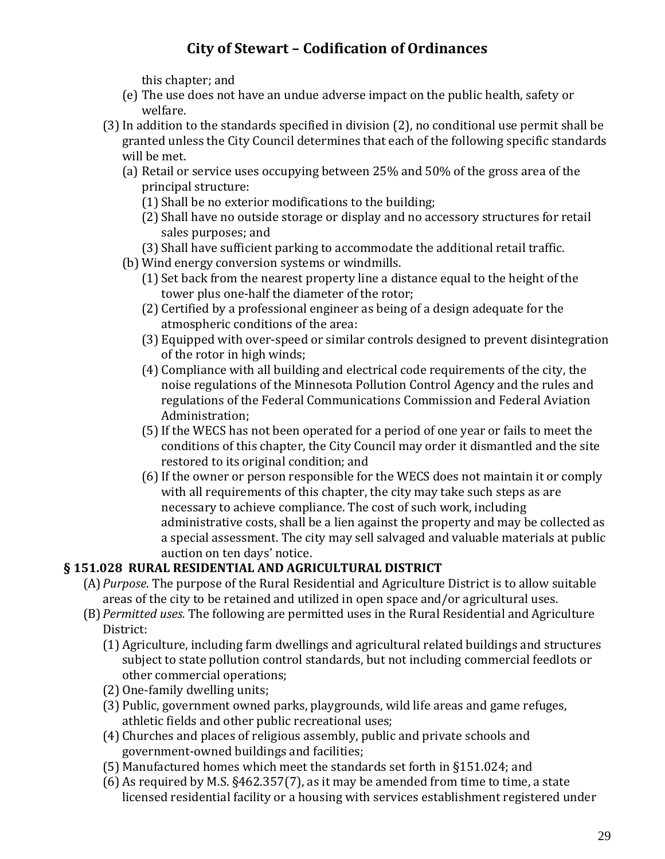this chapter; and

- (e) The use does not have an undue adverse impact on the public health, safety or welfare.
- (3)In addition to the standards specified in division (2), no conditional use permit shall be granted unless the City Council determines that each of the following specific standards will be met.
	- (a) Retail or service uses occupying between 25% and 50% of the gross area of the principal structure:
		- (1) Shall be no exterior modifications to the building;
		- (2) Shall have no outside storage or display and no accessory structures for retail sales purposes; and
		- (3) Shall have sufficient parking to accommodate the additional retail traffic.
	- (b) Wind energy conversion systems or windmills.
		- (1) Set back from the nearest property line a distance equal to the height of the tower plus one-half the diameter of the rotor;
		- (2) Certified by a professional engineer as being of a design adequate for the atmospheric conditions of the area:
		- (3) Equipped with over-speed or similar controls designed to prevent disintegration of the rotor in high winds;
		- (4) Compliance with all building and electrical code requirements of the city, the noise regulations of the Minnesota Pollution Control Agency and the rules and regulations of the Federal Communications Commission and Federal Aviation Administration;
		- (5)If the WECS has not been operated for a period of one year or fails to meet the conditions of this chapter, the City Council may order it dismantled and the site restored to its original condition; and
		- (6)If the owner or person responsible for the WECS does not maintain it or comply with all requirements of this chapter, the city may take such steps as are necessary to achieve compliance. The cost of such work, including administrative costs, shall be a lien against the property and may be collected as a special assessment. The city may sell salvaged and valuable materials at public auction on ten days' notice.

#### **§ 151.028 RURAL RESIDENTIAL AND AGRICULTURAL DISTRICT**

- (A)*Purpose*. The purpose of the Rural Residential and Agriculture District is to allow suitable areas of the city to be retained and utilized in open space and/or agricultural uses.
- (B)*Permitted uses.* The following are permitted uses in the Rural Residential and Agriculture District:
	- (1) Agriculture, including farm dwellings and agricultural related buildings and structures subject to state pollution control standards, but not including commercial feedlots or other commercial operations;
	- (2) One-family dwelling units;
	- (3) Public, government owned parks, playgrounds, wild life areas and game refuges, athletic fields and other public recreational uses;
	- (4) Churches and places of religious assembly, public and private schools and government-owned buildings and facilities;
	- (5) Manufactured homes which meet the standards set forth in §151.024; and
	- (6) As required by M.S. §462.357(7), as it may be amended from time to time, a state licensed residential facility or a housing with services establishment registered under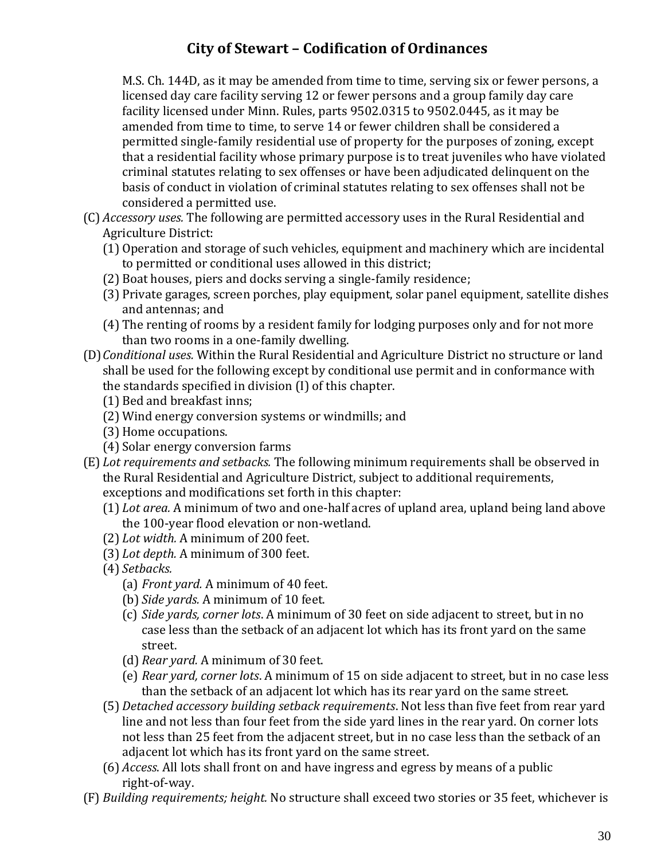M.S. Ch. 144D, as it may be amended from time to time, serving six or fewer persons, a licensed day care facility serving 12 or fewer persons and a group family day care facility licensed under Minn. Rules, parts 9502.0315 to 9502.0445, as it may be amended from time to time, to serve 14 or fewer children shall be considered a permitted single-family residential use of property for the purposes of zoning, except that a residential facility whose primary purpose is to treat juveniles who have violated criminal statutes relating to sex offenses or have been adjudicated delinquent on the basis of conduct in violation of criminal statutes relating to sex offenses shall not be considered a permitted use.

- (C) *Accessory uses.* The following are permitted accessory uses in the Rural Residential and Agriculture District:
	- (1) Operation and storage of such vehicles, equipment and machinery which are incidental to permitted or conditional uses allowed in this district;
	- (2) Boat houses, piers and docks serving a single-family residence;
	- (3) Private garages, screen porches, play equipment, solar panel equipment, satellite dishes and antennas; and
	- (4) The renting of rooms by a resident family for lodging purposes only and for not more than two rooms in a one-family dwelling.
- (D)*Conditional uses.* Within the Rural Residential and Agriculture District no structure or land shall be used for the following except by conditional use permit and in conformance with the standards specified in division (I) of this chapter.
	- (1) Bed and breakfast inns;
	- (2) Wind energy conversion systems or windmills; and
	- (3) Home occupations.
	- (4) Solar energy conversion farms
- (E) *Lot requirements and setbacks.* The following minimum requirements shall be observed in the Rural Residential and Agriculture District, subject to additional requirements, exceptions and modifications set forth in this chapter:
	- (1) *Lot area.* A minimum of two and one-half acres of upland area, upland being land above the 100-year flood elevation or non-wetland.
	- (2) *Lot width.* A minimum of 200 feet.
	- (3) *Lot depth.* A minimum of 300 feet.
	- (4) *Setbacks.*
		- (a) *Front yard.* A minimum of 40 feet.
		- (b) *Side yards.* A minimum of 10 feet.
		- (c) *Side yards, corner lots*. A minimum of 30 feet on side adjacent to street, but in no case less than the setback of an adjacent lot which has its front yard on the same street.
		- (d) *Rear yard.* A minimum of 30 feet.
		- (e) *Rear yard, corner lots*. A minimum of 15 on side adjacent to street, but in no case less than the setback of an adjacent lot which has its rear yard on the same street.
	- (5) *Detached accessory building setback requirements*. Not less than five feet from rear yard line and not less than four feet from the side yard lines in the rear yard. On corner lots not less than 25 feet from the adjacent street, but in no case less than the setback of an adjacent lot which has its front yard on the same street.
	- (6) *Access*. All lots shall front on and have ingress and egress by means of a public right-of-way.
- (F) *Building requirements; height.* No structure shall exceed two stories or 35 feet, whichever is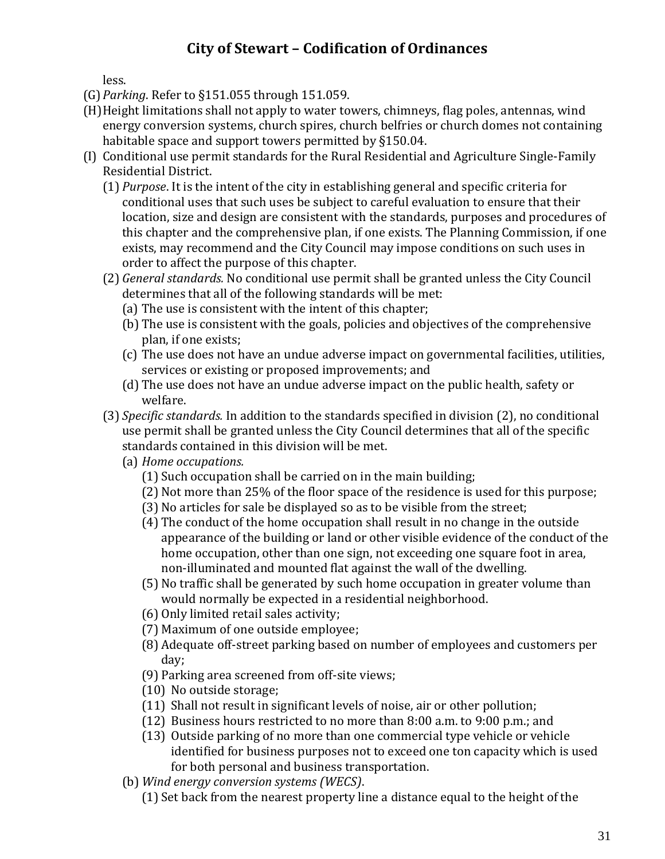less.

- (G)*Parking*. Refer to §151.055 through 151.059.
- (H)Height limitations shall not apply to water towers, chimneys, flag poles, antennas, wind energy conversion systems, church spires, church belfries or church domes not containing habitable space and support towers permitted by §150.04.
- (I) Conditional use permit standards for the Rural Residential and Agriculture Single-Family Residential District.
	- (1) *Purpose*. It is the intent of the city in establishing general and specific criteria for conditional uses that such uses be subject to careful evaluation to ensure that their location, size and design are consistent with the standards, purposes and procedures of this chapter and the comprehensive plan, if one exists. The Planning Commission, if one exists, may recommend and the City Council may impose conditions on such uses in order to affect the purpose of this chapter.
	- (2) *General standards.* No conditional use permit shall be granted unless the City Council determines that all of the following standards will be met:
		- (a) The use is consistent with the intent of this chapter;
		- (b) The use is consistent with the goals, policies and objectives of the comprehensive plan, if one exists;
		- (c) The use does not have an undue adverse impact on governmental facilities, utilities, services or existing or proposed improvements; and
		- (d) The use does not have an undue adverse impact on the public health, safety or welfare.
	- (3) *Specific standards.* In addition to the standards specified in division (2), no conditional use permit shall be granted unless the City Council determines that all of the specific standards contained in this division will be met.
		- (a) *Home occupations.*
			- (1) Such occupation shall be carried on in the main building;
			- (2) Not more than 25% of the floor space of the residence is used for this purpose;
			- (3) No articles for sale be displayed so as to be visible from the street;
			- (4) The conduct of the home occupation shall result in no change in the outside appearance of the building or land or other visible evidence of the conduct of the home occupation, other than one sign, not exceeding one square foot in area, non-illuminated and mounted flat against the wall of the dwelling.
			- (5) No traffic shall be generated by such home occupation in greater volume than would normally be expected in a residential neighborhood.
			- (6) Only limited retail sales activity;
			- (7) Maximum of one outside employee;
			- (8) Adequate off-street parking based on number of employees and customers per day;
			- (9) Parking area screened from off-site views;
			- (10) No outside storage;
			- (11) Shall not result in significant levels of noise, air or other pollution;
			- (12) Business hours restricted to no more than 8:00 a.m. to 9:00 p.m.; and
			- (13) Outside parking of no more than one commercial type vehicle or vehicle identified for business purposes not to exceed one ton capacity which is used for both personal and business transportation.
		- (b) *Wind energy conversion systems (WECS)*.
			- (1) Set back from the nearest property line a distance equal to the height of the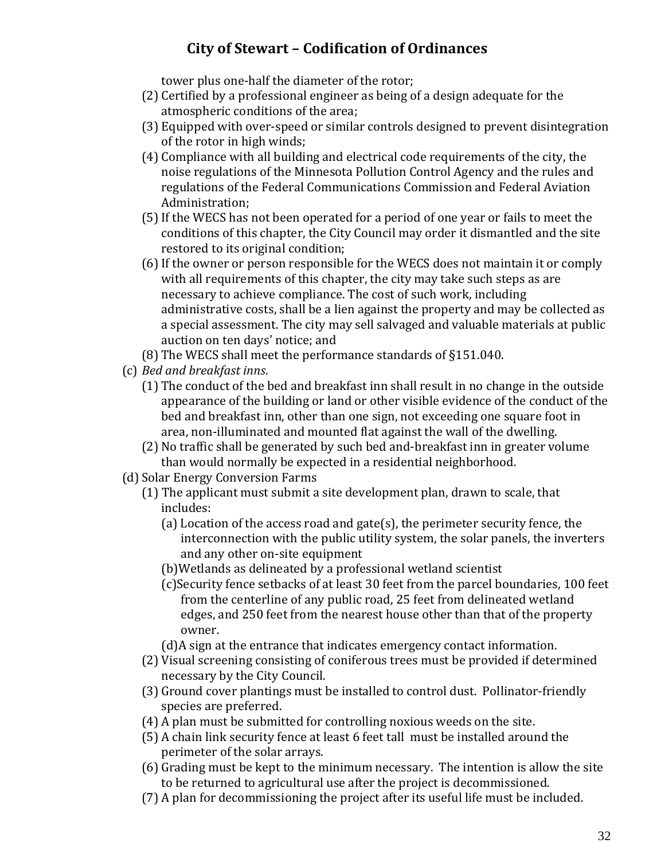tower plus one-half the diameter of the rotor;

- (2) Certified by a professional engineer as being of a design adequate for the atmospheric conditions of the area;
- (3) Equipped with over-speed or similar controls designed to prevent disintegration of the rotor in high winds;
- (4) Compliance with all building and electrical code requirements of the city, the noise regulations of the Minnesota Pollution Control Agency and the rules and regulations of the Federal Communications Commission and Federal Aviation Administration;
- (5)If the WECS has not been operated for a period of one year or fails to meet the conditions of this chapter, the City Council may order it dismantled and the site restored to its original condition;
- (6)If the owner or person responsible for the WECS does not maintain it or comply with all requirements of this chapter, the city may take such steps as are necessary to achieve compliance. The cost of such work, including administrative costs, shall be a lien against the property and may be collected as a special assessment. The city may sell salvaged and valuable materials at public auction on ten days' notice; and
- (8) The WECS shall meet the performance standards of §151.040.
- (c) *Bed and breakfast inns*.
	- (1) The conduct of the bed and breakfast inn shall result in no change in the outside appearance of the building or land or other visible evidence of the conduct of the bed and breakfast inn, other than one sign, not exceeding one square foot in area, non-illuminated and mounted flat against the wall of the dwelling.
	- (2) No traffic shall be generated by such bed and-breakfast inn in greater volume than would normally be expected in a residential neighborhood.
- (d) Solar Energy Conversion Farms
	- (1) The applicant must submit a site development plan, drawn to scale, that includes:
		- (a) Location of the access road and gate(s), the perimeter security fence, the interconnection with the public utility system, the solar panels, the inverters and any other on-site equipment
		- (b)Wetlands as delineated by a professional wetland scientist
		- (c)Security fence setbacks of at least 30 feet from the parcel boundaries, 100 feet from the centerline of any public road, 25 feet from delineated wetland edges, and 250 feet from the nearest house other than that of the property owner.
		- (d)A sign at the entrance that indicates emergency contact information.
	- (2) Visual screening consisting of coniferous trees must be provided if determined necessary by the City Council.
	- (3) Ground cover plantings must be installed to control dust. Pollinator-friendly species are preferred.
	- (4) A plan must be submitted for controlling noxious weeds on the site.
	- (5) A chain link security fence at least 6 feet tall must be installed around the perimeter of the solar arrays.
	- (6) Grading must be kept to the minimum necessary. The intention is allow the site to be returned to agricultural use after the project is decommissioned.
	- (7) A plan for decommissioning the project after its useful life must be included.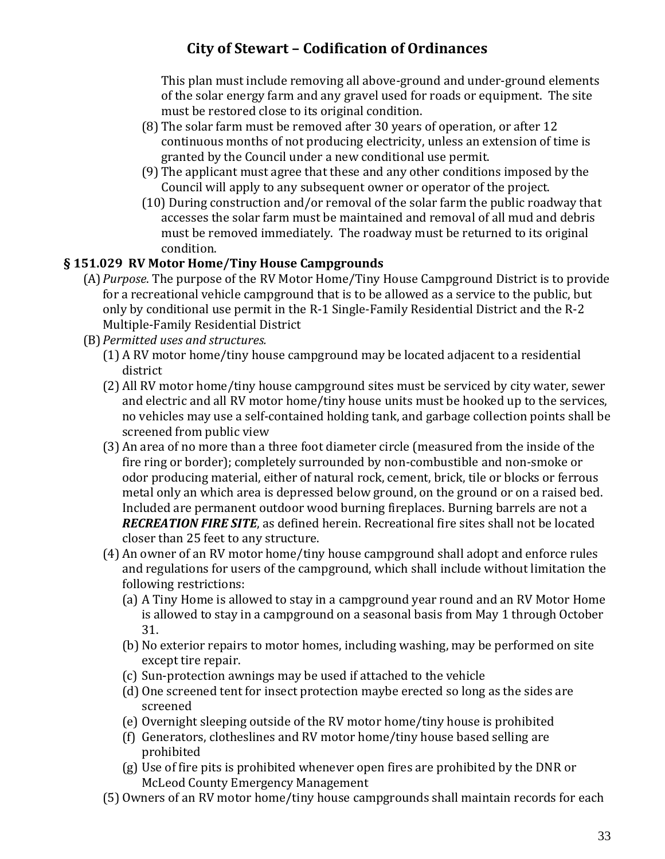This plan must include removing all above-ground and under-ground elements of the solar energy farm and any gravel used for roads or equipment. The site must be restored close to its original condition.

- (8) The solar farm must be removed after 30 years of operation, or after 12 continuous months of not producing electricity, unless an extension of time is granted by the Council under a new conditional use permit.
- (9) The applicant must agree that these and any other conditions imposed by the Council will apply to any subsequent owner or operator of the project.
- (10) During construction and/or removal of the solar farm the public roadway that accesses the solar farm must be maintained and removal of all mud and debris must be removed immediately. The roadway must be returned to its original condition.

#### **§ 151.029 RV Motor Home/Tiny House Campgrounds**

- (A)*Purpose*. The purpose of the RV Motor Home/Tiny House Campground District is to provide for a recreational vehicle campground that is to be allowed as a service to the public, but only by conditional use permit in the R-1 Single-Family Residential District and the R-2 Multiple-Family Residential District
- (B)*Permitted uses and structures.*
	- (1) A RV motor home/tiny house campground may be located adjacent to a residential district
	- (2) All RV motor home/tiny house campground sites must be serviced by city water, sewer and electric and all RV motor home/tiny house units must be hooked up to the services, no vehicles may use a self-contained holding tank, and garbage collection points shall be screened from public view
	- (3) An area of no more than a three foot diameter circle (measured from the inside of the fire ring or border); completely surrounded by non-combustible and non-smoke or odor producing material, either of natural rock, cement, brick, tile or blocks or ferrous metal only an which area is depressed below ground, on the ground or on a raised bed. Included are permanent outdoor wood burning fireplaces. Burning barrels are not a *RECREATION FIRE SITE*, as defined herein. Recreational fire sites shall not be located closer than 25 feet to any structure.
	- (4) An owner of an RV motor home/tiny house campground shall adopt and enforce rules and regulations for users of the campground, which shall include without limitation the following restrictions:
		- (a) A Tiny Home is allowed to stay in a campground year round and an RV Motor Home is allowed to stay in a campground on a seasonal basis from May 1 through October 31.
		- (b) No exterior repairs to motor homes, including washing, may be performed on site except tire repair.
		- (c) Sun-protection awnings may be used if attached to the vehicle
		- (d) One screened tent for insect protection maybe erected so long as the sides are screened
		- (e) Overnight sleeping outside of the RV motor home/tiny house is prohibited
		- (f) Generators, clotheslines and RV motor home/tiny house based selling are prohibited
		- (g) Use of fire pits is prohibited whenever open fires are prohibited by the DNR or McLeod County Emergency Management
	- (5) Owners of an RV motor home/tiny house campgrounds shall maintain records for each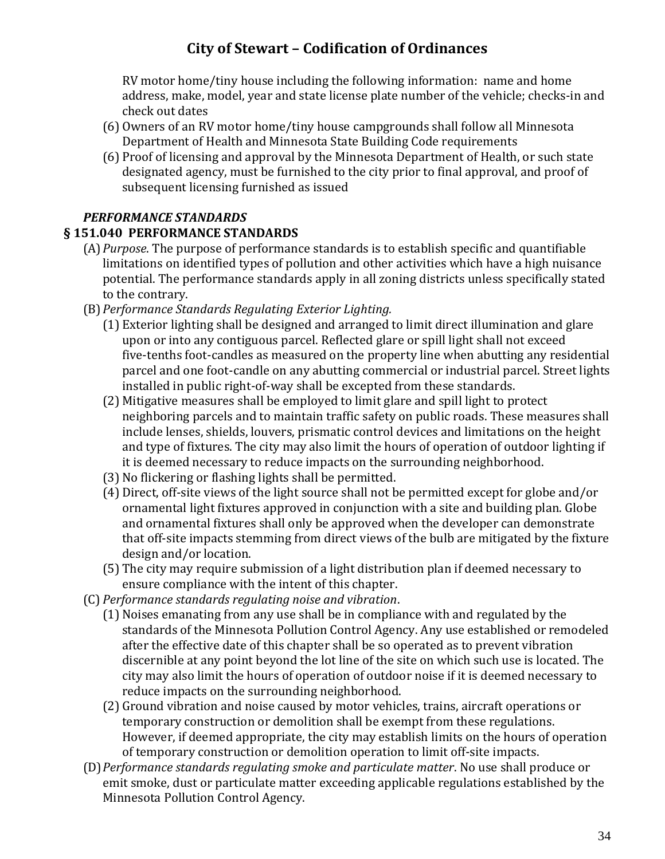RV motor home/tiny house including the following information: name and home address, make, model, year and state license plate number of the vehicle; checks-in and check out dates

- (6) Owners of an RV motor home/tiny house campgrounds shall follow all Minnesota Department of Health and Minnesota State Building Code requirements
- (6) Proof of licensing and approval by the Minnesota Department of Health, or such state designated agency, must be furnished to the city prior to final approval, and proof of subsequent licensing furnished as issued

#### *PERFORMANCE STANDARDS*

#### **§ 151.040 PERFORMANCE STANDARDS**

- (A)*Purpose*. The purpose of performance standards is to establish specific and quantifiable limitations on identified types of pollution and other activities which have a high nuisance potential. The performance standards apply in all zoning districts unless specifically stated to the contrary.
- (B)*Performance Standards Regulating Exterior Lighting.*
	- (1) Exterior lighting shall be designed and arranged to limit direct illumination and glare upon or into any contiguous parcel. Reflected glare or spill light shall not exceed five-tenths foot-candles as measured on the property line when abutting any residential parcel and one foot-candle on any abutting commercial or industrial parcel. Street lights installed in public right-of-way shall be excepted from these standards.
	- (2) Mitigative measures shall be employed to limit glare and spill light to protect neighboring parcels and to maintain traffic safety on public roads. These measures shall include lenses, shields, louvers, prismatic control devices and limitations on the height and type of fixtures. The city may also limit the hours of operation of outdoor lighting if it is deemed necessary to reduce impacts on the surrounding neighborhood.
	- (3) No flickering or flashing lights shall be permitted.
	- (4) Direct, off-site views of the light source shall not be permitted except for globe and/or ornamental light fixtures approved in conjunction with a site and building plan. Globe and ornamental fixtures shall only be approved when the developer can demonstrate that off-site impacts stemming from direct views of the bulb are mitigated by the fixture design and/or location.
	- (5) The city may require submission of a light distribution plan if deemed necessary to ensure compliance with the intent of this chapter.
- (C) *Performance standards regulating noise and vibration*.
	- (1) Noises emanating from any use shall be in compliance with and regulated by the standards of the Minnesota Pollution Control Agency. Any use established or remodeled after the effective date of this chapter shall be so operated as to prevent vibration discernible at any point beyond the lot line of the site on which such use is located. The city may also limit the hours of operation of outdoor noise if it is deemed necessary to reduce impacts on the surrounding neighborhood.
	- (2) Ground vibration and noise caused by motor vehicles, trains, aircraft operations or temporary construction or demolition shall be exempt from these regulations. However, if deemed appropriate, the city may establish limits on the hours of operation of temporary construction or demolition operation to limit off-site impacts.
- (D)*Performance standards regulating smoke and particulate matter*. No use shall produce or emit smoke, dust or particulate matter exceeding applicable regulations established by the Minnesota Pollution Control Agency.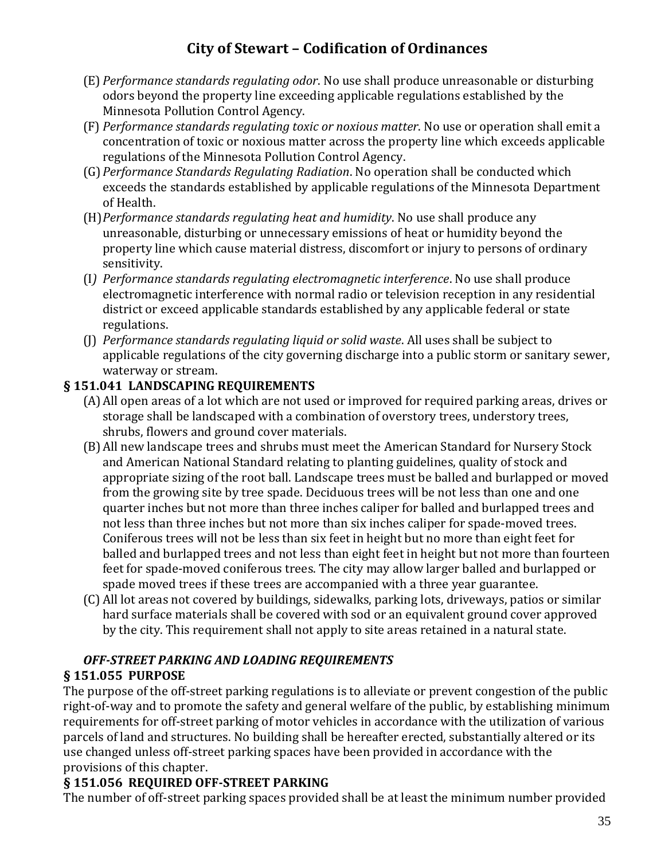- (E) *Performance standards regulating odor*. No use shall produce unreasonable or disturbing odors beyond the property line exceeding applicable regulations established by the Minnesota Pollution Control Agency.
- (F) *Performance standards regulating toxic or noxious matter*. No use or operation shall emit a concentration of toxic or noxious matter across the property line which exceeds applicable regulations of the Minnesota Pollution Control Agency.
- (G)*Performance Standards Regulating Radiation*. No operation shall be conducted which exceeds the standards established by applicable regulations of the Minnesota Department of Health.
- (H)*Performance standards regulating heat and humidity*. No use shall produce any unreasonable, disturbing or unnecessary emissions of heat or humidity beyond the property line which cause material distress, discomfort or injury to persons of ordinary sensitivity.
- (I*) Performance standards regulating electromagnetic interference*. No use shall produce electromagnetic interference with normal radio or television reception in any residential district or exceed applicable standards established by any applicable federal or state regulations.
- (J) *Performance standards regulating liquid or solid waste*. All uses shall be subject to applicable regulations of the city governing discharge into a public storm or sanitary sewer, waterway or stream.

#### **§ 151.041 LANDSCAPING REQUIREMENTS**

- (A)All open areas of a lot which are not used or improved for required parking areas, drives or storage shall be landscaped with a combination of overstory trees, understory trees, shrubs, flowers and ground cover materials.
- (B)All new landscape trees and shrubs must meet the American Standard for Nursery Stock and American National Standard relating to planting guidelines, quality of stock and appropriate sizing of the root ball. Landscape trees must be balled and burlapped or moved from the growing site by tree spade. Deciduous trees will be not less than one and one quarter inches but not more than three inches caliper for balled and burlapped trees and not less than three inches but not more than six inches caliper for spade-moved trees. Coniferous trees will not be less than six feet in height but no more than eight feet for balled and burlapped trees and not less than eight feet in height but not more than fourteen feet for spade-moved coniferous trees. The city may allow larger balled and burlapped or spade moved trees if these trees are accompanied with a three year guarantee.
- (C) All lot areas not covered by buildings, sidewalks, parking lots, driveways, patios or similar hard surface materials shall be covered with sod or an equivalent ground cover approved by the city. This requirement shall not apply to site areas retained in a natural state.

# *OFF-STREET PARKING AND LOADING REQUIREMENTS*

#### **§ 151.055 PURPOSE**

The purpose of the off-street parking regulations is to alleviate or prevent congestion of the public right-of-way and to promote the safety and general welfare of the public, by establishing minimum requirements for off-street parking of motor vehicles in accordance with the utilization of various parcels of land and structures. No building shall be hereafter erected, substantially altered or its use changed unless off-street parking spaces have been provided in accordance with the provisions of this chapter.

#### **§ 151.056 REQUIRED OFF-STREET PARKING**

The number of off-street parking spaces provided shall be at least the minimum number provided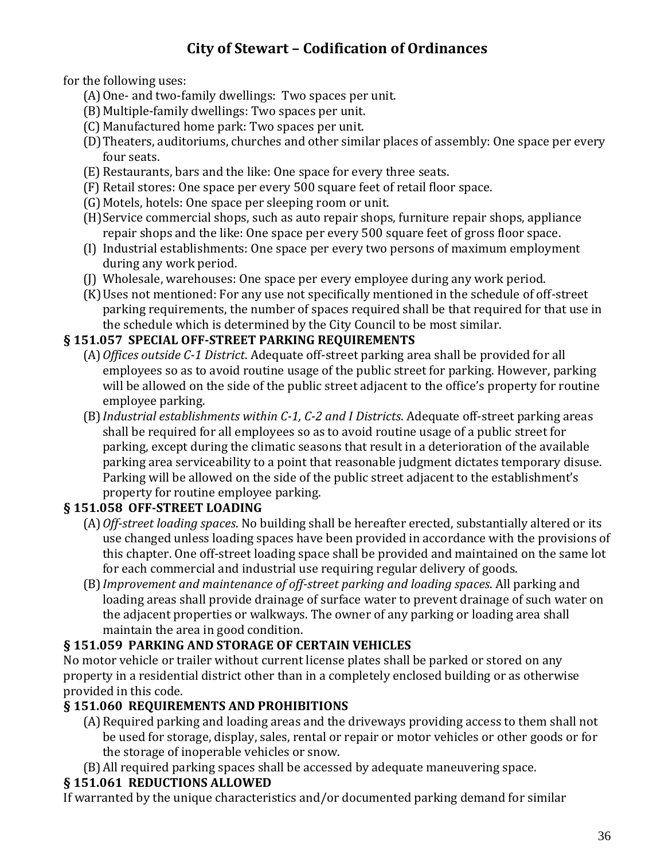for the following uses:

- (A)One- and two-family dwellings: Two spaces per unit.
- (B)Multiple-family dwellings: Two spaces per unit.
- (C) Manufactured home park: Two spaces per unit.
- (D)Theaters, auditoriums, churches and other similar places of assembly: One space per every four seats.
- (E) Restaurants, bars and the like: One space for every three seats.
- (F) Retail stores: One space per every 500 square feet of retail floor space.
- (G)Motels, hotels: One space per sleeping room or unit.
- (H)Service commercial shops, such as auto repair shops, furniture repair shops, appliance repair shops and the like: One space per every 500 square feet of gross floor space.
- (I) Industrial establishments: One space per every two persons of maximum employment during any work period.
- (J) Wholesale, warehouses: One space per every employee during any work period.
- (K)Uses not mentioned: For any use not specifically mentioned in the schedule of off-street parking requirements, the number of spaces required shall be that required for that use in the schedule which is determined by the City Council to be most similar.

#### **§ 151.057 SPECIAL OFF-STREET PARKING REQUIREMENTS**

- (A)*Offices outside C-1 District*. Adequate off-street parking area shall be provided for all employees so as to avoid routine usage of the public street for parking. However, parking will be allowed on the side of the public street adjacent to the office's property for routine employee parking.
- (B)*Industrial establishments within C-1, C-2 and I Districts*. Adequate off-street parking areas shall be required for all employees so as to avoid routine usage of a public street for parking, except during the climatic seasons that result in a deterioration of the available parking area serviceability to a point that reasonable judgment dictates temporary disuse. Parking will be allowed on the side of the public street adjacent to the establishment's property for routine employee parking.

### **§ 151.058 OFF-STREET LOADING**

- (A)*Off-street loading spaces*. No building shall be hereafter erected, substantially altered or its use changed unless loading spaces have been provided in accordance with the provisions of this chapter. One off-street loading space shall be provided and maintained on the same lot for each commercial and industrial use requiring regular delivery of goods.
- (B)*Improvement and maintenance of off-street parking and loading spaces*. All parking and loading areas shall provide drainage of surface water to prevent drainage of such water on the adjacent properties or walkways. The owner of any parking or loading area shall maintain the area in good condition.

### **§ 151.059 PARKING AND STORAGE OF CERTAIN VEHICLES**

No motor vehicle or trailer without current license plates shall be parked or stored on any property in a residential district other than in a completely enclosed building or as otherwise provided in this code.

### **§ 151.060 REQUIREMENTS AND PROHIBITIONS**

- (A)Required parking and loading areas and the driveways providing access to them shall not be used for storage, display, sales, rental or repair or motor vehicles or other goods or for the storage of inoperable vehicles or snow.
- (B)All required parking spaces shall be accessed by adequate maneuvering space.

### **§ 151.061 REDUCTIONS ALLOWED**

If warranted by the unique characteristics and/or documented parking demand for similar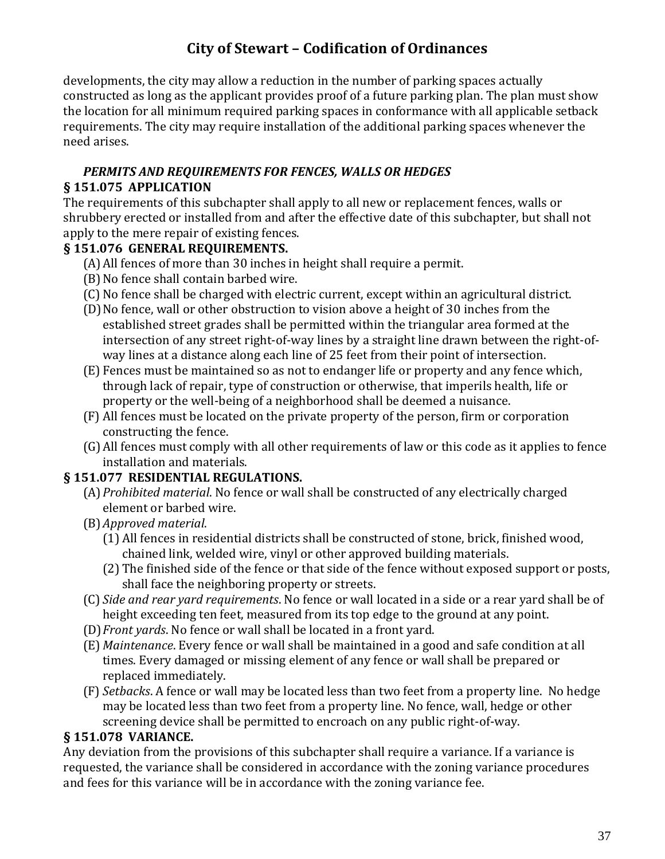developments, the city may allow a reduction in the number of parking spaces actually constructed as long as the applicant provides proof of a future parking plan. The plan must show the location for all minimum required parking spaces in conformance with all applicable setback requirements. The city may require installation of the additional parking spaces whenever the need arises.

### *PERMITS AND REQUIREMENTS FOR FENCES, WALLS OR HEDGES*

#### **§ 151.075 APPLICATION**

The requirements of this subchapter shall apply to all new or replacement fences, walls or shrubbery erected or installed from and after the effective date of this subchapter, but shall not apply to the mere repair of existing fences.

#### **§ 151.076 GENERAL REQUIREMENTS.**

- (A)All fences of more than 30 inches in height shall require a permit.
- (B)No fence shall contain barbed wire.
- (C) No fence shall be charged with electric current, except within an agricultural district.
- (D)No fence, wall or other obstruction to vision above a height of 30 inches from the established street grades shall be permitted within the triangular area formed at the intersection of any street right-of-way lines by a straight line drawn between the right-ofway lines at a distance along each line of 25 feet from their point of intersection.
- (E) Fences must be maintained so as not to endanger life or property and any fence which, through lack of repair, type of construction or otherwise, that imperils health, life or property or the well-being of a neighborhood shall be deemed a nuisance.
- (F) All fences must be located on the private property of the person, firm or corporation constructing the fence.
- (G)All fences must comply with all other requirements of law or this code as it applies to fence installation and materials.

#### **§ 151.077 RESIDENTIAL REGULATIONS.**

- (A)*Prohibited material*. No fence or wall shall be constructed of any electrically charged element or barbed wire.
- (B)*Approved material*.
	- (1) All fences in residential districts shall be constructed of stone, brick, finished wood, chained link, welded wire, vinyl or other approved building materials.
	- (2) The finished side of the fence or that side of the fence without exposed support or posts, shall face the neighboring property or streets.
- (C) *Side and rear yard requirements*. No fence or wall located in a side or a rear yard shall be of height exceeding ten feet, measured from its top edge to the ground at any point.
- (D)*Front yards*. No fence or wall shall be located in a front yard.
- (E) *Maintenance*. Every fence or wall shall be maintained in a good and safe condition at all times. Every damaged or missing element of any fence or wall shall be prepared or replaced immediately.
- (F) *Setbacks*. A fence or wall may be located less than two feet from a property line. No hedge may be located less than two feet from a property line. No fence, wall, hedge or other screening device shall be permitted to encroach on any public right-of-way.

#### **§ 151.078 VARIANCE.**

Any deviation from the provisions of this subchapter shall require a variance. If a variance is requested, the variance shall be considered in accordance with the zoning variance procedures and fees for this variance will be in accordance with the zoning variance fee.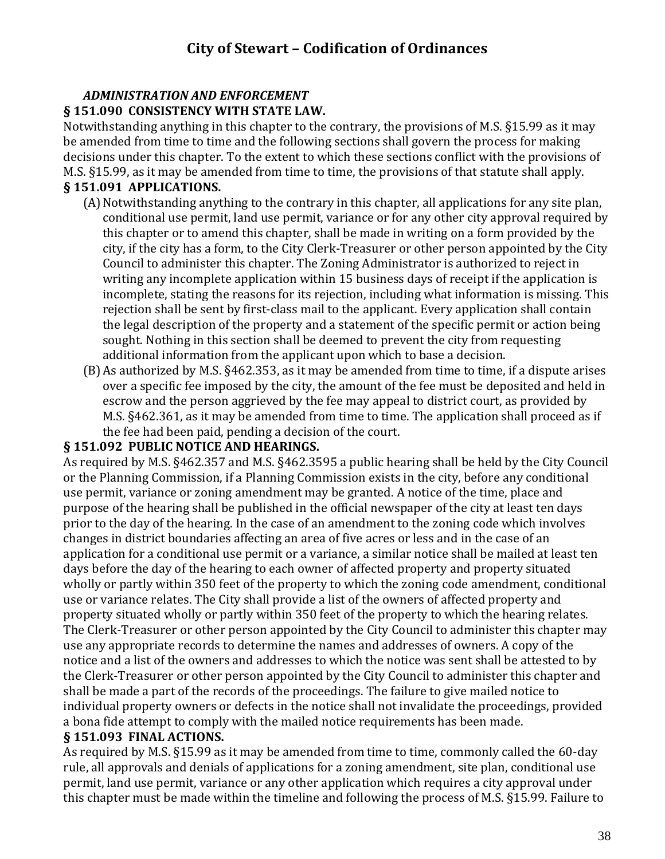#### *ADMINISTRATION AND ENFORCEMENT* **§ 151.090 CONSISTENCY WITH STATE LAW.**

Notwithstanding anything in this chapter to the contrary, the provisions of M.S. §15.99 as it may be amended from time to time and the following sections shall govern the process for making decisions under this chapter. To the extent to which these sections conflict with the provisions of M.S. §15.99, as it may be amended from time to time, the provisions of that statute shall apply.

#### **§ 151.091 APPLICATIONS.**

- (A) Notwithstanding anything to the contrary in this chapter, all applications for any site plan, conditional use permit, land use permit, variance or for any other city approval required by this chapter or to amend this chapter, shall be made in writing on a form provided by the city, if the city has a form, to the City Clerk-Treasurer or other person appointed by the City Council to administer this chapter. The Zoning Administrator is authorized to reject in writing any incomplete application within 15 business days of receipt if the application is incomplete, stating the reasons for its rejection, including what information is missing. This rejection shall be sent by first-class mail to the applicant. Every application shall contain the legal description of the property and a statement of the specific permit or action being sought. Nothing in this section shall be deemed to prevent the city from requesting additional information from the applicant upon which to base a decision.
- (B)As authorized by M.S. §462.353, as it may be amended from time to time, if a dispute arises over a specific fee imposed by the city, the amount of the fee must be deposited and held in escrow and the person aggrieved by the fee may appeal to district court, as provided by M.S. §462.361, as it may be amended from time to time. The application shall proceed as if the fee had been paid, pending a decision of the court.

#### **§ 151.092 PUBLIC NOTICE AND HEARINGS.**

As required by M.S. §462.357 and M.S. §462.3595 a public hearing shall be held by the City Council or the Planning Commission, if a Planning Commission exists in the city, before any conditional use permit, variance or zoning amendment may be granted. A notice of the time, place and purpose of the hearing shall be published in the official newspaper of the city at least ten days prior to the day of the hearing. In the case of an amendment to the zoning code which involves changes in district boundaries affecting an area of five acres or less and in the case of an application for a conditional use permit or a variance, a similar notice shall be mailed at least ten days before the day of the hearing to each owner of affected property and property situated wholly or partly within 350 feet of the property to which the zoning code amendment, conditional use or variance relates. The City shall provide a list of the owners of affected property and property situated wholly or partly within 350 feet of the property to which the hearing relates. The Clerk-Treasurer or other person appointed by the City Council to administer this chapter may use any appropriate records to determine the names and addresses of owners. A copy of the notice and a list of the owners and addresses to which the notice was sent shall be attested to by the Clerk-Treasurer or other person appointed by the City Council to administer this chapter and shall be made a part of the records of the proceedings. The failure to give mailed notice to individual property owners or defects in the notice shall not invalidate the proceedings, provided a bona fide attempt to comply with the mailed notice requirements has been made.

#### **§ 151.093 FINAL ACTIONS.**

As required by M.S. §15.99 as it may be amended from time to time, commonly called the 60-day rule, all approvals and denials of applications for a zoning amendment, site plan, conditional use permit, land use permit, variance or any other application which requires a city approval under this chapter must be made within the timeline and following the process of M.S. §15.99. Failure to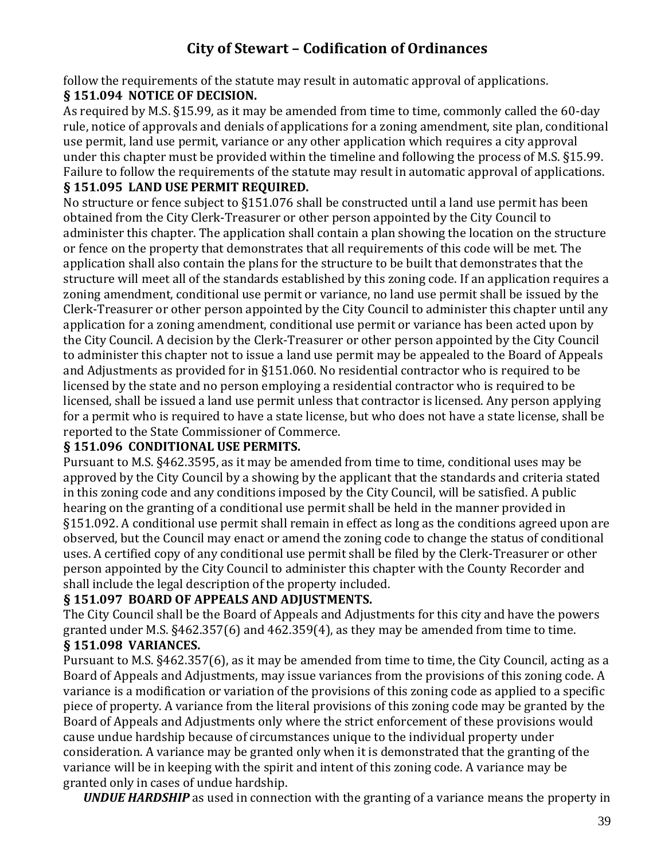follow the requirements of the statute may result in automatic approval of applications.

### **§ 151.094 NOTICE OF DECISION.**

As required by M.S. §15.99, as it may be amended from time to time, commonly called the 60-day rule, notice of approvals and denials of applications for a zoning amendment, site plan, conditional use permit, land use permit, variance or any other application which requires a city approval under this chapter must be provided within the timeline and following the process of M.S. §15.99. Failure to follow the requirements of the statute may result in automatic approval of applications.

#### **§ 151.095 LAND USE PERMIT REQUIRED.**

No structure or fence subject to §151.076 shall be constructed until a land use permit has been obtained from the City Clerk-Treasurer or other person appointed by the City Council to administer this chapter. The application shall contain a plan showing the location on the structure or fence on the property that demonstrates that all requirements of this code will be met. The application shall also contain the plans for the structure to be built that demonstrates that the structure will meet all of the standards established by this zoning code. If an application requires a zoning amendment, conditional use permit or variance, no land use permit shall be issued by the Clerk-Treasurer or other person appointed by the City Council to administer this chapter until any application for a zoning amendment, conditional use permit or variance has been acted upon by the City Council. A decision by the Clerk-Treasurer or other person appointed by the City Council to administer this chapter not to issue a land use permit may be appealed to the Board of Appeals and Adjustments as provided for in §151.060. No residential contractor who is required to be licensed by the state and no person employing a residential contractor who is required to be licensed, shall be issued a land use permit unless that contractor is licensed. Any person applying for a permit who is required to have a state license, but who does not have a state license, shall be reported to the State Commissioner of Commerce.

#### **§ 151.096 CONDITIONAL USE PERMITS.**

Pursuant to M.S. §462.3595, as it may be amended from time to time, conditional uses may be approved by the City Council by a showing by the applicant that the standards and criteria stated in this zoning code and any conditions imposed by the City Council, will be satisfied. A public hearing on the granting of a conditional use permit shall be held in the manner provided in §151.092. A conditional use permit shall remain in effect as long as the conditions agreed upon are observed, but the Council may enact or amend the zoning code to change the status of conditional uses. A certified copy of any conditional use permit shall be filed by the Clerk-Treasurer or other person appointed by the City Council to administer this chapter with the County Recorder and shall include the legal description of the property included.

#### **§ 151.097 BOARD OF APPEALS AND ADJUSTMENTS.**

The City Council shall be the Board of Appeals and Adjustments for this city and have the powers granted under M.S. §462.357(6) and 462.359(4), as they may be amended from time to time. **§ 151.098 VARIANCES.**

Pursuant to M.S. §462.357(6), as it may be amended from time to time, the City Council, acting as a Board of Appeals and Adjustments, may issue variances from the provisions of this zoning code. A variance is a modification or variation of the provisions of this zoning code as applied to a specific piece of property. A variance from the literal provisions of this zoning code may be granted by the Board of Appeals and Adjustments only where the strict enforcement of these provisions would cause undue hardship because of circumstances unique to the individual property under consideration. A variance may be granted only when it is demonstrated that the granting of the variance will be in keeping with the spirit and intent of this zoning code. A variance may be granted only in cases of undue hardship.

*UNDUE HARDSHIP* as used in connection with the granting of a variance means the property in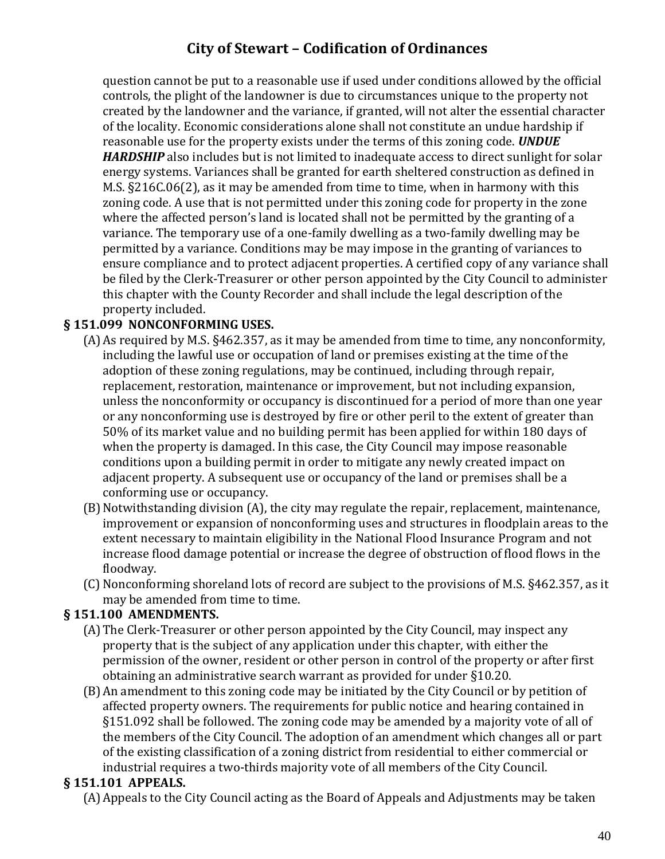question cannot be put to a reasonable use if used under conditions allowed by the official controls, the plight of the landowner is due to circumstances unique to the property not created by the landowner and the variance, if granted, will not alter the essential character of the locality. Economic considerations alone shall not constitute an undue hardship if reasonable use for the property exists under the terms of this zoning code. *UNDUE HARDSHIP* also includes but is not limited to inadequate access to direct sunlight for solar energy systems. Variances shall be granted for earth sheltered construction as defined in M.S. §216C.06(2), as it may be amended from time to time, when in harmony with this zoning code. A use that is not permitted under this zoning code for property in the zone where the affected person's land is located shall not be permitted by the granting of a variance. The temporary use of a one-family dwelling as a two-family dwelling may be permitted by a variance. Conditions may be may impose in the granting of variances to ensure compliance and to protect adjacent properties. A certified copy of any variance shall be filed by the Clerk-Treasurer or other person appointed by the City Council to administer this chapter with the County Recorder and shall include the legal description of the property included.

#### **§ 151.099 NONCONFORMING USES.**

- (A)As required by M.S. §462.357, as it may be amended from time to time, any nonconformity, including the lawful use or occupation of land or premises existing at the time of the adoption of these zoning regulations, may be continued, including through repair, replacement, restoration, maintenance or improvement, but not including expansion, unless the nonconformity or occupancy is discontinued for a period of more than one year or any nonconforming use is destroyed by fire or other peril to the extent of greater than 50% of its market value and no building permit has been applied for within 180 days of when the property is damaged. In this case, the City Council may impose reasonable conditions upon a building permit in order to mitigate any newly created impact on adjacent property. A subsequent use or occupancy of the land or premises shall be a conforming use or occupancy.
- (B)Notwithstanding division (A), the city may regulate the repair, replacement, maintenance, improvement or expansion of nonconforming uses and structures in floodplain areas to the extent necessary to maintain eligibility in the National Flood Insurance Program and not increase flood damage potential or increase the degree of obstruction of flood flows in the floodway.
- (C) Nonconforming shoreland lots of record are subject to the provisions of M.S. §462.357, as it may be amended from time to time.

#### **§ 151.100 AMENDMENTS.**

- (A)The Clerk-Treasurer or other person appointed by the City Council, may inspect any property that is the subject of any application under this chapter, with either the permission of the owner, resident or other person in control of the property or after first obtaining an administrative search warrant as provided for under §10.20.
- (B)An amendment to this zoning code may be initiated by the City Council or by petition of affected property owners. The requirements for public notice and hearing contained in §151.092 shall be followed. The zoning code may be amended by a majority vote of all of the members of the City Council. The adoption of an amendment which changes all or part of the existing classification of a zoning district from residential to either commercial or industrial requires a two-thirds majority vote of all members of the City Council.

#### **§ 151.101 APPEALS.**

(A)Appeals to the City Council acting as the Board of Appeals and Adjustments may be taken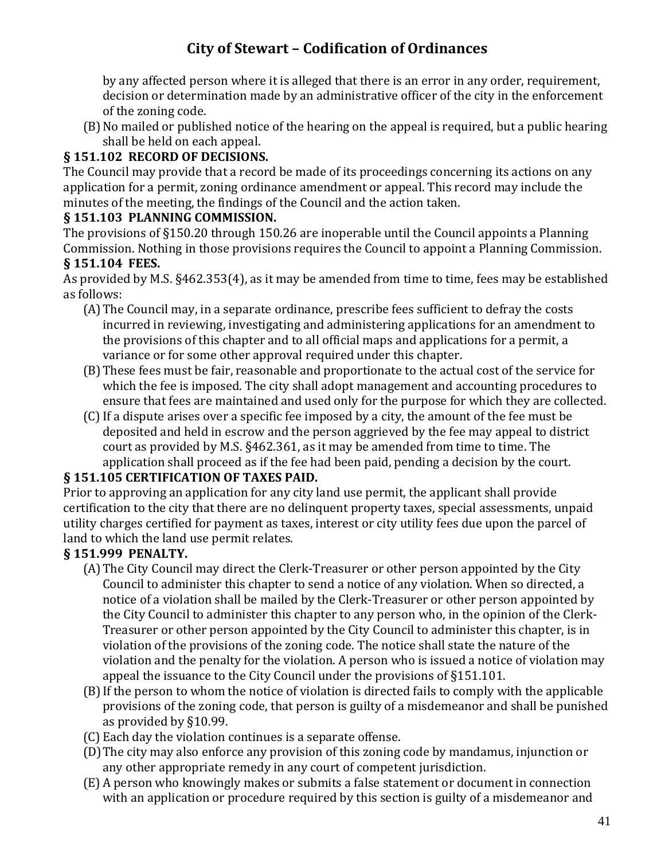by any affected person where it is alleged that there is an error in any order, requirement, decision or determination made by an administrative officer of the city in the enforcement of the zoning code.

(B)No mailed or published notice of the hearing on the appeal is required, but a public hearing shall be held on each appeal.

#### **§ 151.102 RECORD OF DECISIONS.**

The Council may provide that a record be made of its proceedings concerning its actions on any application for a permit, zoning ordinance amendment or appeal. This record may include the minutes of the meeting, the findings of the Council and the action taken.

#### **§ 151.103 PLANNING COMMISSION.**

The provisions of §150.20 through 150.26 are inoperable until the Council appoints a Planning Commission. Nothing in those provisions requires the Council to appoint a Planning Commission. **§ 151.104 FEES.**

As provided by M.S. §462.353(4), as it may be amended from time to time, fees may be established as follows:

- (A)The Council may, in a separate ordinance, prescribe fees sufficient to defray the costs incurred in reviewing, investigating and administering applications for an amendment to the provisions of this chapter and to all official maps and applications for a permit, a variance or for some other approval required under this chapter.
- (B)These fees must be fair, reasonable and proportionate to the actual cost of the service for which the fee is imposed. The city shall adopt management and accounting procedures to ensure that fees are maintained and used only for the purpose for which they are collected.
- (C)If a dispute arises over a specific fee imposed by a city, the amount of the fee must be deposited and held in escrow and the person aggrieved by the fee may appeal to district court as provided by M.S. §462.361, as it may be amended from time to time. The application shall proceed as if the fee had been paid, pending a decision by the court.

#### **§ 151.105 CERTIFICATION OF TAXES PAID.**

Prior to approving an application for any city land use permit, the applicant shall provide certification to the city that there are no delinquent property taxes, special assessments, unpaid utility charges certified for payment as taxes, interest or city utility fees due upon the parcel of land to which the land use permit relates.

### **§ 151.999 PENALTY.**

- (A)The City Council may direct the Clerk-Treasurer or other person appointed by the City Council to administer this chapter to send a notice of any violation. When so directed, a notice of a violation shall be mailed by the Clerk-Treasurer or other person appointed by the City Council to administer this chapter to any person who, in the opinion of the Clerk-Treasurer or other person appointed by the City Council to administer this chapter, is in violation of the provisions of the zoning code. The notice shall state the nature of the violation and the penalty for the violation. A person who is issued a notice of violation may appeal the issuance to the City Council under the provisions of §151.101.
- (B)If the person to whom the notice of violation is directed fails to comply with the applicable provisions of the zoning code, that person is guilty of a misdemeanor and shall be punished as provided by §10.99.
- (C) Each day the violation continues is a separate offense.
- (D)The city may also enforce any provision of this zoning code by mandamus, injunction or any other appropriate remedy in any court of competent jurisdiction.
- (E) A person who knowingly makes or submits a false statement or document in connection with an application or procedure required by this section is guilty of a misdemeanor and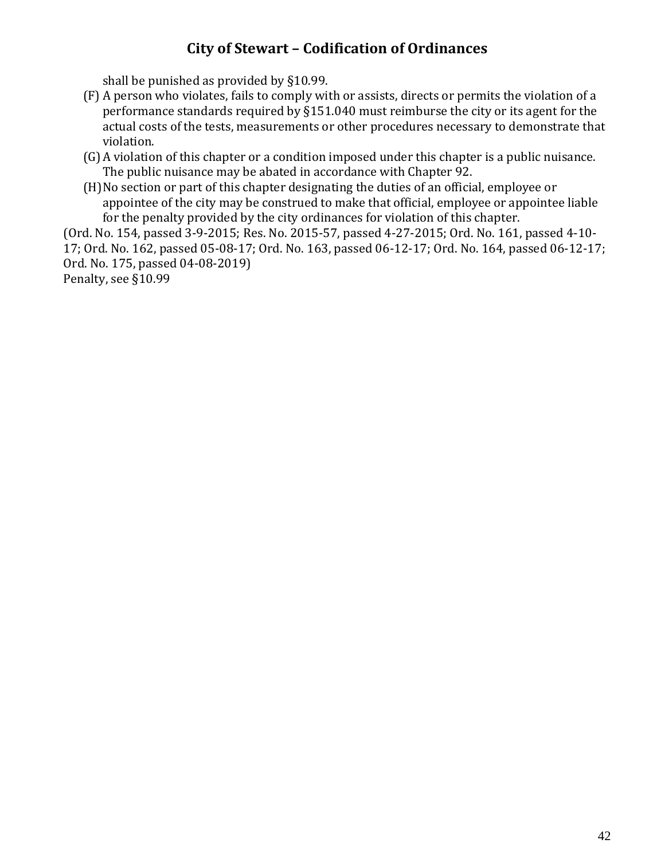shall be punished as provided by §10.99.

- (F) A person who violates, fails to comply with or assists, directs or permits the violation of a performance standards required by §151.040 must reimburse the city or its agent for the actual costs of the tests, measurements or other procedures necessary to demonstrate that violation.
- (G)A violation of this chapter or a condition imposed under this chapter is a public nuisance. The public nuisance may be abated in accordance with Chapter 92.
- (H)No section or part of this chapter designating the duties of an official, employee or appointee of the city may be construed to make that official, employee or appointee liable for the penalty provided by the city ordinances for violation of this chapter.

(Ord. No. 154, passed 3-9-2015; Res. No. 2015-57, passed 4-27-2015; Ord. No. 161, passed 4-10- 17; Ord. No. 162, passed 05-08-17; Ord. No. 163, passed 06-12-17; Ord. No. 164, passed 06-12-17; Ord. No. 175, passed 04-08-2019)

Penalty, see §10.99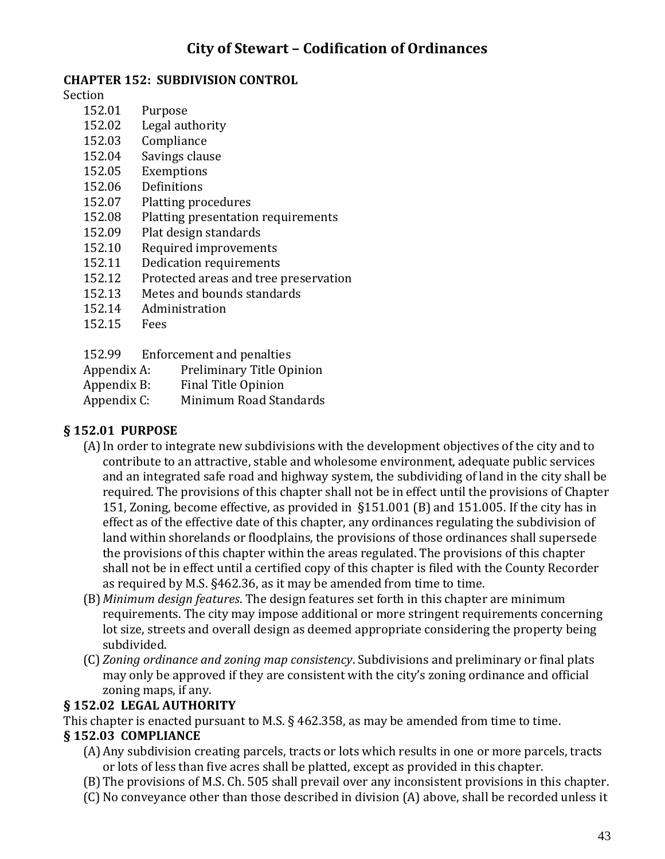#### **CHAPTER 152: SUBDIVISION CONTROL**

Section

- 152.01 Purpose
- 152.02 Legal authority
- 152.03 Compliance
- 152.04 Savings clause
- 152.05 Exemptions
- 152.06 Definitions
- 152.07 Platting procedures
- 152.08 Platting presentation requirements
- 152.09 Plat design standards
- 152.10 Required improvements
- 152.11 Dedication requirements
- 152.12 Protected areas and tree preservation
- 152.13 Metes and bounds standards
- 152.14 Administration
- 152.15 Fees
- 152.99 Enforcement and penalties
- Appendix A: Preliminary Title Opinion
- Appendix B: Final Title Opinion
- Appendix C: Minimum Road Standards

#### **§ 152.01 PURPOSE**

- (A)In order to integrate new subdivisions with the development objectives of the city and to contribute to an attractive, stable and wholesome environment, adequate public services and an integrated safe road and highway system, the subdividing of land in the city shall be required. The provisions of this chapter shall not be in effect until the provisions of Chapter 151, Zoning, become effective, as provided in §151.001 (B) and 151.005. If the city has in effect as of the effective date of this chapter, any ordinances regulating the subdivision of land within shorelands or floodplains, the provisions of those ordinances shall supersede the provisions of this chapter within the areas regulated. The provisions of this chapter shall not be in effect until a certified copy of this chapter is filed with the County Recorder as required by M.S. §462.36, as it may be amended from time to time.
- (B)*Minimum design features*. The design features set forth in this chapter are minimum requirements. The city may impose additional or more stringent requirements concerning lot size, streets and overall design as deemed appropriate considering the property being subdivided.
- (C) *Zoning ordinance and zoning map consistency*. Subdivisions and preliminary or final plats may only be approved if they are consistent with the city's zoning ordinance and official zoning maps, if any.

#### **§ 152.02 LEGAL AUTHORITY**

This chapter is enacted pursuant to M.S. § 462.358, as may be amended from time to time.

#### **§ 152.03 COMPLIANCE**

- (A)Any subdivision creating parcels, tracts or lots which results in one or more parcels, tracts or lots of less than five acres shall be platted, except as provided in this chapter.
- (B)The provisions of M.S. Ch. 505 shall prevail over any inconsistent provisions in this chapter.
- (C) No conveyance other than those described in division (A) above, shall be recorded unless it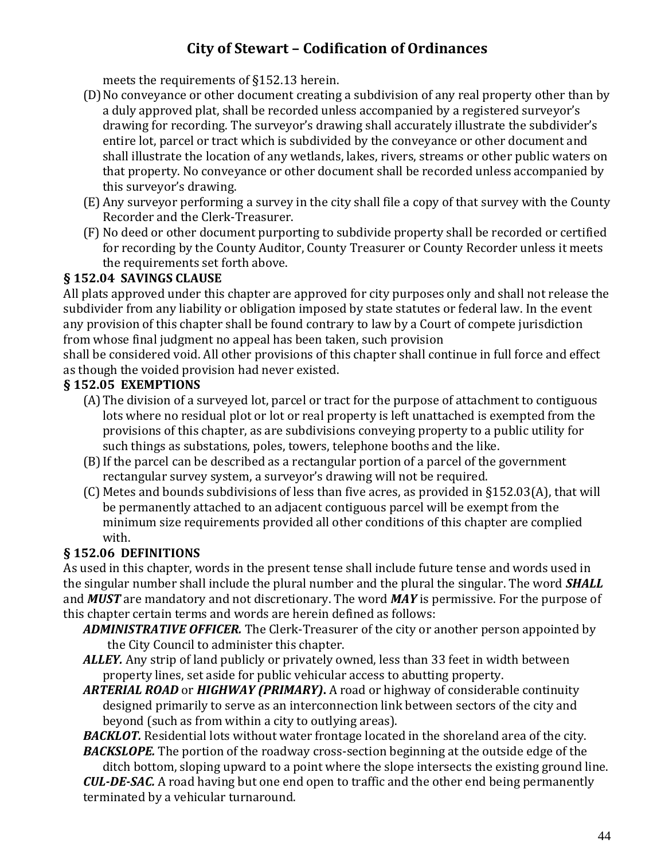meets the requirements of §152.13 herein.

- (D)No conveyance or other document creating a subdivision of any real property other than by a duly approved plat, shall be recorded unless accompanied by a registered surveyor's drawing for recording. The surveyor's drawing shall accurately illustrate the subdivider's entire lot, parcel or tract which is subdivided by the conveyance or other document and shall illustrate the location of any wetlands, lakes, rivers, streams or other public waters on that property. No conveyance or other document shall be recorded unless accompanied by this surveyor's drawing.
- (E) Any surveyor performing a survey in the city shall file a copy of that survey with the County Recorder and the Clerk-Treasurer.
- (F) No deed or other document purporting to subdivide property shall be recorded or certified for recording by the County Auditor, County Treasurer or County Recorder unless it meets the requirements set forth above.

#### **§ 152.04 SAVINGS CLAUSE**

All plats approved under this chapter are approved for city purposes only and shall not release the subdivider from any liability or obligation imposed by state statutes or federal law. In the event any provision of this chapter shall be found contrary to law by a Court of compete jurisdiction from whose final judgment no appeal has been taken, such provision

shall be considered void. All other provisions of this chapter shall continue in full force and effect as though the voided provision had never existed.

#### **§ 152.05 EXEMPTIONS**

- (A)The division of a surveyed lot, parcel or tract for the purpose of attachment to contiguous lots where no residual plot or lot or real property is left unattached is exempted from the provisions of this chapter, as are subdivisions conveying property to a public utility for such things as substations, poles, towers, telephone booths and the like.
- (B)If the parcel can be described as a rectangular portion of a parcel of the government rectangular survey system, a surveyor's drawing will not be required.
- (C) Metes and bounds subdivisions of less than five acres, as provided in §152.03(A), that will be permanently attached to an adjacent contiguous parcel will be exempt from the minimum size requirements provided all other conditions of this chapter are complied with.

#### **§ 152.06 DEFINITIONS**

As used in this chapter, words in the present tense shall include future tense and words used in the singular number shall include the plural number and the plural the singular. The word *SHALL* and *MUST* are mandatory and not discretionary. The word *MAY* is permissive. For the purpose of this chapter certain terms and words are herein defined as follows:

- *ADMINISTRATIVE OFFICER.* The Clerk-Treasurer of the city or another person appointed by the City Council to administer this chapter.
- *ALLEY.* Any strip of land publicly or privately owned, less than 33 feet in width between property lines, set aside for public vehicular access to abutting property.

*ARTERIAL ROAD* or *HIGHWAY (PRIMARY)***.** A road or highway of considerable continuity designed primarily to serve as an interconnection link between sectors of the city and beyond (such as from within a city to outlying areas).

**BACKLOT.** Residential lots without water frontage located in the shoreland area of the city. *BACKSLOPE.* The portion of the roadway cross-section beginning at the outside edge of the

ditch bottom, sloping upward to a point where the slope intersects the existing ground line. *CUL-DE-SAC.* A road having but one end open to traffic and the other end being permanently terminated by a vehicular turnaround.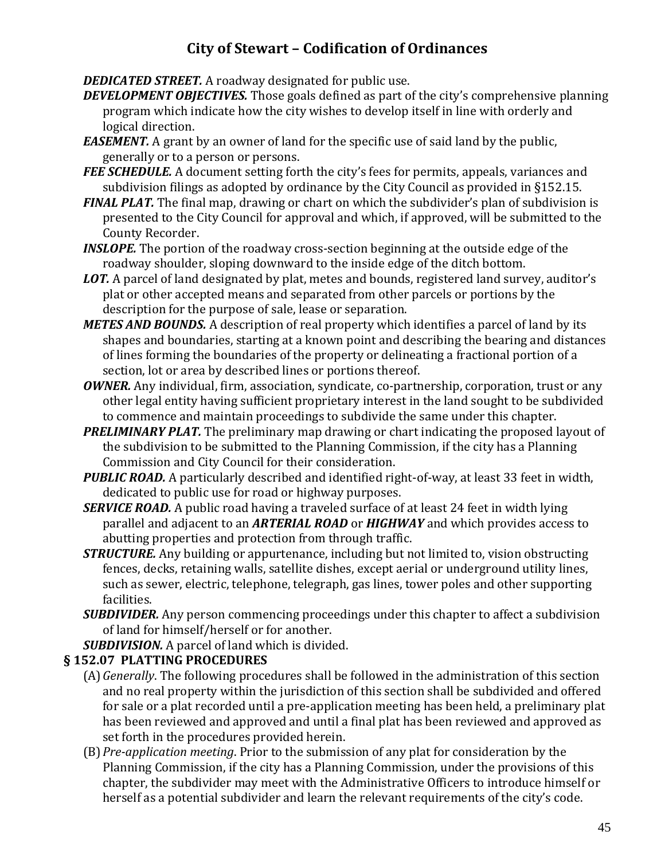*DEDICATED STREET.* A roadway designated for public use.

- *DEVELOPMENT OBJECTIVES.* Those goals defined as part of the city's comprehensive planning program which indicate how the city wishes to develop itself in line with orderly and logical direction.
- *EASEMENT.* A grant by an owner of land for the specific use of said land by the public, generally or to a person or persons.
- **FEE SCHEDULE.** A document setting forth the city's fees for permits, appeals, variances and subdivision filings as adopted by ordinance by the City Council as provided in §152.15.
- *FINAL PLAT.* The final map, drawing or chart on which the subdivider's plan of subdivision is presented to the City Council for approval and which, if approved, will be submitted to the County Recorder.
- *INSLOPE.* The portion of the roadway cross-section beginning at the outside edge of the roadway shoulder, sloping downward to the inside edge of the ditch bottom.
- *LOT.* A parcel of land designated by plat, metes and bounds, registered land survey, auditor's plat or other accepted means and separated from other parcels or portions by the description for the purpose of sale, lease or separation.
- *METES AND BOUNDS.* A description of real property which identifies a parcel of land by its shapes and boundaries, starting at a known point and describing the bearing and distances of lines forming the boundaries of the property or delineating a fractional portion of a section, lot or area by described lines or portions thereof.
- *OWNER.* Any individual, firm, association, syndicate, co-partnership, corporation, trust or any other legal entity having sufficient proprietary interest in the land sought to be subdivided to commence and maintain proceedings to subdivide the same under this chapter.
- *PRELIMINARY PLAT.* The preliminary map drawing or chart indicating the proposed layout of the subdivision to be submitted to the Planning Commission, if the city has a Planning Commission and City Council for their consideration.
- *PUBLIC ROAD.* A particularly described and identified right-of-way, at least 33 feet in width, dedicated to public use for road or highway purposes.
- *SERVICE ROAD.* A public road having a traveled surface of at least 24 feet in width lying parallel and adjacent to an *ARTERIAL ROAD* or *HIGHWAY* and which provides access to abutting properties and protection from through traffic.
- *STRUCTURE.* Any building or appurtenance, including but not limited to, vision obstructing fences, decks, retaining walls, satellite dishes, except aerial or underground utility lines, such as sewer, electric, telephone, telegraph, gas lines, tower poles and other supporting facilities.
- *SUBDIVIDER.* Any person commencing proceedings under this chapter to affect a subdivision of land for himself/herself or for another.
- *SUBDIVISION.* A parcel of land which is divided.

#### **§ 152.07 PLATTING PROCEDURES**

- (A)*Generally*. The following procedures shall be followed in the administration of this section and no real property within the jurisdiction of this section shall be subdivided and offered for sale or a plat recorded until a pre-application meeting has been held, a preliminary plat has been reviewed and approved and until a final plat has been reviewed and approved as set forth in the procedures provided herein.
- (B)*Pre-application meeting*. Prior to the submission of any plat for consideration by the Planning Commission, if the city has a Planning Commission, under the provisions of this chapter, the subdivider may meet with the Administrative Officers to introduce himself or herself as a potential subdivider and learn the relevant requirements of the city's code.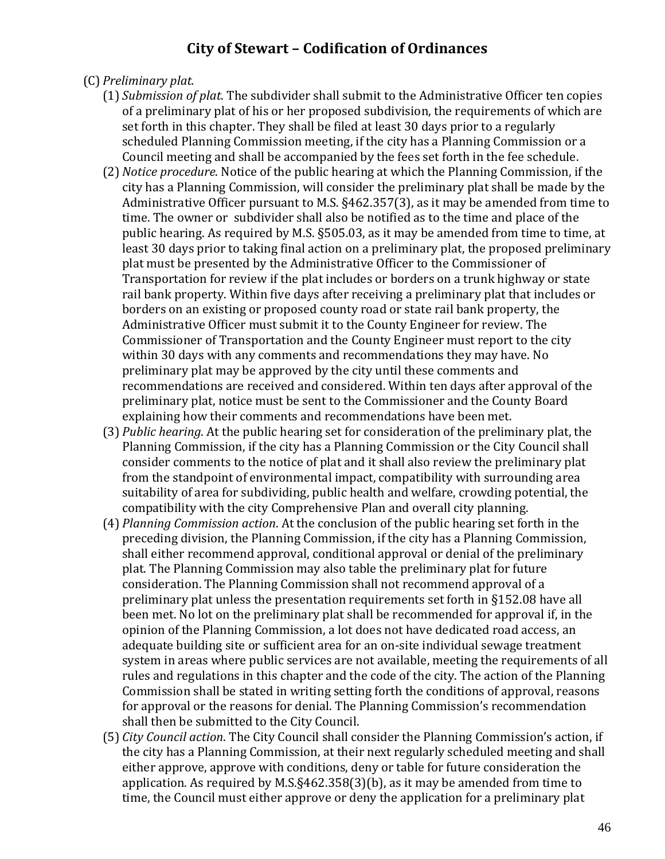- (C) *Preliminary plat.*
	- (1) *Submission of plat*. The subdivider shall submit to the Administrative Officer ten copies of a preliminary plat of his or her proposed subdivision, the requirements of which are set forth in this chapter. They shall be filed at least 30 days prior to a regularly scheduled Planning Commission meeting, if the city has a Planning Commission or a Council meeting and shall be accompanied by the fees set forth in the fee schedule.
	- (2) *Notice procedure*. Notice of the public hearing at which the Planning Commission, if the city has a Planning Commission, will consider the preliminary plat shall be made by the Administrative Officer pursuant to M.S. §462.357(3), as it may be amended from time to time. The owner or subdivider shall also be notified as to the time and place of the public hearing. As required by M.S. §505.03, as it may be amended from time to time, at least 30 days prior to taking final action on a preliminary plat, the proposed preliminary plat must be presented by the Administrative Officer to the Commissioner of Transportation for review if the plat includes or borders on a trunk highway or state rail bank property. Within five days after receiving a preliminary plat that includes or borders on an existing or proposed county road or state rail bank property, the Administrative Officer must submit it to the County Engineer for review. The Commissioner of Transportation and the County Engineer must report to the city within 30 days with any comments and recommendations they may have. No preliminary plat may be approved by the city until these comments and recommendations are received and considered. Within ten days after approval of the preliminary plat, notice must be sent to the Commissioner and the County Board explaining how their comments and recommendations have been met.
	- (3) *Public hearing*. At the public hearing set for consideration of the preliminary plat, the Planning Commission, if the city has a Planning Commission or the City Council shall consider comments to the notice of plat and it shall also review the preliminary plat from the standpoint of environmental impact, compatibility with surrounding area suitability of area for subdividing, public health and welfare, crowding potential, the compatibility with the city Comprehensive Plan and overall city planning.
	- (4) *Planning Commission action*. At the conclusion of the public hearing set forth in the preceding division, the Planning Commission, if the city has a Planning Commission, shall either recommend approval, conditional approval or denial of the preliminary plat. The Planning Commission may also table the preliminary plat for future consideration. The Planning Commission shall not recommend approval of a preliminary plat unless the presentation requirements set forth in §152.08 have all been met. No lot on the preliminary plat shall be recommended for approval if, in the opinion of the Planning Commission, a lot does not have dedicated road access, an adequate building site or sufficient area for an on-site individual sewage treatment system in areas where public services are not available, meeting the requirements of all rules and regulations in this chapter and the code of the city. The action of the Planning Commission shall be stated in writing setting forth the conditions of approval, reasons for approval or the reasons for denial. The Planning Commission's recommendation shall then be submitted to the City Council.
	- (5) *City Council action*. The City Council shall consider the Planning Commission's action, if the city has a Planning Commission, at their next regularly scheduled meeting and shall either approve, approve with conditions, deny or table for future consideration the application. As required by M.S.§462.358(3)(b), as it may be amended from time to time, the Council must either approve or deny the application for a preliminary plat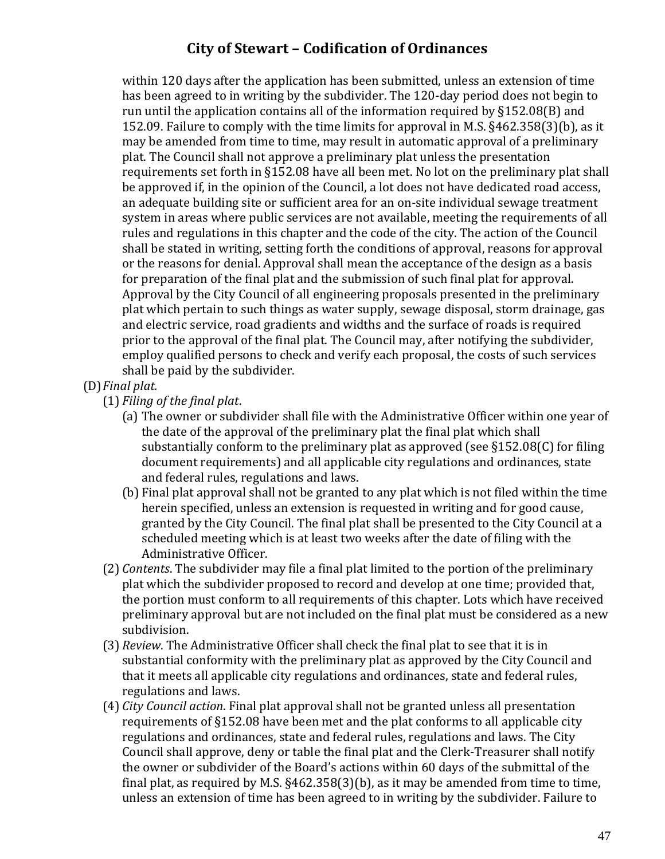within 120 days after the application has been submitted, unless an extension of time has been agreed to in writing by the subdivider. The 120-day period does not begin to run until the application contains all of the information required by §152.08(B) and 152.09. Failure to comply with the time limits for approval in M.S. §462.358(3)(b), as it may be amended from time to time, may result in automatic approval of a preliminary plat. The Council shall not approve a preliminary plat unless the presentation requirements set forth in §152.08 have all been met. No lot on the preliminary plat shall be approved if, in the opinion of the Council, a lot does not have dedicated road access, an adequate building site or sufficient area for an on-site individual sewage treatment system in areas where public services are not available, meeting the requirements of all rules and regulations in this chapter and the code of the city. The action of the Council shall be stated in writing, setting forth the conditions of approval, reasons for approval or the reasons for denial. Approval shall mean the acceptance of the design as a basis for preparation of the final plat and the submission of such final plat for approval. Approval by the City Council of all engineering proposals presented in the preliminary plat which pertain to such things as water supply, sewage disposal, storm drainage, gas and electric service, road gradients and widths and the surface of roads is required prior to the approval of the final plat. The Council may, after notifying the subdivider, employ qualified persons to check and verify each proposal, the costs of such services shall be paid by the subdivider.

(D)*Final plat.*

(1) *Filing of the final plat*.

- (a) The owner or subdivider shall file with the Administrative Officer within one year of the date of the approval of the preliminary plat the final plat which shall substantially conform to the preliminary plat as approved (see §152.08(C) for filing document requirements) and all applicable city regulations and ordinances, state and federal rules, regulations and laws.
- (b) Final plat approval shall not be granted to any plat which is not filed within the time herein specified, unless an extension is requested in writing and for good cause, granted by the City Council. The final plat shall be presented to the City Council at a scheduled meeting which is at least two weeks after the date of filing with the Administrative Officer.
- (2) *Contents*. The subdivider may file a final plat limited to the portion of the preliminary plat which the subdivider proposed to record and develop at one time; provided that, the portion must conform to all requirements of this chapter. Lots which have received preliminary approval but are not included on the final plat must be considered as a new subdivision.
- (3) *Review*. The Administrative Officer shall check the final plat to see that it is in substantial conformity with the preliminary plat as approved by the City Council and that it meets all applicable city regulations and ordinances, state and federal rules, regulations and laws.
- (4) *City Council action*. Final plat approval shall not be granted unless all presentation requirements of §152.08 have been met and the plat conforms to all applicable city regulations and ordinances, state and federal rules, regulations and laws. The City Council shall approve, deny or table the final plat and the Clerk-Treasurer shall notify the owner or subdivider of the Board's actions within 60 days of the submittal of the final plat, as required by M.S. §462.358(3)(b), as it may be amended from time to time, unless an extension of time has been agreed to in writing by the subdivider. Failure to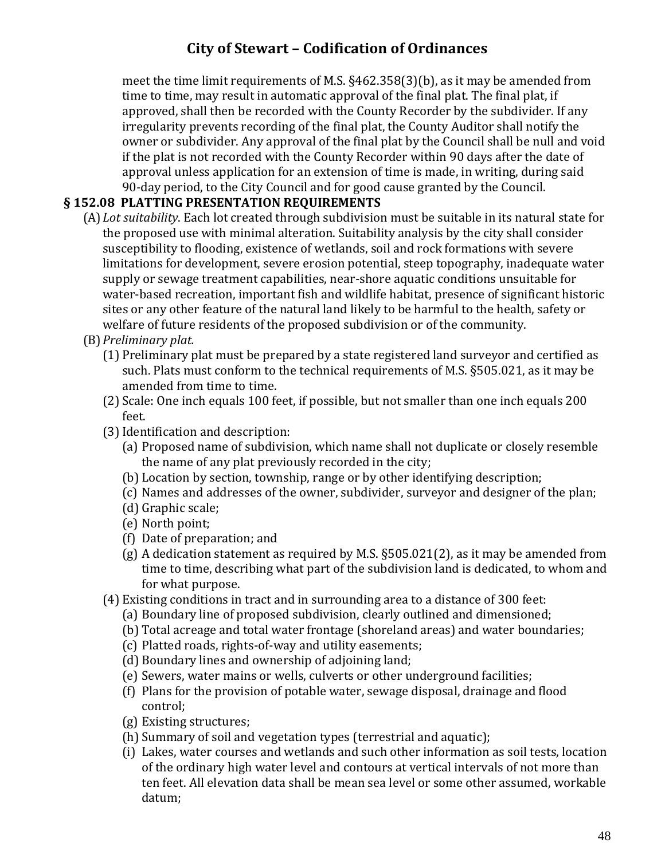meet the time limit requirements of M.S. §462.358(3)(b), as it may be amended from time to time, may result in automatic approval of the final plat. The final plat, if approved, shall then be recorded with the County Recorder by the subdivider. If any irregularity prevents recording of the final plat, the County Auditor shall notify the owner or subdivider. Any approval of the final plat by the Council shall be null and void if the plat is not recorded with the County Recorder within 90 days after the date of approval unless application for an extension of time is made, in writing, during said 90-day period, to the City Council and for good cause granted by the Council.

#### **§ 152.08 PLATTING PRESENTATION REQUIREMENTS**

- (A)*Lot suitability*. Each lot created through subdivision must be suitable in its natural state for the proposed use with minimal alteration. Suitability analysis by the city shall consider susceptibility to flooding, existence of wetlands, soil and rock formations with severe limitations for development, severe erosion potential, steep topography, inadequate water supply or sewage treatment capabilities, near-shore aquatic conditions unsuitable for water-based recreation, important fish and wildlife habitat, presence of significant historic sites or any other feature of the natural land likely to be harmful to the health, safety or welfare of future residents of the proposed subdivision or of the community.
- (B)*Preliminary plat.*
	- (1) Preliminary plat must be prepared by a state registered land surveyor and certified as such. Plats must conform to the technical requirements of M.S. §505.021, as it may be amended from time to time.
	- (2) Scale: One inch equals 100 feet, if possible, but not smaller than one inch equals 200 feet.
	- (3)Identification and description:
		- (a) Proposed name of subdivision, which name shall not duplicate or closely resemble the name of any plat previously recorded in the city;
		- (b) Location by section, township, range or by other identifying description;
		- (c) Names and addresses of the owner, subdivider, surveyor and designer of the plan;
		- (d) Graphic scale;
		- (e) North point;
		- (f) Date of preparation; and
		- (g) A dedication statement as required by M.S. §505.021(2), as it may be amended from time to time, describing what part of the subdivision land is dedicated, to whom and for what purpose.
	- (4) Existing conditions in tract and in surrounding area to a distance of 300 feet:
		- (a) Boundary line of proposed subdivision, clearly outlined and dimensioned;
		- (b) Total acreage and total water frontage (shoreland areas) and water boundaries;
		- (c) Platted roads, rights-of-way and utility easements;
		- (d) Boundary lines and ownership of adjoining land;
		- (e) Sewers, water mains or wells, culverts or other underground facilities;
		- (f) Plans for the provision of potable water, sewage disposal, drainage and flood control;
		- (g) Existing structures;
		- (h) Summary of soil and vegetation types (terrestrial and aquatic);
		- (i) Lakes, water courses and wetlands and such other information as soil tests, location of the ordinary high water level and contours at vertical intervals of not more than ten feet. All elevation data shall be mean sea level or some other assumed, workable datum;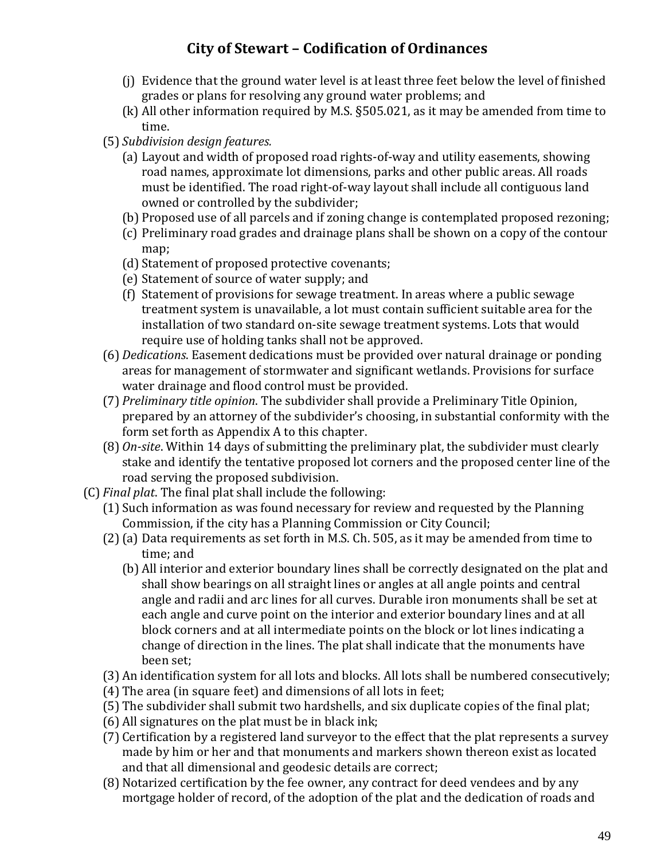- (j) Evidence that the ground water level is at least three feet below the level of finished grades or plans for resolving any ground water problems; and
- (k) All other information required by M.S. §505.021, as it may be amended from time to time.
- (5) *Subdivision design features.*
	- (a) Layout and width of proposed road rights-of-way and utility easements, showing road names, approximate lot dimensions, parks and other public areas. All roads must be identified. The road right-of-way layout shall include all contiguous land owned or controlled by the subdivider;
	- (b) Proposed use of all parcels and if zoning change is contemplated proposed rezoning;
	- (c) Preliminary road grades and drainage plans shall be shown on a copy of the contour map;
	- (d) Statement of proposed protective covenants;
	- (e) Statement of source of water supply; and
	- (f) Statement of provisions for sewage treatment. In areas where a public sewage treatment system is unavailable, a lot must contain sufficient suitable area for the installation of two standard on-site sewage treatment systems. Lots that would require use of holding tanks shall not be approved.
- (6) *Dedications*. Easement dedications must be provided over natural drainage or ponding areas for management of stormwater and significant wetlands. Provisions for surface water drainage and flood control must be provided.
- (7) *Preliminary title opinion*. The subdivider shall provide a Preliminary Title Opinion, prepared by an attorney of the subdivider's choosing, in substantial conformity with the form set forth as Appendix A to this chapter.
- (8) *On-site*. Within 14 days of submitting the preliminary plat, the subdivider must clearly stake and identify the tentative proposed lot corners and the proposed center line of the road serving the proposed subdivision.
- (C) *Final plat*. The final plat shall include the following:
	- (1) Such information as was found necessary for review and requested by the Planning Commission, if the city has a Planning Commission or City Council;
	- (2)(a) Data requirements as set forth in M.S. Ch. 505, as it may be amended from time to time; and
		- (b) All interior and exterior boundary lines shall be correctly designated on the plat and shall show bearings on all straight lines or angles at all angle points and central angle and radii and arc lines for all curves. Durable iron monuments shall be set at each angle and curve point on the interior and exterior boundary lines and at all block corners and at all intermediate points on the block or lot lines indicating a change of direction in the lines. The plat shall indicate that the monuments have been set;
	- (3) An identification system for all lots and blocks. All lots shall be numbered consecutively;
	- (4) The area (in square feet) and dimensions of all lots in feet;
	- (5) The subdivider shall submit two hardshells, and six duplicate copies of the final plat;
	- (6) All signatures on the plat must be in black ink;
	- (7) Certification by a registered land surveyor to the effect that the plat represents a survey made by him or her and that monuments and markers shown thereon exist as located and that all dimensional and geodesic details are correct;
	- (8) Notarized certification by the fee owner, any contract for deed vendees and by any mortgage holder of record, of the adoption of the plat and the dedication of roads and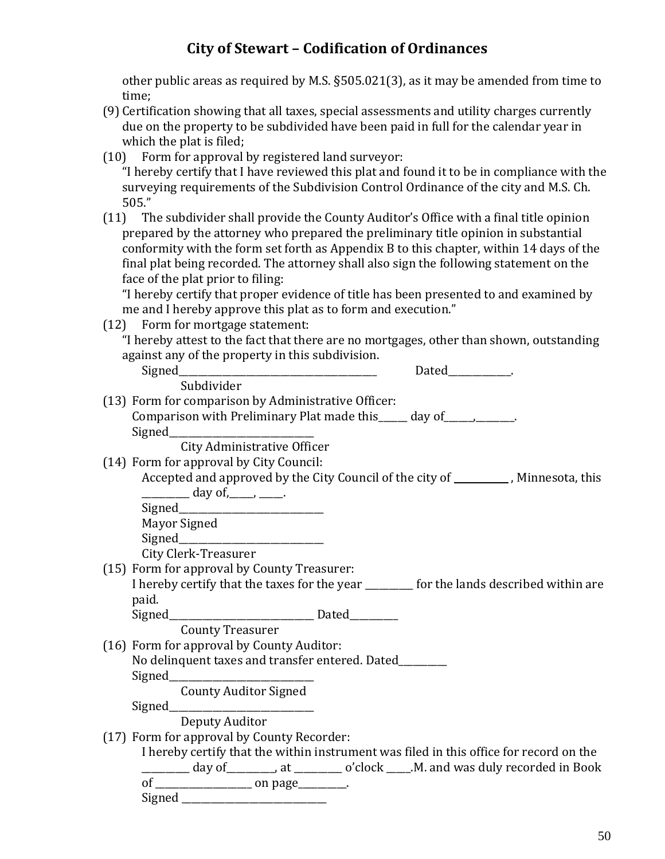other public areas as required by M.S. §505.021(3), as it may be amended from time to time;

- (9) Certification showing that all taxes, special assessments and utility charges currently due on the property to be subdivided have been paid in full for the calendar year in which the plat is filed;
- (10) Form for approval by registered land surveyor:

"I hereby certify that I have reviewed this plat and found it to be in compliance with the surveying requirements of the Subdivision Control Ordinance of the city and M.S. Ch. 505."

(11) The subdivider shall provide the County Auditor's Office with a final title opinion prepared by the attorney who prepared the preliminary title opinion in substantial conformity with the form set forth as Appendix B to this chapter, within 14 days of the final plat being recorded. The attorney shall also sign the following statement on the face of the plat prior to filing:

"I hereby certify that proper evidence of title has been presented to and examined by me and I hereby approve this plat as to form and execution."

(12) Form for mortgage statement:

"I hereby attest to the fact that there are no mortgages, other than shown, outstanding against any of the property in this subdivision.

|                                                                                          | Dated . |
|------------------------------------------------------------------------------------------|---------|
| Subdivider                                                                               |         |
| (13) Form for comparison by Administrative Officer:                                      |         |
| Comparison with Preliminary Plat made this _____ day of ____________.                    |         |
|                                                                                          |         |
| City Administrative Officer                                                              |         |
| (14) Form for approval by City Council:                                                  |         |
| Accepted and approved by the City Council of the city of ___________, Minnesota, this    |         |
| $\frac{1}{\sqrt{2}}$ day of, _____, _____.                                               |         |
|                                                                                          |         |
| Mayor Signed                                                                             |         |
|                                                                                          |         |
| City Clerk-Treasurer                                                                     |         |
| (15) Form for approval by County Treasurer:                                              |         |
| I hereby certify that the taxes for the year ________ for the lands described within are |         |
| paid.                                                                                    |         |
|                                                                                          |         |
| <b>County Treasurer</b>                                                                  |         |
| (16) Form for approval by County Auditor:                                                |         |
| No delinquent taxes and transfer entered. Dated_______                                   |         |
|                                                                                          |         |
| <b>County Auditor Signed</b>                                                             |         |
|                                                                                          |         |
| Deputy Auditor                                                                           |         |
| (17) Form for approval by County Recorder:                                               |         |
| I hereby certify that the within instrument was filed in this office for record on the   |         |
| day of ________, at _______ o'clock ____.M. and was duly recorded in Book                |         |
|                                                                                          |         |
|                                                                                          |         |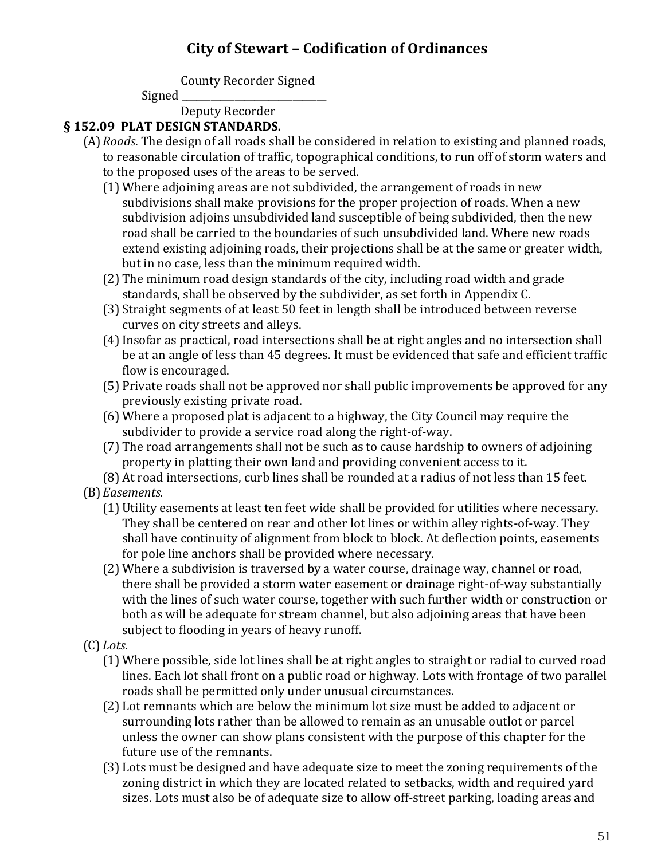County Recorder Signed

Signed

Deputy Recorder

#### **§ 152.09 PLAT DESIGN STANDARDS.**

- (A)*Roads*. The design of all roads shall be considered in relation to existing and planned roads, to reasonable circulation of traffic, topographical conditions, to run off of storm waters and to the proposed uses of the areas to be served.
	- (1) Where adjoining areas are not subdivided, the arrangement of roads in new subdivisions shall make provisions for the proper projection of roads. When a new subdivision adjoins unsubdivided land susceptible of being subdivided, then the new road shall be carried to the boundaries of such unsubdivided land. Where new roads extend existing adjoining roads, their projections shall be at the same or greater width, but in no case, less than the minimum required width.
	- (2) The minimum road design standards of the city, including road width and grade standards, shall be observed by the subdivider, as set forth in Appendix C.
	- (3) Straight segments of at least 50 feet in length shall be introduced between reverse curves on city streets and alleys.
	- (4)Insofar as practical, road intersections shall be at right angles and no intersection shall be at an angle of less than 45 degrees. It must be evidenced that safe and efficient traffic flow is encouraged.
	- (5) Private roads shall not be approved nor shall public improvements be approved for any previously existing private road.
	- (6) Where a proposed plat is adjacent to a highway, the City Council may require the subdivider to provide a service road along the right-of-way.
	- (7) The road arrangements shall not be such as to cause hardship to owners of adjoining property in platting their own land and providing convenient access to it.

(8) At road intersections, curb lines shall be rounded at a radius of not less than 15 feet. (B)*Easements.*

- (1) Utility easements at least ten feet wide shall be provided for utilities where necessary. They shall be centered on rear and other lot lines or within alley rights-of-way. They shall have continuity of alignment from block to block. At deflection points, easements for pole line anchors shall be provided where necessary.
- (2) Where a subdivision is traversed by a water course, drainage way, channel or road, there shall be provided a storm water easement or drainage right-of-way substantially with the lines of such water course, together with such further width or construction or both as will be adequate for stream channel, but also adjoining areas that have been subject to flooding in years of heavy runoff.
- (C) *Lots.*
	- (1) Where possible, side lot lines shall be at right angles to straight or radial to curved road lines. Each lot shall front on a public road or highway. Lots with frontage of two parallel roads shall be permitted only under unusual circumstances.
	- (2) Lot remnants which are below the minimum lot size must be added to adjacent or surrounding lots rather than be allowed to remain as an unusable outlot or parcel unless the owner can show plans consistent with the purpose of this chapter for the future use of the remnants.
	- (3) Lots must be designed and have adequate size to meet the zoning requirements of the zoning district in which they are located related to setbacks, width and required yard sizes. Lots must also be of adequate size to allow off-street parking, loading areas and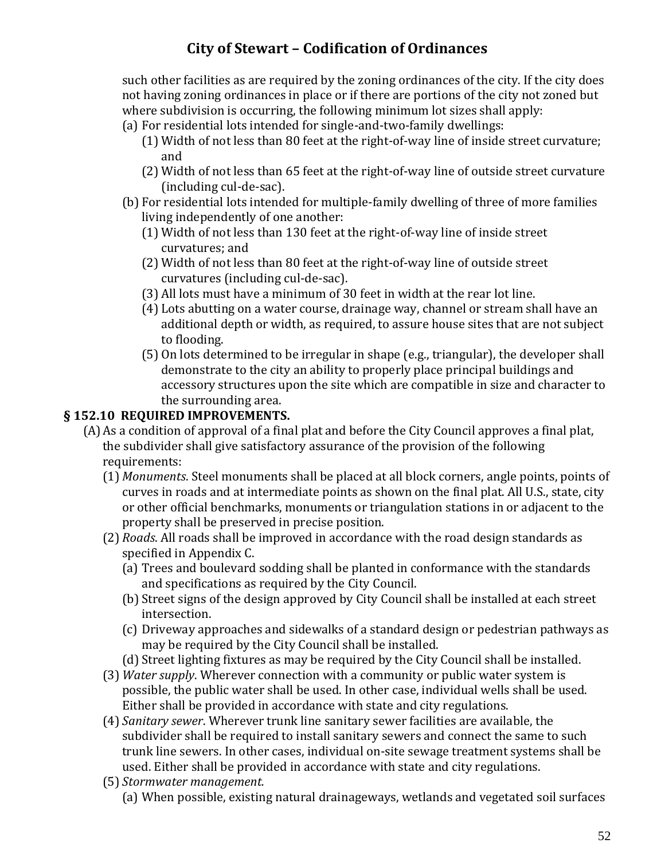such other facilities as are required by the zoning ordinances of the city. If the city does not having zoning ordinances in place or if there are portions of the city not zoned but where subdivision is occurring, the following minimum lot sizes shall apply:

- (a) For residential lots intended for single-and-two-family dwellings:
	- (1) Width of not less than 80 feet at the right-of-way line of inside street curvature; and
	- (2) Width of not less than 65 feet at the right-of-way line of outside street curvature (including cul-de-sac).
- (b) For residential lots intended for multiple-family dwelling of three of more families living independently of one another:
	- (1) Width of not less than 130 feet at the right-of-way line of inside street curvatures; and
	- (2) Width of not less than 80 feet at the right-of-way line of outside street curvatures (including cul-de-sac).
	- (3) All lots must have a minimum of 30 feet in width at the rear lot line.
	- (4) Lots abutting on a water course, drainage way, channel or stream shall have an additional depth or width, as required, to assure house sites that are not subject to flooding.
	- (5) On lots determined to be irregular in shape (e.g., triangular), the developer shall demonstrate to the city an ability to properly place principal buildings and accessory structures upon the site which are compatible in size and character to the surrounding area.

#### **§ 152.10 REQUIRED IMPROVEMENTS.**

- (A)As a condition of approval of a final plat and before the City Council approves a final plat, the subdivider shall give satisfactory assurance of the provision of the following requirements:
	- (1) *Monuments*. Steel monuments shall be placed at all block corners, angle points, points of curves in roads and at intermediate points as shown on the final plat. All U.S., state, city or other official benchmarks, monuments or triangulation stations in or adjacent to the property shall be preserved in precise position.
	- (2) *Roads*. All roads shall be improved in accordance with the road design standards as specified in Appendix C.
		- (a) Trees and boulevard sodding shall be planted in conformance with the standards and specifications as required by the City Council.
		- (b) Street signs of the design approved by City Council shall be installed at each street intersection.
		- (c) Driveway approaches and sidewalks of a standard design or pedestrian pathways as may be required by the City Council shall be installed.
		- (d) Street lighting fixtures as may be required by the City Council shall be installed.
	- (3) *Water supply*. Wherever connection with a community or public water system is possible, the public water shall be used. In other case, individual wells shall be used. Either shall be provided in accordance with state and city regulations.
	- (4) *Sanitary sewer*. Wherever trunk line sanitary sewer facilities are available, the subdivider shall be required to install sanitary sewers and connect the same to such trunk line sewers. In other cases, individual on-site sewage treatment systems shall be used. Either shall be provided in accordance with state and city regulations.
	- (5) *Stormwater management.*
		- (a) When possible, existing natural drainageways, wetlands and vegetated soil surfaces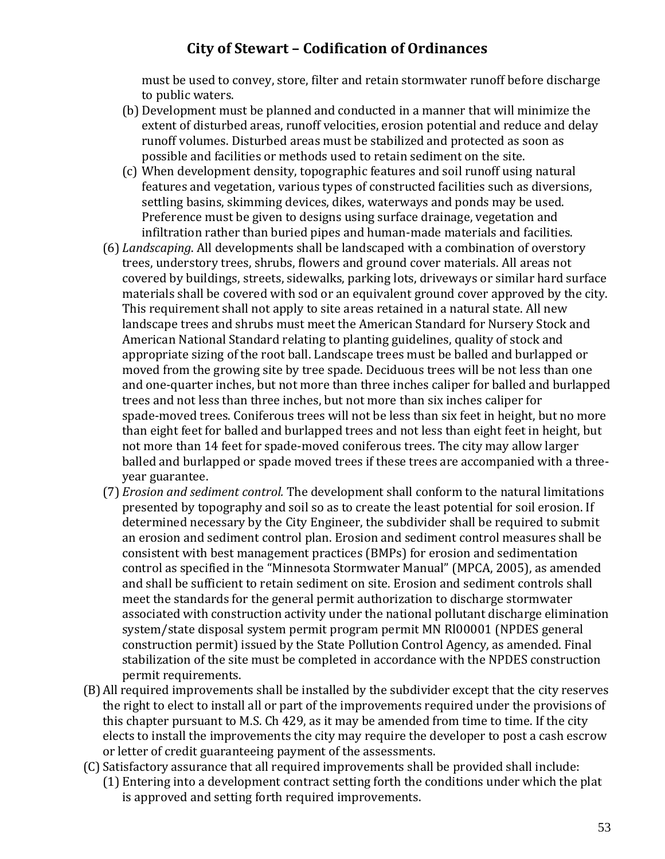must be used to convey, store, filter and retain stormwater runoff before discharge to public waters.

- (b) Development must be planned and conducted in a manner that will minimize the extent of disturbed areas, runoff velocities, erosion potential and reduce and delay runoff volumes. Disturbed areas must be stabilized and protected as soon as possible and facilities or methods used to retain sediment on the site.
- (c) When development density, topographic features and soil runoff using natural features and vegetation, various types of constructed facilities such as diversions, settling basins, skimming devices, dikes, waterways and ponds may be used. Preference must be given to designs using surface drainage, vegetation and infiltration rather than buried pipes and human-made materials and facilities.
- (6) *Landscaping*. All developments shall be landscaped with a combination of overstory trees, understory trees, shrubs, flowers and ground cover materials. All areas not covered by buildings, streets, sidewalks, parking lots, driveways or similar hard surface materials shall be covered with sod or an equivalent ground cover approved by the city. This requirement shall not apply to site areas retained in a natural state. All new landscape trees and shrubs must meet the American Standard for Nursery Stock and American National Standard relating to planting guidelines, quality of stock and appropriate sizing of the root ball. Landscape trees must be balled and burlapped or moved from the growing site by tree spade. Deciduous trees will be not less than one and one-quarter inches, but not more than three inches caliper for balled and burlapped trees and not less than three inches, but not more than six inches caliper for spade-moved trees. Coniferous trees will not be less than six feet in height, but no more than eight feet for balled and burlapped trees and not less than eight feet in height, but not more than 14 feet for spade-moved coniferous trees. The city may allow larger balled and burlapped or spade moved trees if these trees are accompanied with a threeyear guarantee.
- (7) *Erosion and sediment control.* The development shall conform to the natural limitations presented by topography and soil so as to create the least potential for soil erosion. If determined necessary by the City Engineer, the subdivider shall be required to submit an erosion and sediment control plan. Erosion and sediment control measures shall be consistent with best management practices (BMPs) for erosion and sedimentation control as specified in the "Minnesota Stormwater Manual" (MPCA, 2005), as amended and shall be sufficient to retain sediment on site. Erosion and sediment controls shall meet the standards for the general permit authorization to discharge stormwater associated with construction activity under the national pollutant discharge elimination system/state disposal system permit program permit MN Rl00001 (NPDES general construction permit) issued by the State Pollution Control Agency, as amended. Final stabilization of the site must be completed in accordance with the NPDES construction permit requirements.
- (B)All required improvements shall be installed by the subdivider except that the city reserves the right to elect to install all or part of the improvements required under the provisions of this chapter pursuant to M.S. Ch 429, as it may be amended from time to time. If the city elects to install the improvements the city may require the developer to post a cash escrow or letter of credit guaranteeing payment of the assessments.
- (C)Satisfactory assurance that all required improvements shall be provided shall include: (1) Entering into a development contract setting forth the conditions under which the plat is approved and setting forth required improvements.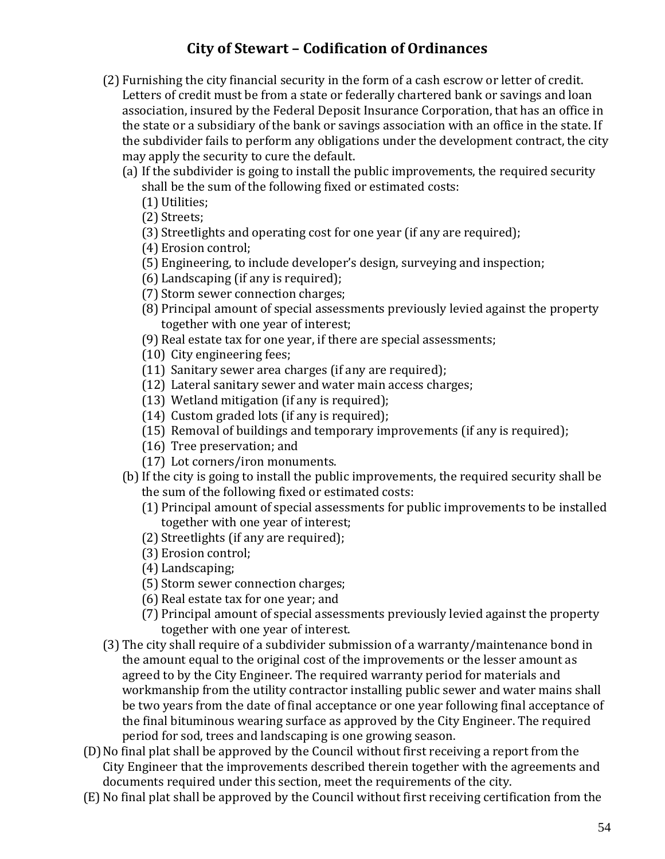- (2) Furnishing the city financial security in the form of a cash escrow or letter of credit. Letters of credit must be from a state or federally chartered bank or savings and loan association, insured by the Federal Deposit Insurance Corporation, that has an office in the state or a subsidiary of the bank or savings association with an office in the state. If the subdivider fails to perform any obligations under the development contract, the city may apply the security to cure the default.
	- (a) If the subdivider is going to install the public improvements, the required security shall be the sum of the following fixed or estimated costs:
		- (1) Utilities;

(2) Streets;

- (3) Streetlights and operating cost for one year (if any are required);
- (4) Erosion control;
- (5) Engineering, to include developer's design, surveying and inspection;
- (6) Landscaping (if any is required);
- (7) Storm sewer connection charges;
- (8) Principal amount of special assessments previously levied against the property together with one year of interest;
- (9) Real estate tax for one year, if there are special assessments;
- (10) City engineering fees;
- (11) Sanitary sewer area charges (if any are required);
- (12) Lateral sanitary sewer and water main access charges;
- (13) Wetland mitigation (if any is required);
- (14) Custom graded lots (if any is required);
- (15) Removal of buildings and temporary improvements (if any is required);
- (16) Tree preservation; and
- (17) Lot corners/iron monuments.
- (b)If the city is going to install the public improvements, the required security shall be the sum of the following fixed or estimated costs:
	- (1) Principal amount of special assessments for public improvements to be installed together with one year of interest;
	- (2) Streetlights (if any are required);
	- (3) Erosion control;
	- (4) Landscaping;
	- (5) Storm sewer connection charges;
	- (6) Real estate tax for one year; and
	- (7) Principal amount of special assessments previously levied against the property together with one year of interest.
- (3) The city shall require of a subdivider submission of a warranty/maintenance bond in the amount equal to the original cost of the improvements or the lesser amount as agreed to by the City Engineer. The required warranty period for materials and workmanship from the utility contractor installing public sewer and water mains shall be two years from the date of final acceptance or one year following final acceptance of the final bituminous wearing surface as approved by the City Engineer. The required period for sod, trees and landscaping is one growing season.
- (D)No final plat shall be approved by the Council without first receiving a report from the City Engineer that the improvements described therein together with the agreements and documents required under this section, meet the requirements of the city.
- (E)No final plat shall be approved by the Council without first receiving certification from the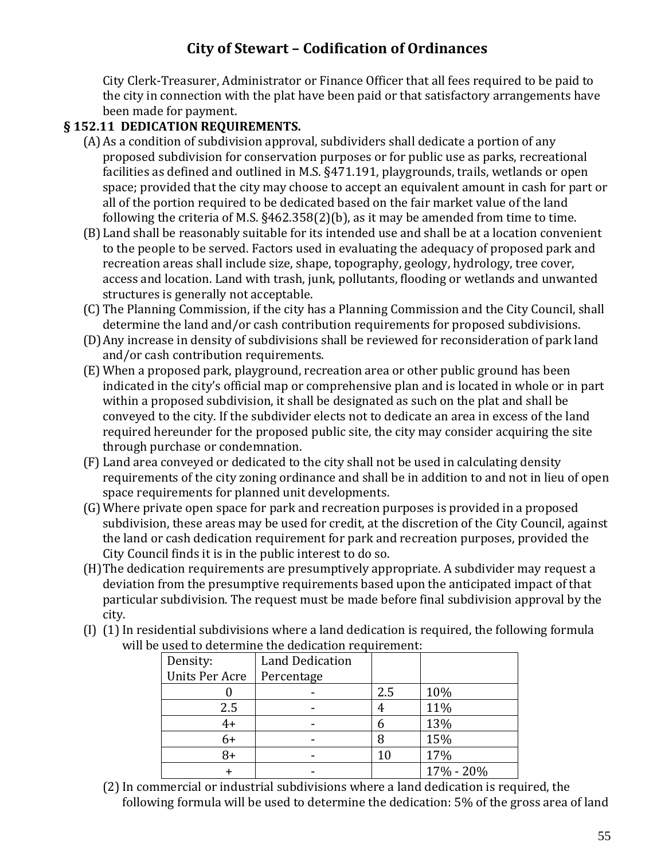City Clerk-Treasurer, Administrator or Finance Officer that all fees required to be paid to the city in connection with the plat have been paid or that satisfactory arrangements have been made for payment.

#### **§ 152.11 DEDICATION REQUIREMENTS.**

- (A)As a condition of subdivision approval, subdividers shall dedicate a portion of any proposed subdivision for conservation purposes or for public use as parks, recreational facilities as defined and outlined in M.S. §471.191, playgrounds, trails, wetlands or open space; provided that the city may choose to accept an equivalent amount in cash for part or all of the portion required to be dedicated based on the fair market value of the land following the criteria of M.S. §462.358(2)(b), as it may be amended from time to time.
- (B)Land shall be reasonably suitable for its intended use and shall be at a location convenient to the people to be served. Factors used in evaluating the adequacy of proposed park and recreation areas shall include size, shape, topography, geology, hydrology, tree cover, access and location. Land with trash, junk, pollutants, flooding or wetlands and unwanted structures is generally not acceptable.
- (C) The Planning Commission, if the city has a Planning Commission and the City Council, shall determine the land and/or cash contribution requirements for proposed subdivisions.
- (D)Any increase in density of subdivisions shall be reviewed for reconsideration of park land and/or cash contribution requirements.
- (E) When a proposed park, playground, recreation area or other public ground has been indicated in the city's official map or comprehensive plan and is located in whole or in part within a proposed subdivision, it shall be designated as such on the plat and shall be conveyed to the city. If the subdivider elects not to dedicate an area in excess of the land required hereunder for the proposed public site, the city may consider acquiring the site through purchase or condemnation.
- (F) Land area conveyed or dedicated to the city shall not be used in calculating density requirements of the city zoning ordinance and shall be in addition to and not in lieu of open space requirements for planned unit developments.
- (G)Where private open space for park and recreation purposes is provided in a proposed subdivision, these areas may be used for credit, at the discretion of the City Council, against the land or cash dedication requirement for park and recreation purposes, provided the City Council finds it is in the public interest to do so.
- (H)The dedication requirements are presumptively appropriate. A subdivider may request a deviation from the presumptive requirements based upon the anticipated impact of that particular subdivision. The request must be made before final subdivision approval by the city.
- $(I)$  (1) In residential subdivisions where a land dedication is required, the following formula will be used to determine the dedication requirement:

| Density:              | <b>Land Dedication</b> |     |           |
|-----------------------|------------------------|-----|-----------|
| <b>Units Per Acre</b> | Percentage             |     |           |
|                       |                        | 2.5 | 10%       |
| 2.5                   |                        | 4   | 11%       |
| $4+$                  |                        | h   | 13%       |
| $6+$                  |                        | 8   | 15%       |
| 8+                    |                        |     | 17%       |
|                       |                        |     | 17% - 20% |

(2)In commercial or industrial subdivisions where a land dedication is required, the following formula will be used to determine the dedication: 5% of the gross area of land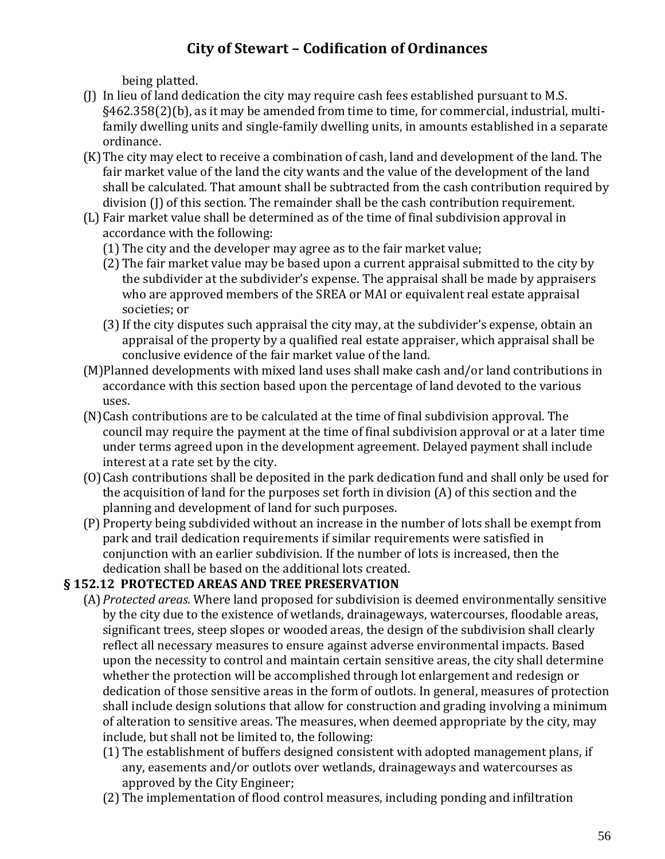being platted.

- (J) In lieu of land dedication the city may require cash fees established pursuant to M.S. §462.358(2)(b), as it may be amended from time to time, for commercial, industrial, multifamily dwelling units and single-family dwelling units, in amounts established in a separate ordinance.
- (K)The city may elect to receive a combination of cash, land and development of the land. The fair market value of the land the city wants and the value of the development of the land shall be calculated. That amount shall be subtracted from the cash contribution required by division (J) of this section. The remainder shall be the cash contribution requirement.
- (L) Fair market value shall be determined as of the time of final subdivision approval in accordance with the following:
	- (1) The city and the developer may agree as to the fair market value;
	- (2) The fair market value may be based upon a current appraisal submitted to the city by the subdivider at the subdivider's expense. The appraisal shall be made by appraisers who are approved members of the SREA or MAI or equivalent real estate appraisal societies; or
	- (3)If the city disputes such appraisal the city may, at the subdivider's expense, obtain an appraisal of the property by a qualified real estate appraiser, which appraisal shall be conclusive evidence of the fair market value of the land.
- (M)Planned developments with mixed land uses shall make cash and/or land contributions in accordance with this section based upon the percentage of land devoted to the various uses.
- (N)Cash contributions are to be calculated at the time of final subdivision approval. The council may require the payment at the time of final subdivision approval or at a later time under terms agreed upon in the development agreement. Delayed payment shall include interest at a rate set by the city.
- (O)Cash contributions shall be deposited in the park dedication fund and shall only be used for the acquisition of land for the purposes set forth in division (A) of this section and the planning and development of land for such purposes.
- (P) Property being subdivided without an increase in the number of lots shall be exempt from park and trail dedication requirements if similar requirements were satisfied in conjunction with an earlier subdivision. If the number of lots is increased, then the dedication shall be based on the additional lots created.

### **§ 152.12 PROTECTED AREAS AND TREE PRESERVATION**

- (A)*Protected areas*. Where land proposed for subdivision is deemed environmentally sensitive by the city due to the existence of wetlands, drainageways, watercourses, floodable areas, significant trees, steep slopes or wooded areas, the design of the subdivision shall clearly reflect all necessary measures to ensure against adverse environmental impacts. Based upon the necessity to control and maintain certain sensitive areas, the city shall determine whether the protection will be accomplished through lot enlargement and redesign or dedication of those sensitive areas in the form of outlots. In general, measures of protection shall include design solutions that allow for construction and grading involving a minimum of alteration to sensitive areas. The measures, when deemed appropriate by the city, may include, but shall not be limited to, the following:
	- (1) The establishment of buffers designed consistent with adopted management plans, if any, easements and/or outlots over wetlands, drainageways and watercourses as approved by the City Engineer;
	- (2) The implementation of flood control measures, including ponding and infiltration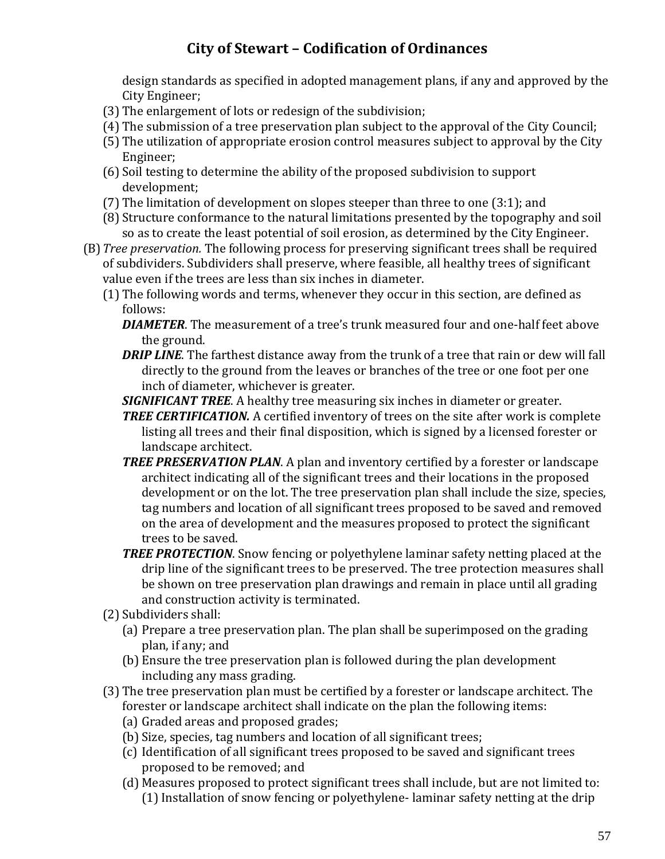design standards as specified in adopted management plans, if any and approved by the City Engineer;

- (3) The enlargement of lots or redesign of the subdivision;
- (4) The submission of a tree preservation plan subject to the approval of the City Council;
- (5) The utilization of appropriate erosion control measures subject to approval by the City Engineer;
- (6) Soil testing to determine the ability of the proposed subdivision to support development;
- (7) The limitation of development on slopes steeper than three to one (3:1); and
- (8) Structure conformance to the natural limitations presented by the topography and soil so as to create the least potential of soil erosion, as determined by the City Engineer.
- (B)*Tree preservation.* The following process for preserving significant trees shall be required of subdividers. Subdividers shall preserve, where feasible, all healthy trees of significant value even if the trees are less than six inches in diameter.
	- (1) The following words and terms, whenever they occur in this section, are defined as follows:
		- *DIAMETER*. The measurement of a tree's trunk measured four and one-half feet above the ground.
		- **DRIP LINE**. The farthest distance away from the trunk of a tree that rain or dew will fall directly to the ground from the leaves or branches of the tree or one foot per one inch of diameter, whichever is greater.
		- *SIGNIFICANT TREE*. A healthy tree measuring six inches in diameter or greater.
		- **TREE CERTIFICATION.** A certified inventory of trees on the site after work is complete listing all trees and their final disposition, which is signed by a licensed forester or landscape architect.
		- *TREE PRESERVATION PLAN*. A plan and inventory certified by a forester or landscape architect indicating all of the significant trees and their locations in the proposed development or on the lot. The tree preservation plan shall include the size, species, tag numbers and location of all significant trees proposed to be saved and removed on the area of development and the measures proposed to protect the significant trees to be saved.
		- *TREE PROTECTION*. Snow fencing or polyethylene laminar safety netting placed at the drip line of the significant trees to be preserved. The tree protection measures shall be shown on tree preservation plan drawings and remain in place until all grading and construction activity is terminated.
	- (2) Subdividers shall:
		- (a) Prepare a tree preservation plan. The plan shall be superimposed on the grading plan, if any; and
		- (b) Ensure the tree preservation plan is followed during the plan development including any mass grading.
	- (3) The tree preservation plan must be certified by a forester or landscape architect. The forester or landscape architect shall indicate on the plan the following items:
		- (a) Graded areas and proposed grades;
		- (b) Size, species, tag numbers and location of all significant trees;
		- (c) Identification of all significant trees proposed to be saved and significant trees proposed to be removed; and
		- (d) Measures proposed to protect significant trees shall include, but are not limited to: (1) Installation of snow fencing or polyethylene-laminar safety netting at the drip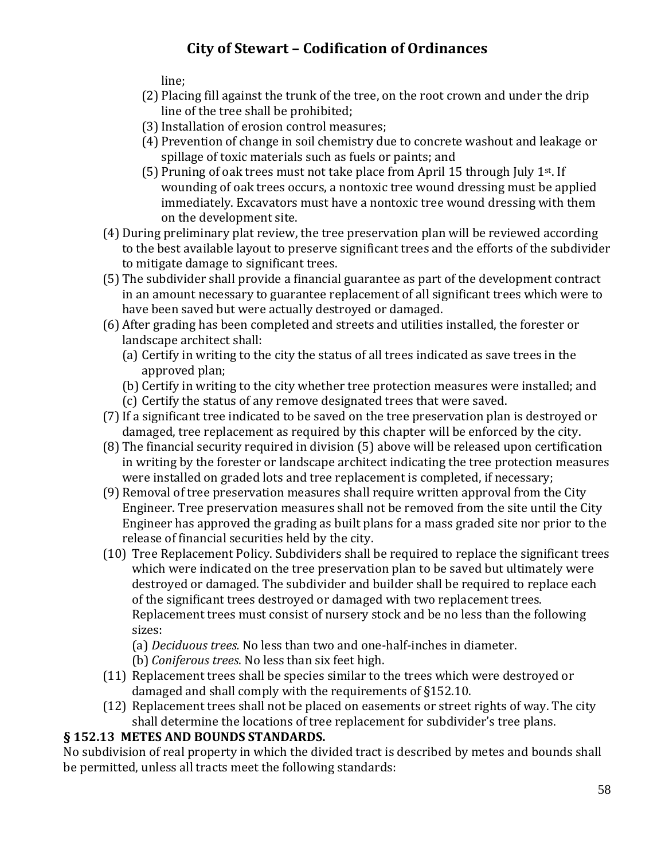line;

- (2) Placing fill against the trunk of the tree, on the root crown and under the drip line of the tree shall be prohibited;
- (3)Installation of erosion control measures;
- (4) Prevention of change in soil chemistry due to concrete washout and leakage or spillage of toxic materials such as fuels or paints; and
- (5) Pruning of oak trees must not take place from April 15 through July 1<sup>st</sup>. If wounding of oak trees occurs, a nontoxic tree wound dressing must be applied immediately. Excavators must have a nontoxic tree wound dressing with them on the development site.
- (4) During preliminary plat review, the tree preservation plan will be reviewed according to the best available layout to preserve significant trees and the efforts of the subdivider to mitigate damage to significant trees.
- (5) The subdivider shall provide a financial guarantee as part of the development contract in an amount necessary to guarantee replacement of all significant trees which were to have been saved but were actually destroyed or damaged.
- (6) After grading has been completed and streets and utilities installed, the forester or landscape architect shall:
	- (a) Certify in writing to the city the status of all trees indicated as save trees in the approved plan;
	- (b) Certify in writing to the city whether tree protection measures were installed; and
	- (c) Certify the status of any remove designated trees that were saved.
- (7)If a significant tree indicated to be saved on the tree preservation plan is destroyed or damaged, tree replacement as required by this chapter will be enforced by the city.
- (8) The financial security required in division (5) above will be released upon certification in writing by the forester or landscape architect indicating the tree protection measures were installed on graded lots and tree replacement is completed, if necessary;
- (9) Removal of tree preservation measures shall require written approval from the City Engineer. Tree preservation measures shall not be removed from the site until the City Engineer has approved the grading as built plans for a mass graded site nor prior to the release of financial securities held by the city.
- (10) Tree Replacement Policy. Subdividers shall be required to replace the significant trees which were indicated on the tree preservation plan to be saved but ultimately were destroyed or damaged. The subdivider and builder shall be required to replace each of the significant trees destroyed or damaged with two replacement trees. Replacement trees must consist of nursery stock and be no less than the following sizes:
	- (a) *Deciduous trees.* No less than two and one-half-inches in diameter.
	- (b) *Coniferous trees*. No less than six feet high.
- (11) Replacement trees shall be species similar to the trees which were destroyed or damaged and shall comply with the requirements of §152.10.
- (12) Replacement trees shall not be placed on easements or street rights of way. The city shall determine the locations of tree replacement for subdivider's tree plans.

### **§ 152.13 METES AND BOUNDS STANDARDS.**

No subdivision of real property in which the divided tract is described by metes and bounds shall be permitted, unless all tracts meet the following standards: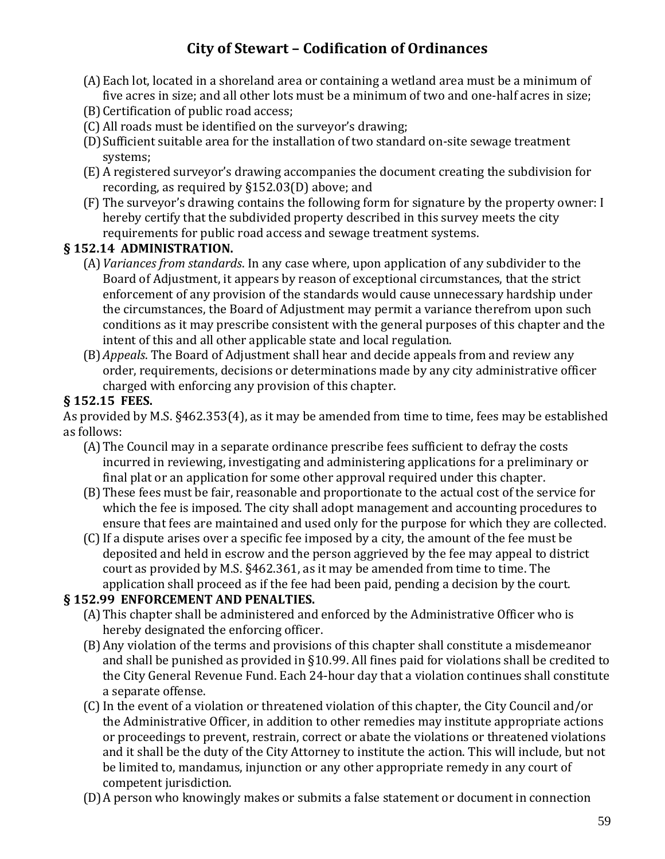- (A)Each lot, located in a shoreland area or containing a wetland area must be a minimum of five acres in size; and all other lots must be a minimum of two and one-half acres in size;
- (B)Certification of public road access;
- (C) All roads must be identified on the surveyor's drawing;
- (D)Sufficient suitable area for the installation of two standard on-site sewage treatment systems;
- (E) A registered surveyor's drawing accompanies the document creating the subdivision for recording, as required by §152.03(D) above; and
- (F) The surveyor's drawing contains the following form for signature by the property owner: I hereby certify that the subdivided property described in this survey meets the city requirements for public road access and sewage treatment systems.

#### **§ 152.14 ADMINISTRATION.**

- (A)*Variances from standards*. In any case where, upon application of any subdivider to the Board of Adjustment, it appears by reason of exceptional circumstances, that the strict enforcement of any provision of the standards would cause unnecessary hardship under the circumstances, the Board of Adjustment may permit a variance therefrom upon such conditions as it may prescribe consistent with the general purposes of this chapter and the intent of this and all other applicable state and local regulation.
- (B)*Appeals*. The Board of Adjustment shall hear and decide appeals from and review any order, requirements, decisions or determinations made by any city administrative officer charged with enforcing any provision of this chapter.

#### **§ 152.15 FEES.**

As provided by M.S. §462.353(4), as it may be amended from time to time, fees may be established as follows:

- (A)The Council may in a separate ordinance prescribe fees sufficient to defray the costs incurred in reviewing, investigating and administering applications for a preliminary or final plat or an application for some other approval required under this chapter.
- (B)These fees must be fair, reasonable and proportionate to the actual cost of the service for which the fee is imposed. The city shall adopt management and accounting procedures to ensure that fees are maintained and used only for the purpose for which they are collected.
- (C)If a dispute arises over a specific fee imposed by a city, the amount of the fee must be deposited and held in escrow and the person aggrieved by the fee may appeal to district court as provided by M.S. §462.361, as it may be amended from time to time. The application shall proceed as if the fee had been paid, pending a decision by the court.

#### **§ 152.99 ENFORCEMENT AND PENALTIES.**

- (A)This chapter shall be administered and enforced by the Administrative Officer who is hereby designated the enforcing officer.
- (B)Any violation of the terms and provisions of this chapter shall constitute a misdemeanor and shall be punished as provided in §10.99. All fines paid for violations shall be credited to the City General Revenue Fund. Each 24-hour day that a violation continues shall constitute a separate offense.
- (C)In the event of a violation or threatened violation of this chapter, the City Council and/or the Administrative Officer, in addition to other remedies may institute appropriate actions or proceedings to prevent, restrain, correct or abate the violations or threatened violations and it shall be the duty of the City Attorney to institute the action. This will include, but not be limited to, mandamus, injunction or any other appropriate remedy in any court of competent jurisdiction.
- (D)A person who knowingly makes or submits a false statement or document in connection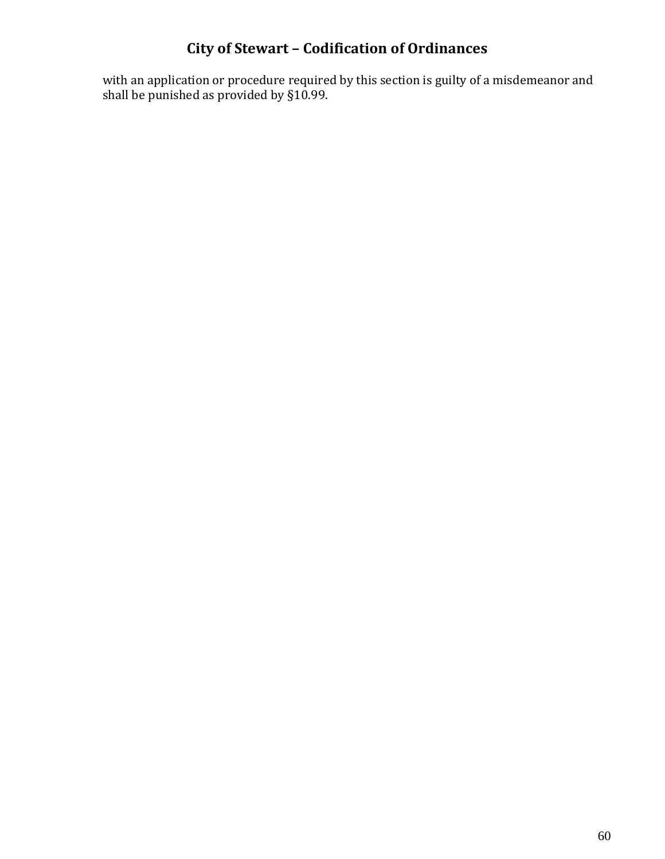with an application or procedure required by this section is guilty of a misdemeanor and shall be punished as provided by §10.99.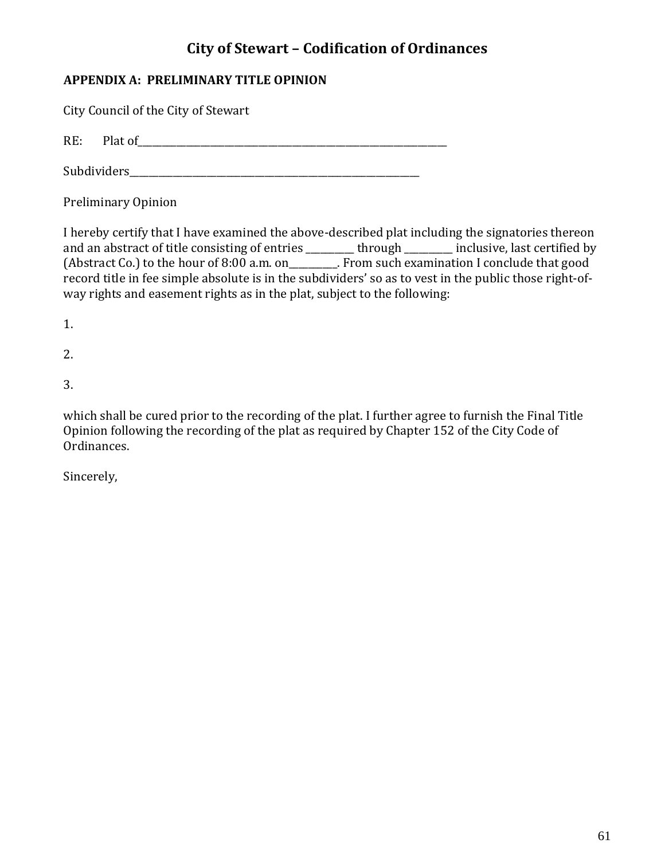### **APPENDIX A: PRELIMINARY TITLE OPINION**

City Council of the City of Stewart

RE: Plat of\_\_\_\_\_\_\_\_\_\_\_\_\_\_\_\_\_\_\_\_\_\_\_\_\_\_\_\_\_\_\_\_\_\_\_\_\_\_\_\_\_\_\_\_\_\_\_\_\_\_\_\_\_\_\_\_\_\_\_\_\_\_\_\_

Subdividers\_\_\_\_\_\_\_\_\_\_\_\_\_\_\_\_\_\_\_\_\_\_\_\_\_\_\_\_\_\_\_\_\_\_\_\_\_\_\_\_\_\_\_\_\_\_\_\_\_\_\_\_\_\_\_\_\_\_\_\_

Preliminary Opinion

I hereby certify that I have examined the above-described plat including the signatories thereon and an abstract of title consisting of entries \_\_\_\_\_\_\_\_ through \_\_\_\_\_\_\_ inclusive, last certified by (Abstract Co.) to the hour of 8:00 a.m. on\_\_\_\_\_\_\_\_\_\_. From such examination I conclude that good record title in fee simple absolute is in the subdividers' so as to vest in the public those right-ofway rights and easement rights as in the plat, subject to the following:

1.

2.

3.

which shall be cured prior to the recording of the plat. I further agree to furnish the Final Title Opinion following the recording of the plat as required by Chapter 152 of the City Code of Ordinances.

Sincerely,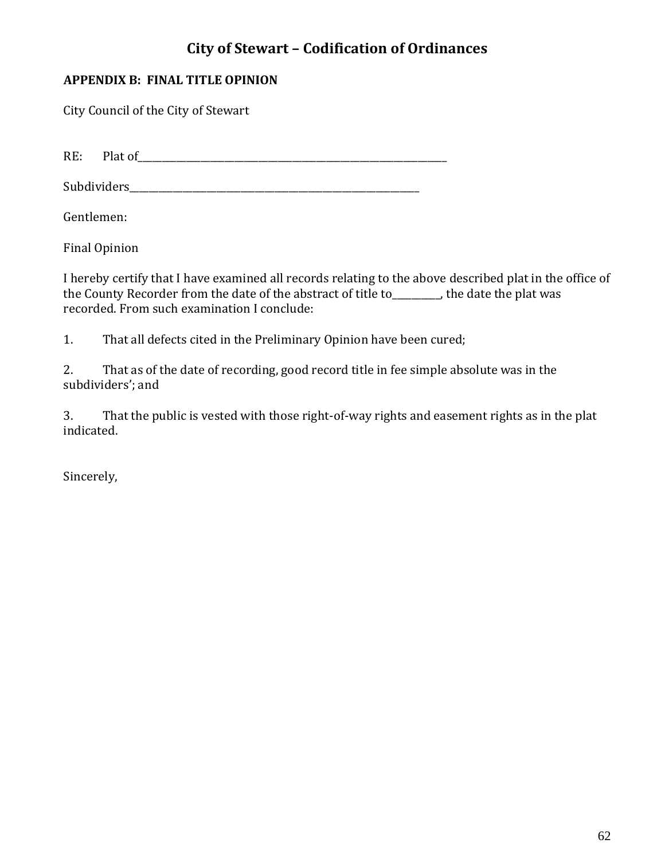#### **APPENDIX B: FINAL TITLE OPINION**

City Council of the City of Stewart

RE: Plat of\_\_\_\_\_\_\_\_\_\_\_\_\_\_\_\_\_\_\_\_\_\_\_\_\_\_\_\_\_\_\_\_\_\_\_\_\_\_\_\_\_\_\_\_\_\_\_\_\_\_\_\_\_\_\_\_\_\_\_\_\_\_\_\_

Subdividers\_\_\_\_\_\_\_\_\_\_\_\_\_\_\_\_\_\_\_\_\_\_\_\_\_\_\_\_\_\_\_\_\_\_\_\_\_\_\_\_\_\_\_\_\_\_\_\_\_\_\_\_\_\_\_\_\_\_\_\_

Gentlemen:

Final Opinion

I hereby certify that I have examined all records relating to the above described plat in the office of the County Recorder from the date of the abstract of title to\_\_\_\_\_\_\_\_\_\_, the date the plat was recorded. From such examination I conclude:

1. That all defects cited in the Preliminary Opinion have been cured;

2. That as of the date of recording, good record title in fee simple absolute was in the subdividers'; and

3. That the public is vested with those right-of-way rights and easement rights as in the plat indicated.

Sincerely,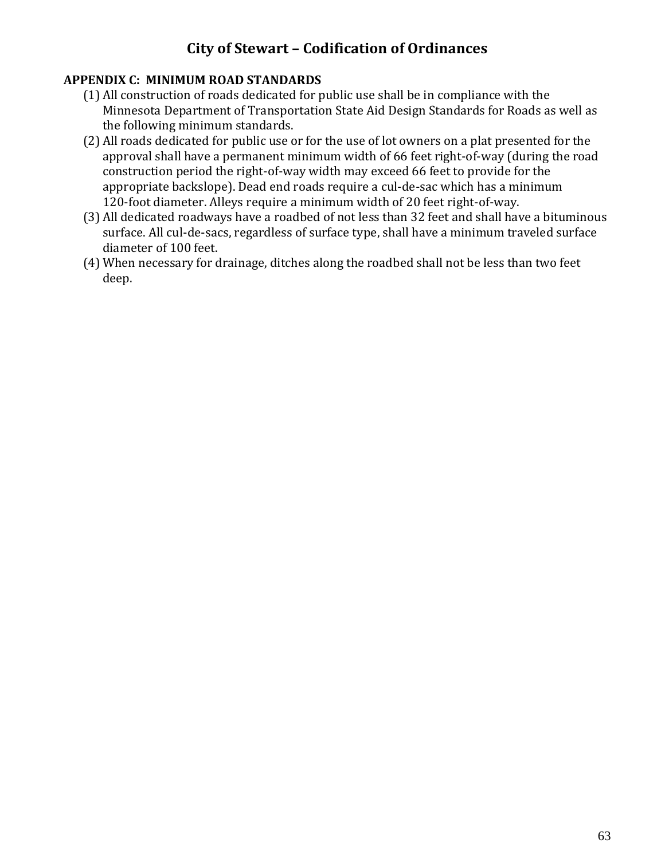#### **APPENDIX C: MINIMUM ROAD STANDARDS**

- (1) All construction of roads dedicated for public use shall be in compliance with the Minnesota Department of Transportation State Aid Design Standards for Roads as well as the following minimum standards.
- (2) All roads dedicated for public use or for the use of lot owners on a plat presented for the approval shall have a permanent minimum width of 66 feet right-of-way (during the road construction period the right-of-way width may exceed 66 feet to provide for the appropriate backslope). Dead end roads require a cul-de-sac which has a minimum 120-foot diameter. Alleys require a minimum width of 20 feet right-of-way.
- (3) All dedicated roadways have a roadbed of not less than 32 feet and shall have a bituminous surface. All cul-de-sacs, regardless of surface type, shall have a minimum traveled surface diameter of 100 feet.
- (4) When necessary for drainage, ditches along the roadbed shall not be less than two feet deep.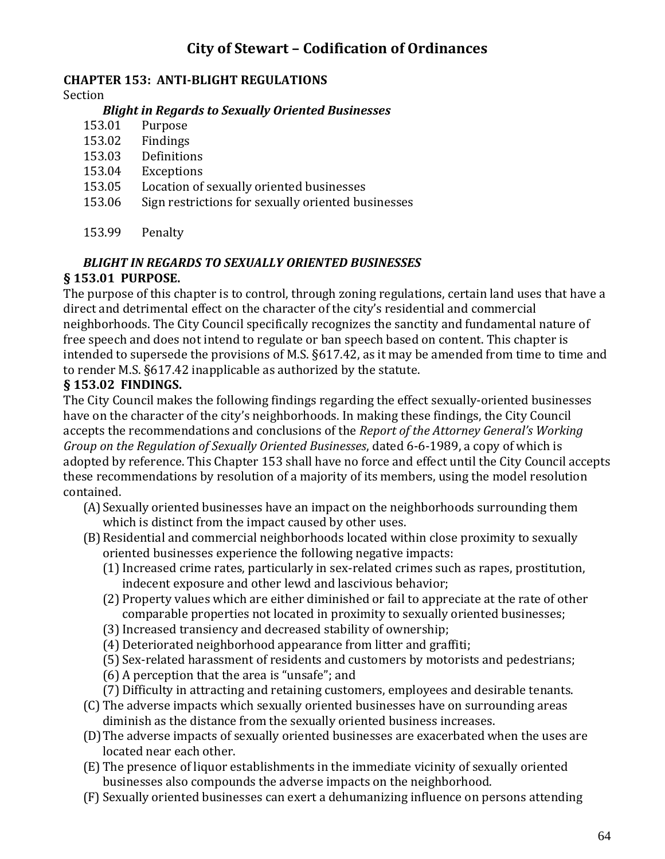#### **CHAPTER 153: ANTI-BLIGHT REGULATIONS**

Section

#### *Blight in Regards to Sexually Oriented Businesses*

- 153.01 Purpose
- 153.02 Findings
- 153.03 Definitions
- 153.04 Exceptions
- 153.05 Location of sexually oriented businesses
- 153.06 Sign restrictions for sexually oriented businesses
- 153.99 Penalty

#### *BLIGHT IN REGARDS TO SEXUALLY ORIENTED BUSINESSES* **§ 153.01 PURPOSE.**

The purpose of this chapter is to control, through zoning regulations, certain land uses that have a direct and detrimental effect on the character of the city's residential and commercial neighborhoods. The City Council specifically recognizes the sanctity and fundamental nature of free speech and does not intend to regulate or ban speech based on content. This chapter is intended to supersede the provisions of M.S. §617.42, as it may be amended from time to time and to render M.S. §617.42 inapplicable as authorized by the statute.

#### **§ 153.02 FINDINGS.**

The City Council makes the following findings regarding the effect sexually-oriented businesses have on the character of the city's neighborhoods. In making these findings, the City Council accepts the recommendations and conclusions of the *Report of the Attorney General's Working Group on the Regulation of Sexually Oriented Businesses*, dated 6-6-1989, a copy of which is adopted by reference. This Chapter 153 shall have no force and effect until the City Council accepts these recommendations by resolution of a majority of its members, using the model resolution contained.

- (A)Sexually oriented businesses have an impact on the neighborhoods surrounding them which is distinct from the impact caused by other uses.
- (B)Residential and commercial neighborhoods located within close proximity to sexually oriented businesses experience the following negative impacts:
	- (1)Increased crime rates, particularly in sex-related crimes such as rapes, prostitution, indecent exposure and other lewd and lascivious behavior;
	- (2) Property values which are either diminished or fail to appreciate at the rate of other comparable properties not located in proximity to sexually oriented businesses;
	- (3)Increased transiency and decreased stability of ownership;
	- (4) Deteriorated neighborhood appearance from litter and graffiti;
	- (5) Sex-related harassment of residents and customers by motorists and pedestrians;
	- (6) A perception that the area is "unsafe"; and
	- (7) Difficulty in attracting and retaining customers, employees and desirable tenants.
- (C) The adverse impacts which sexually oriented businesses have on surrounding areas diminish as the distance from the sexually oriented business increases.
- (D)The adverse impacts of sexually oriented businesses are exacerbated when the uses are located near each other.
- (E) The presence of liquor establishments in the immediate vicinity of sexually oriented businesses also compounds the adverse impacts on the neighborhood.
- (F) Sexually oriented businesses can exert a dehumanizing influence on persons attending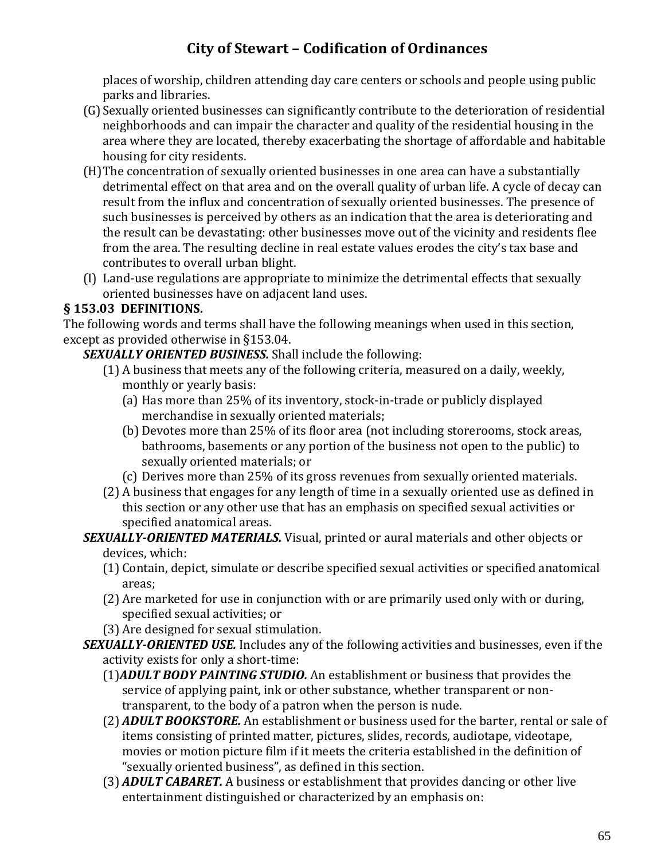places of worship, children attending day care centers or schools and people using public parks and libraries.

- (G)Sexually oriented businesses can significantly contribute to the deterioration of residential neighborhoods and can impair the character and quality of the residential housing in the area where they are located, thereby exacerbating the shortage of affordable and habitable housing for city residents.
- (H)The concentration of sexually oriented businesses in one area can have a substantially detrimental effect on that area and on the overall quality of urban life. A cycle of decay can result from the influx and concentration of sexually oriented businesses. The presence of such businesses is perceived by others as an indication that the area is deteriorating and the result can be devastating: other businesses move out of the vicinity and residents flee from the area. The resulting decline in real estate values erodes the city's tax base and contributes to overall urban blight.
- (I) Land-use regulations are appropriate to minimize the detrimental effects that sexually oriented businesses have on adjacent land uses.

#### **§ 153.03 DEFINITIONS.**

The following words and terms shall have the following meanings when used in this section, except as provided otherwise in §153.04.

#### *SEXUALLY ORIENTED BUSINESS.* Shall include the following:

- (1) A business that meets any of the following criteria, measured on a daily, weekly, monthly or yearly basis:
	- (a) Has more than 25% of its inventory, stock-in-trade or publicly displayed merchandise in sexually oriented materials;
	- (b) Devotes more than 25% of its floor area (not including storerooms, stock areas, bathrooms, basements or any portion of the business not open to the public) to sexually oriented materials; or
	- (c) Derives more than 25% of its gross revenues from sexually oriented materials.
- (2) A business that engages for any length of time in a sexually oriented use as defined in this section or any other use that has an emphasis on specified sexual activities or specified anatomical areas.

# *SEXUALLY-ORIENTED MATERIALS.* Visual, printed or aural materials and other objects or

- devices, which:
- (1) Contain, depict, simulate or describe specified sexual activities or specified anatomical areas;
- (2) Are marketed for use in conjunction with or are primarily used only with or during, specified sexual activities; or
- (3) Are designed for sexual stimulation.
- *SEXUALLY-ORIENTED USE.* Includes any of the following activities and businesses, even if the activity exists for only a short-time:
	- (1)*ADULT BODY PAINTING STUDIO.* An establishment or business that provides the service of applying paint, ink or other substance, whether transparent or nontransparent, to the body of a patron when the person is nude.
	- (2) *ADULT BOOKSTORE.* An establishment or business used for the barter, rental or sale of items consisting of printed matter, pictures, slides, records, audiotape, videotape, movies or motion picture film if it meets the criteria established in the definition of "sexually oriented business", as defined in this section.
	- (3) *ADULT CABARET.* A business or establishment that provides dancing or other live entertainment distinguished or characterized by an emphasis on: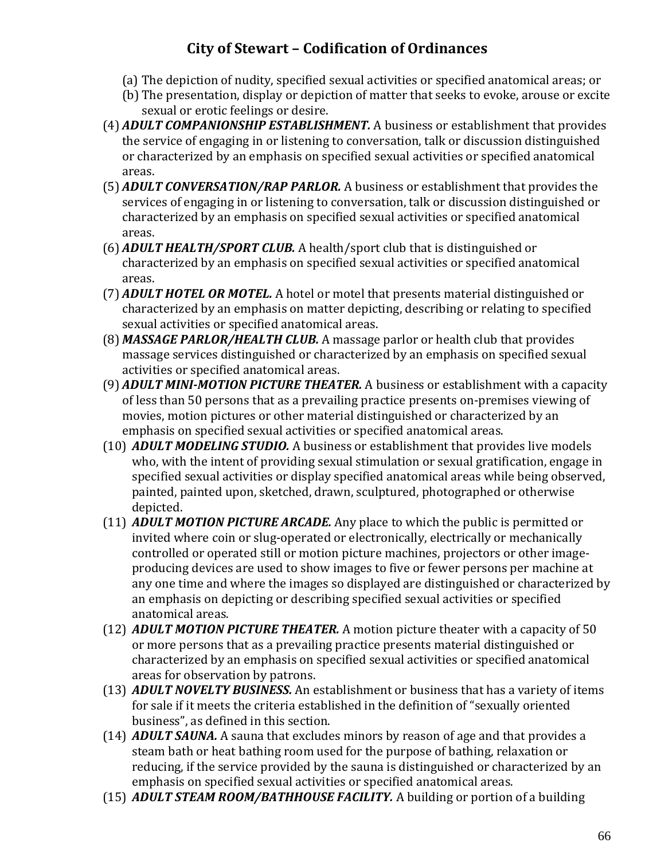- (a) The depiction of nudity, specified sexual activities or specified anatomical areas; or
- (b) The presentation, display or depiction of matter that seeks to evoke, arouse or excite sexual or erotic feelings or desire.
- (4) *ADULT COMPANIONSHIP ESTABLISHMENT.* A business or establishment that provides the service of engaging in or listening to conversation, talk or discussion distinguished or characterized by an emphasis on specified sexual activities or specified anatomical areas.
- (5) *ADULT CONVERSATION/RAP PARLOR.* A business or establishment that provides the services of engaging in or listening to conversation, talk or discussion distinguished or characterized by an emphasis on specified sexual activities or specified anatomical areas.
- (6) *ADULT HEALTH/SPORT CLUB.* A health/sport club that is distinguished or characterized by an emphasis on specified sexual activities or specified anatomical areas.
- (7) *ADULT HOTEL OR MOTEL.* A hotel or motel that presents material distinguished or characterized by an emphasis on matter depicting, describing or relating to specified sexual activities or specified anatomical areas.
- (8) *MASSAGE PARLOR/HEALTH CLUB.* A massage parlor or health club that provides massage services distinguished or characterized by an emphasis on specified sexual activities or specified anatomical areas.
- (9) *ADULT MINI-MOTION PICTURE THEATER.* A business or establishment with a capacity of less than 50 persons that as a prevailing practice presents on-premises viewing of movies, motion pictures or other material distinguished or characterized by an emphasis on specified sexual activities or specified anatomical areas.
- (10) *ADULT MODELING STUDIO.* A business or establishment that provides live models who, with the intent of providing sexual stimulation or sexual gratification, engage in specified sexual activities or display specified anatomical areas while being observed, painted, painted upon, sketched, drawn, sculptured, photographed or otherwise depicted.
- (11) *ADULT MOTION PICTURE ARCADE.* Any place to which the public is permitted or invited where coin or slug-operated or electronically, electrically or mechanically controlled or operated still or motion picture machines, projectors or other imageproducing devices are used to show images to five or fewer persons per machine at any one time and where the images so displayed are distinguished or characterized by an emphasis on depicting or describing specified sexual activities or specified anatomical areas.
- (12) *ADULT MOTION PICTURE THEATER.* A motion picture theater with a capacity of 50 or more persons that as a prevailing practice presents material distinguished or characterized by an emphasis on specified sexual activities or specified anatomical areas for observation by patrons.
- (13) *ADULT NOVELTY BUSINESS.* An establishment or business that has a variety of items for sale if it meets the criteria established in the definition of "sexually oriented business", as defined in this section.
- (14) *ADULT SAUNA.* A sauna that excludes minors by reason of age and that provides a steam bath or heat bathing room used for the purpose of bathing, relaxation or reducing, if the service provided by the sauna is distinguished or characterized by an emphasis on specified sexual activities or specified anatomical areas.
- (15) *ADULT STEAM ROOM/BATHHOUSE FACILITY.* A building or portion of a building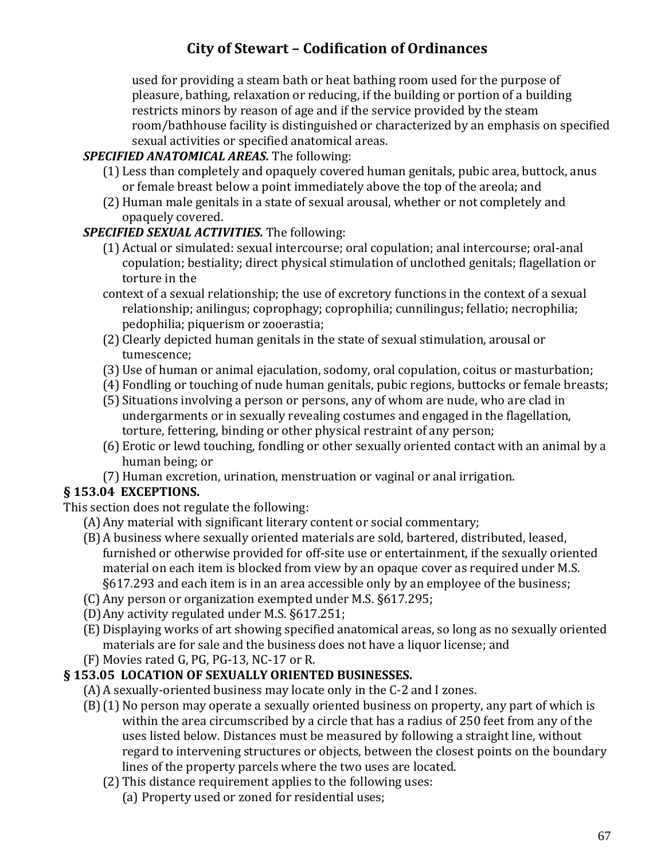used for providing a steam bath or heat bathing room used for the purpose of pleasure, bathing, relaxation or reducing, if the building or portion of a building restricts minors by reason of age and if the service provided by the steam room/bathhouse facility is distinguished or characterized by an emphasis on specified sexual activities or specified anatomical areas.

#### *SPECIFIED ANATOMICAL AREAS.* The following:

- (1) Less than completely and opaquely covered human genitals, pubic area, buttock, anus or female breast below a point immediately above the top of the areola; and
- (2) Human male genitals in a state of sexual arousal, whether or not completely and opaquely covered.

#### *SPECIFIED SEXUAL ACTIVITIES.* The following:

- (1) Actual or simulated: sexual intercourse; oral copulation; anal intercourse; oral-anal copulation; bestiality; direct physical stimulation of unclothed genitals; flagellation or torture in the
- context of a sexual relationship; the use of excretory functions in the context of a sexual relationship; anilingus; coprophagy; coprophilia; cunnilingus; fellatio; necrophilia; pedophilia; piquerism or zooerastia;
- (2) Clearly depicted human genitals in the state of sexual stimulation, arousal or tumescence;
- (3) Use of human or animal ejaculation, sodomy, oral copulation, coitus or masturbation;
- (4) Fondling or touching of nude human genitals, pubic regions, buttocks or female breasts;
- (5) Situations involving a person or persons, any of whom are nude, who are clad in undergarments or in sexually revealing costumes and engaged in the flagellation, torture, fettering, binding or other physical restraint of any person;
- (6) Erotic or lewd touching, fondling or other sexually oriented contact with an animal by a human being; or
- (7) Human excretion, urination, menstruation or vaginal or anal irrigation.

#### **§ 153.04 EXCEPTIONS.**

This section does not regulate the following:

- (A)Any material with significant literary content or social commentary;
- (B)A business where sexually oriented materials are sold, bartered, distributed, leased, furnished or otherwise provided for off-site use or entertainment, if the sexually oriented material on each item is blocked from view by an opaque cover as required under M.S. §617.293 and each item is in an area accessible only by an employee of the business;
- (C) Any person or organization exempted under M.S. §617.295;
- (D)Any activity regulated under M.S. §617.251;
- (E)Displaying works of art showing specified anatomical areas, so long as no sexually oriented materials are for sale and the business does not have a liquor license; and
- (F) Movies rated G, PG, PG-13, NC-17 or R.

### **§ 153.05 LOCATION OF SEXUALLY ORIENTED BUSINESSES.**

- (A)A sexually-oriented business may locate only in the C-2 and I zones.
- (B)(1) No person may operate a sexually oriented business on property, any part of which is within the area circumscribed by a circle that has a radius of 250 feet from any of the uses listed below. Distances must be measured by following a straight line, without regard to intervening structures or objects, between the closest points on the boundary lines of the property parcels where the two uses are located.
	- (2) This distance requirement applies to the following uses:
		- (a) Property used or zoned for residential uses;